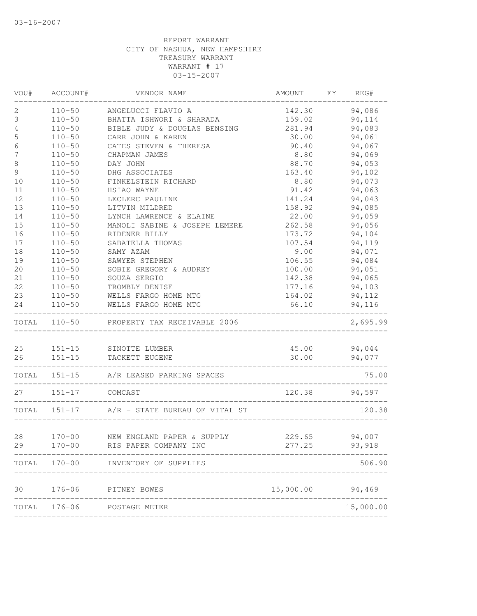| VOU#             | ACCOUNT#                | VENDOR NAME                                                       | AMOUNT FY                            | REG#         |
|------------------|-------------------------|-------------------------------------------------------------------|--------------------------------------|--------------|
| 2                |                         | 110-50 ANGELUCCI FLAVIO A                                         | 142.30                               | 94,086       |
| 3                |                         | 110-50 BHATTA ISHWORI & SHARADA                                   | 159.02                               | 94, 114      |
| 4                | $110 - 50$              | BIBLE JUDY & DOUGLAS BENSING                                      | 281.94                               | 94,083       |
| 5                | $110 - 50$              | CARR JOHN & KAREN                                                 | 30.00                                | 94,061       |
| $\epsilon$       | $110 - 50$              | CATES STEVEN & THERESA                                            | 90.40                                | 94,067       |
| $\boldsymbol{7}$ | $110 - 50$              | CHAPMAN JAMES                                                     | 8.80                                 | 94,069       |
| $\,8\,$          | $110 - 50$              | DAY JOHN                                                          | 88.70                                | 94,053       |
| $\mathsf 9$      | $110 - 50$              | DHG ASSOCIATES                                                    | 163.40                               | 94,102       |
| 10               | $110 - 50$              | FINKELSTEIN RICHARD                                               | 8.80                                 | 94,073       |
| 11               | $110 - 50$              | HSIAO WAYNE                                                       | 91.42                                | 94,063       |
| 12               | $110 - 50$              | LECLERC PAULINE                                                   | 141.24                               | 94,043       |
| 13               | $110 - 50$              | LITVIN MILDRED                                                    | 158.92                               | 94,085       |
| 14               | $110 - 50$              | LYNCH LAWRENCE & ELAINE                                           | 22.00                                | 94,059       |
| 15               | $110 - 50$              | MANOLI SABINE & JOSEPH LEMERE                                     | 262.58                               | 94,056       |
| 16               | $110 - 50$              | RIDENER BILLY                                                     | 173.72                               | 94,104       |
| 17               | $110 - 50$              | SABATELLA THOMAS                                                  | 107.54                               | 94,119       |
| 18               | $110 - 50$              | SAMY AZAM                                                         | 9.00                                 | 94,071       |
| 19               | $110 - 50$              | SAWYER STEPHEN                                                    | 106.55                               | 94,084       |
| 20               | $110 - 50$              | SOBIE GREGORY & AUDREY                                            | 100.00                               | 94,051       |
| 21               | $110 - 50$              | SOUZA SERGIO                                                      | 142.38                               | 94,065       |
| 22               |                         | 110-50 TROMBLY DENISE                                             | 177.16 94,103                        |              |
| 23               |                         | 110-50 WELLS FARGO HOME MTG                                       | 164.02 94,112                        |              |
| 24               | $110 - 50$              | WELLS FARGO HOME MTG                                              | 66.10                                | 94,116       |
|                  |                         | TOTAL 110-50 PROPERTY TAX RECEIVABLE 2006<br>____________________ |                                      | 2,695.99     |
|                  |                         |                                                                   |                                      |              |
|                  |                         | 25 151-15 SINOTTE LUMBER                                          |                                      | 45.00 94,044 |
|                  |                         | 26 151-15 TACKETT EUGENE                                          |                                      | 30.00 94,077 |
|                  |                         | TOTAL 151-15 A/R LEASED PARKING SPACES                            |                                      | 75.00        |
|                  | 27    151-17    COMCAST |                                                                   | 120.38 94,597                        |              |
|                  |                         | TOTAL 151-17 A/R - STATE BUREAU OF VITAL ST                       |                                      | 120.38       |
|                  |                         |                                                                   | ____________________________________ |              |
|                  |                         | 28 170-00 NEW ENGLAND PAPER & SUPPLY 229.65 94,007                |                                      |              |
| 29               | $170 - 00$              | RIS PAPER COMPANY INC                                             | 277.25                               | 93,918       |
| TOTAL            | $170 - 00$              | INVENTORY OF SUPPLIES                                             |                                      | 506.90       |
|                  |                         |                                                                   |                                      |              |
| 30               | $176 - 06$              | PITNEY BOWES                                                      | 15,000.00 94,469                     |              |
| TOTAL            | $176 - 06$              | POSTAGE METER                                                     |                                      | 15,000.00    |
|                  |                         |                                                                   |                                      |              |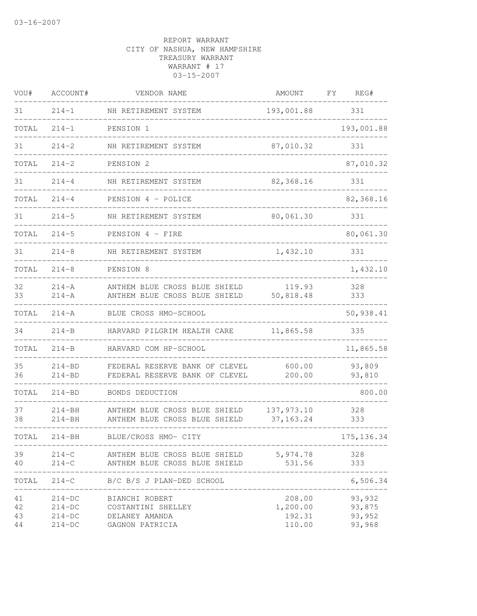| VOU#                 | ACCOUNT#                                     | VENDOR NAME                                                               | AMOUNT                                 | FΥ | REG#                                 |
|----------------------|----------------------------------------------|---------------------------------------------------------------------------|----------------------------------------|----|--------------------------------------|
| 31                   | $214 - 1$                                    | NH RETIREMENT SYSTEM                                                      | 193,001.88                             |    | 331                                  |
| TOTAL                | $214 - 1$                                    | PENSION 1                                                                 |                                        |    | 193,001.88                           |
| 31                   | $214 - 2$                                    | NH RETIREMENT SYSTEM                                                      | 87,010.32                              |    | 331                                  |
| TOTAL                | $214 - 2$                                    | PENSION 2                                                                 |                                        |    | 87,010.32                            |
| 31                   | $214 - 4$                                    | NH RETIREMENT SYSTEM                                                      | 82,368.16                              |    | 331                                  |
| TOTAL                | $214 - 4$                                    | PENSION 4 - POLICE                                                        |                                        |    | 82,368.16                            |
| 31                   | $214 - 5$                                    | NH RETIREMENT SYSTEM                                                      | 80,061.30                              |    | 331                                  |
| TOTAL                | $214 - 5$                                    | PENSION 4 - FIRE                                                          |                                        |    | 80,061.30                            |
| 31                   | $214 - 8$                                    | NH RETIREMENT SYSTEM                                                      | 1,432.10                               |    | 331                                  |
| TOTAL                | $214 - 8$                                    | PENSION 8                                                                 |                                        |    | 1,432.10                             |
| 32<br>33             | $214 - A$<br>$214 - A$                       | ANTHEM BLUE CROSS BLUE SHIELD<br>ANTHEM BLUE CROSS BLUE SHIELD            | 119.93<br>50,818.48                    |    | 328<br>333                           |
| TOTAL                | $214 - A$                                    | BLUE CROSS HMO-SCHOOL                                                     |                                        |    | 50,938.41                            |
| 34                   | $214 - B$                                    | HARVARD PILGRIM HEALTH CARE                                               | 11,865.58                              |    | 335                                  |
| TOTAL                | $214 - B$                                    | HARVARD COM HP-SCHOOL                                                     |                                        |    | 11,865.58                            |
| 35<br>36             | $214 - BD$<br>$214 - BD$                     | FEDERAL RESERVE BANK OF CLEVEL<br>FEDERAL RESERVE BANK OF CLEVEL          | 600.00<br>200.00                       |    | 93,809<br>93,810                     |
| TOTAL                | $214 - BD$                                   | BONDS DEDUCTION                                                           |                                        |    | 800.00                               |
| 37<br>38             | $214 - BH$<br>$214 - BH$                     | ANTHEM BLUE CROSS BLUE SHIELD<br>ANTHEM BLUE CROSS BLUE SHIELD            | 137,973.10<br>37, 163. 24              |    | 328<br>333                           |
| TOTAL                | 214-BH                                       | BLUE/CROSS HMO- CITY                                                      |                                        |    | 175, 136.34                          |
| 39<br>40             | $214-C$<br>$214-C$                           | ANTHEM BLUE CROSS BLUE SHIELD 5,974.78<br>ANTHEM BLUE CROSS BLUE SHIELD   | 531.56                                 |    | 328<br>333                           |
|                      |                                              | TOTAL 214-C B/C B/S J PLAN-DED SCHOOL                                     |                                        |    | 6,506.34                             |
| 41<br>42<br>43<br>44 | $214-DC$<br>$214-DC$<br>$214-DC$<br>$214-DC$ | BIANCHI ROBERT<br>COSTANTINI SHELLEY<br>DELANEY AMANDA<br>GAGNON PATRICIA | 208.00<br>1,200.00<br>192.31<br>110.00 |    | 93,932<br>93,875<br>93,952<br>93,968 |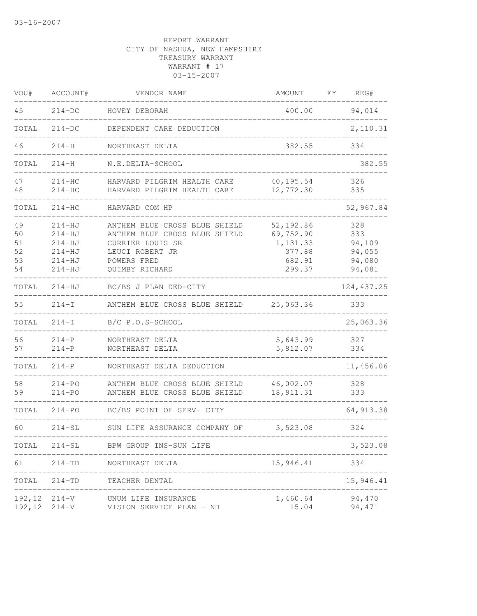| VOU#                             | ACCOUNT#                                                                       | VENDOR NAME                                                                                                                            | <b>AMOUNT</b>                                                     | FΥ | REG#                                               |
|----------------------------------|--------------------------------------------------------------------------------|----------------------------------------------------------------------------------------------------------------------------------------|-------------------------------------------------------------------|----|----------------------------------------------------|
| 45                               | $214-DC$                                                                       | HOVEY DEBORAH                                                                                                                          | 400.00                                                            |    | 94,014                                             |
| TOTAL                            | $214-DC$                                                                       | DEPENDENT CARE DEDUCTION                                                                                                               |                                                                   |    | 2,110.31                                           |
| 46                               | $214 - H$                                                                      | NORTHEAST DELTA                                                                                                                        | 382.55                                                            |    | 334                                                |
| TOTAL                            | $214 - H$                                                                      | N.E.DELTA-SCHOOL                                                                                                                       |                                                                   |    | 382.55                                             |
| 47<br>48                         | $214 - HC$<br>$214-HC$                                                         | HARVARD PILGRIM HEALTH CARE<br>HARVARD PILGRIM HEALTH CARE                                                                             | 40,195.54<br>12,772.30                                            |    | 326<br>335                                         |
| TOTAL                            | $214-HC$                                                                       | HARVARD COM HP                                                                                                                         |                                                                   |    | 52,967.84                                          |
| 49<br>50<br>51<br>52<br>53<br>54 | $214 - HJ$<br>$214-HJ$<br>$214 - HJ$<br>$214 - HJ$<br>$214 - HJ$<br>$214 - HJ$ | ANTHEM BLUE CROSS BLUE SHIELD<br>ANTHEM BLUE CROSS BLUE SHIELD<br>CURRIER LOUIS SR<br>LEUCI ROBERT JR<br>POWERS FRED<br>QUIMBY RICHARD | 52, 192.86<br>69,752.90<br>1,131.33<br>377.88<br>682.91<br>299.37 |    | 328<br>333<br>94,109<br>94,055<br>94,080<br>94,081 |
| TOTAL                            | $214 - HJ$                                                                     | BC/BS J PLAN DED-CITY                                                                                                                  |                                                                   |    | 124, 437.25                                        |
| 55                               | $214-I$                                                                        | ANTHEM BLUE CROSS BLUE SHIELD                                                                                                          | 25,063.36                                                         |    | 333                                                |
| TOTAL                            | $214-I$                                                                        | B/C P.O.S-SCHOOL                                                                                                                       |                                                                   |    | 25,063.36                                          |
| 56<br>57                         | $214-P$<br>$214-P$                                                             | NORTHEAST DELTA<br>NORTHEAST DELTA                                                                                                     | 5,643.99<br>5,812.07                                              |    | 327<br>334                                         |
| TOTAL                            | $214-P$                                                                        | NORTHEAST DELTA DEDUCTION                                                                                                              |                                                                   |    | 11,456.06                                          |
| 58<br>59                         | $214 - PQ$<br>214-PO                                                           | ANTHEM BLUE CROSS BLUE SHIELD<br>ANTHEM BLUE CROSS BLUE SHIELD                                                                         | 46,002.07<br>18, 911.31                                           |    | 328<br>333                                         |
| TOTAL                            | $214 - PO$                                                                     | BC/BS POINT OF SERV- CITY                                                                                                              |                                                                   |    | 64, 913.38                                         |
| 60                               | $214 - SL$                                                                     | SUN LIFE ASSURANCE COMPANY OF                                                                                                          | 3,523.08                                                          |    | 324                                                |
| TOTAL                            | $214 - SL$                                                                     | BPW GROUP INS-SUN LIFE                                                                                                                 |                                                                   |    | 3,523.08                                           |
| 61                               | 214-TD                                                                         | NORTHEAST DELTA                                                                                                                        | 15,946.41                                                         |    | 334                                                |
| TOTAL                            | 214-TD                                                                         | TEACHER DENTAL                                                                                                                         |                                                                   |    | 15,946.41                                          |
| 192,12<br>192,12                 | $214 - V$<br>$214-V$                                                           | UNUM LIFE INSURANCE<br>VISION SERVICE PLAN - NH                                                                                        | 1,460.64<br>15.04                                                 |    | 94,470<br>94, 471                                  |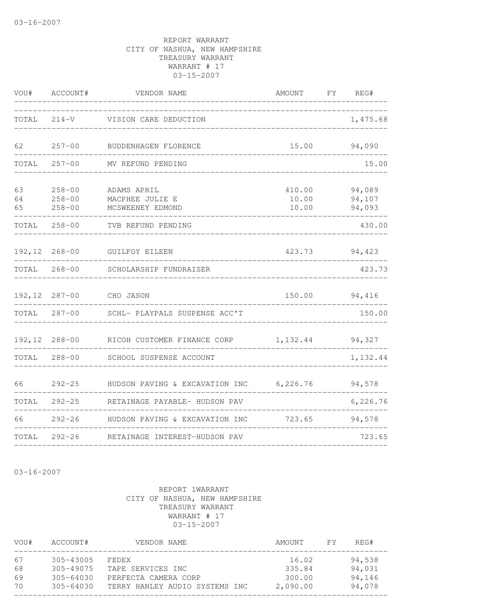| VOU#           | ACCOUNT#                               | VENDOR NAME                                        | AMOUNT                   | FY REG#                    |
|----------------|----------------------------------------|----------------------------------------------------|--------------------------|----------------------------|
| TOTAL          |                                        | 214-V VISION CARE DEDUCTION                        |                          | 1,475.68                   |
| 62             | $257 - 00$                             | BUDDENHAGEN FLORENCE                               | 15.00                    | 94,090                     |
| TOTAL          | $257 - 00$                             | MV REFUND PENDING                                  |                          | 15.00                      |
| 63<br>64<br>65 | $258 - 00$<br>$258 - 00$<br>$258 - 00$ | ADAMS APRIL<br>MACPHEE JULIE E<br>MCSWEENEY EDMOND | 410.00<br>10.00<br>10.00 | 94,089<br>94,107<br>94,093 |
| TOTAL          | $258 - 00$                             | TVB REFUND PENDING                                 |                          | 430.00                     |
|                | 192,12 268-00                          | GUILFOY EILEEN                                     | 423.73                   | 94,423                     |
| TOTAL          | $268 - 00$                             | SCHOLARSHIP FUNDRAISER                             |                          | 423.73                     |
|                |                                        | 192,12 287-00 CHO JASON                            | 150.00                   | 94,416                     |
| TOTAL          |                                        | 287-00 SCHL- PLAYPALS SUSPENSE ACC'T               |                          | 150.00                     |
| 192,12         | $288 - 00$                             | RICOH CUSTOMER FINANCE CORP                        | 1, 132.44                | 94,327                     |
| TOTAL          | $288 - 00$                             | SCHOOL SUSPENSE ACCOUNT                            |                          | 1,132.44                   |
| 66             | $292 - 25$                             | HUDSON PAVING & EXCAVATION INC 6,226.76            |                          | 94,578                     |
| TOTAL          | $292 - 25$                             | RETAINAGE PAYABLE- HUDSON PAV                      |                          | 6,226.76                   |
| 66             |                                        | 292-26 HUDSON PAVING & EXCAVATION INC              | 723.65                   | 94,578                     |
| TOTAL          |                                        | 292-26 RETAINAGE INTEREST-HUDSON PAV               |                          | 723.65                     |

03-16-2007

| VOU# | ACCOUNT#      | VENDOR NAME                    | AMOUNT   | FY. | REG#   |  |
|------|---------------|--------------------------------|----------|-----|--------|--|
| 67   | $305 - 43005$ | FEDEX                          | 16.02    |     | 94,538 |  |
| 68   | $305 - 49075$ | TAPE SERVICES INC              | 335.84   |     | 94,031 |  |
| 69   | $305 - 64030$ | PERFECTA CAMERA CORP           | 300.00   |     | 94,146 |  |
| 70   | $305 - 64030$ | TERRY HANLEY AUDIO SYSTEMS INC | 2,090.00 |     | 94,078 |  |
|      |               |                                |          |     |        |  |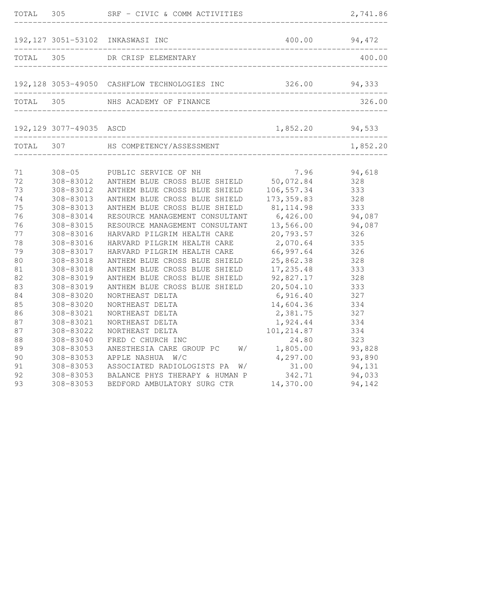| TOTAL                | 305                                               | SRF - CIVIC & COMM ACTIVITIES                                                                                                    |                                                  | 2,741.86                       |
|----------------------|---------------------------------------------------|----------------------------------------------------------------------------------------------------------------------------------|--------------------------------------------------|--------------------------------|
|                      |                                                   | 192,127 3051-53102 INKASWASI INC                                                                                                 |                                                  | 400.00 94,472                  |
| TOTAL 305            |                                                   | DR CRISP ELEMENTARY                                                                                                              |                                                  | 400.00                         |
|                      |                                                   | 192,128 3053-49050 CASHFLOW TECHNOLOGIES INC 326.00 94,333                                                                       |                                                  |                                |
|                      |                                                   | TOTAL 305 NHS ACADEMY OF FINANCE                                                                                                 |                                                  | 326.00                         |
|                      | 192,129 3077-49035 ASCD                           |                                                                                                                                  | 1,852.20                                         | 94,533                         |
|                      |                                                   | ________________                                                                                                                 |                                                  | 1,852.20                       |
| 71<br>72<br>73<br>74 | $308 - 05$<br>308-83012<br>308-83012<br>308-83013 | PUBLIC SERVICE OF NH<br>ANTHEM BLUE CROSS BLUE SHIELD<br>ANTHEM BLUE CROSS BLUE SHIELD<br>ANTHEM BLUE CROSS BLUE SHIELD          | 7.96<br>50,072.84<br>106,557.34<br>173, 359.83   | 94,618<br>328<br>333<br>328    |
| 75<br>76<br>76<br>77 | 308-83013<br>308-83014<br>308-83015<br>308-83016  | ANTHEM BLUE CROSS BLUE SHIELD<br>RESOURCE MANAGEMENT CONSULTANT<br>RESOURCE MANAGEMENT CONSULTANT<br>HARVARD PILGRIM HEALTH CARE | 81, 114.98<br>6,426.00<br>13,566.00<br>20,793.57 | 333<br>94,087<br>94,087<br>326 |
| 78<br>79<br>80<br>81 | 308-83016<br>308-83017<br>308-83018<br>308-83018  | HARVARD PILGRIM HEALTH CARE<br>HARVARD PILGRIM HEALTH CARE<br>ANTHEM BLUE CROSS BLUE SHIELD<br>ANTHEM BLUE CROSS BLUE SHIELD     | 2,070.64<br>66,997.64<br>25,862.38<br>17,235.48  | 335<br>326<br>328<br>333       |
| 82<br>83<br>84<br>85 | 308-83019<br>308-83019<br>308-83020<br>308-83020  | ANTHEM BLUE CROSS BLUE SHIELD<br>ANTHEM BLUE CROSS BLUE SHIELD<br>NORTHEAST DELTA<br>NORTHEAST DELTA                             | 92,827.17<br>20,504.10<br>6,916.40<br>14,604.36  | 328<br>333<br>327<br>334       |
| 86<br>87<br>87<br>88 | 308-83021<br>308-83021<br>308-83022<br>308-83040  | NORTHEAST DELTA<br>NORTHEAST DELTA<br>NORTHEAST DELTA<br>FRED C CHURCH INC                                                       | 2,381.75<br>1,924.44<br>101, 214.87<br>24.80     | 327<br>334<br>334<br>323       |
| 89<br>90<br>91<br>92 | 308-83053<br>308-83053<br>308-83053<br>308-83053  | ANESTHESIA CARE GROUP PC<br>W/<br>APPLE NASHUA<br>W/C<br>ASSOCIATED RADIOLOGISTS PA<br>W/<br>BALANCE PHYS THERAPY & HUMAN P      | 1,805.00<br>4,297.00<br>31.00<br>342.71          | 93,828<br>93,890<br>94,131     |
| 93                   | 308-83053                                         | BEDFORD AMBULATORY SURG CTR                                                                                                      | 14,370.00                                        | 94,033<br>94,142               |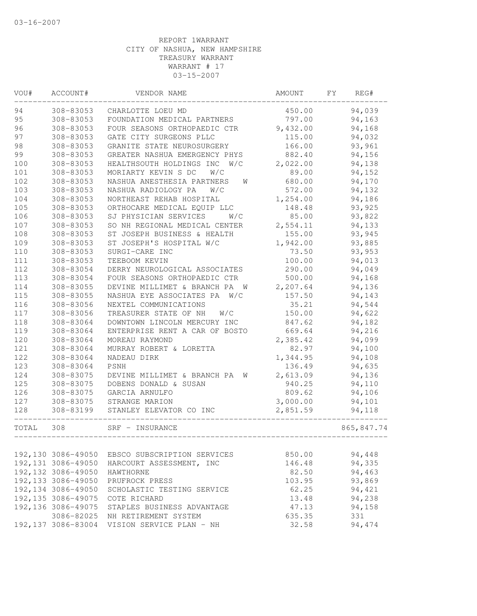| VOU#  | ACCOUNT#            | VENDOR NAME                             | <b>AMOUNT</b> | FΥ | REG#        |
|-------|---------------------|-----------------------------------------|---------------|----|-------------|
| 94    | 308-83053           | CHARLOTTE LOEU MD                       | 450.00        |    | 94,039      |
| 95    | 308-83053           | FOUNDATION MEDICAL PARTNERS             | 797.00        |    | 94,163      |
| 96    | 308-83053           | FOUR SEASONS ORTHOPAEDIC CTR            | 9,432.00      |    | 94,168      |
| 97    | 308-83053           | GATE CITY SURGEONS PLLC                 | 115.00        |    | 94,032      |
| 98    | 308-83053           | GRANITE STATE NEUROSURGERY              | 166.00        |    | 93,961      |
| 99    | 308-83053           | GREATER NASHUA EMERGENCY PHYS           | 882.40        |    | 94,156      |
| 100   | 308-83053           | HEALTHSOUTH HOLDINGS INC<br>W/C         | 2,022.00      |    | 94,138      |
| 101   | 308-83053           | MORIARTY KEVIN S DC<br>W/C              | 89.00         |    | 94,152      |
| 102   | 308-83053           | NASHUA ANESTHESIA PARTNERS<br>W         | 680.00        |    | 94,170      |
| 103   | 308-83053           | NASHUA RADIOLOGY PA<br>W/C              | 572.00        |    | 94,132      |
| 104   | 308-83053           | NORTHEAST REHAB HOSPITAL                | 1,254.00      |    | 94,186      |
| 105   | 308-83053           | ORTHOCARE MEDICAL EQUIP LLC             | 148.48        |    | 93,925      |
| 106   | 308-83053           | SJ PHYSICIAN SERVICES<br>W/C            | 85.00         |    | 93,822      |
| 107   | 308-83053           | SO NH REGIONAL MEDICAL CENTER           | 2,554.11      |    | 94,133      |
| 108   | 308-83053           | ST JOSEPH BUSINESS & HEALTH             | 155.00        |    | 93,945      |
| 109   | 308-83053           | ST JOSEPH'S HOSPITAL W/C                | 1,942.00      |    | 93,885      |
| 110   | 308-83053           | SURGI-CARE INC                          | 73.50         |    | 93,953      |
| 111   | 308-83053           | TEEBOOM KEVIN                           | 100.00        |    | 94,013      |
| 112   | 308-83054           | DERRY NEUROLOGICAL ASSOCIATES           | 290.00        |    | 94,049      |
| 113   | 308-83054           | FOUR SEASONS ORTHOPAEDIC CTR            | 500.00        |    | 94,168      |
| 114   | 308-83055           | DEVINE MILLIMET & BRANCH PA<br><b>W</b> | 2,207.64      |    | 94,136      |
| 115   | 308-83055           | NASHUA EYE ASSOCIATES PA<br>W/C         | 157.50        |    | 94,143      |
| 116   | 308-83056           | NEXTEL COMMUNICATIONS                   | 35.21         |    | 94,544      |
| 117   | 308-83056           | TREASURER STATE OF NH<br>W/C            | 150.00        |    | 94,622      |
| 118   | 308-83064           | DOWNTOWN LINCOLN MERCURY INC            | 847.62        |    | 94,182      |
| 119   | 308-83064           | ENTERPRISE RENT A CAR OF BOSTO          | 669.64        |    | 94,216      |
| 120   | 308-83064           | MOREAU RAYMOND                          | 2,385.42      |    | 94,099      |
| 121   | 308-83064           | MURRAY ROBERT & LORETTA                 | 82.97         |    | 94,100      |
| 122   | 308-83064           | NADEAU DIRK                             | 1,344.95      |    | 94,108      |
| 123   | 308-83064           | PSNH                                    | 136.49        |    | 94,635      |
| 124   | 308-83075           | DEVINE MILLIMET & BRANCH PA<br>W        | 2,613.09      |    | 94,136      |
| 125   | 308-83075           | DOBENS DONALD & SUSAN                   | 940.25        |    | 94,110      |
| 126   | 308-83075           | GARCIA ARNULFO                          | 809.62        |    | 94,106      |
| 127   | 308-83075           | STRANGE MARION                          | 3,000.00      |    | 94,101      |
| 128   | 308-83199           | STANLEY ELEVATOR CO INC<br>-------      | 2,851.59      |    | 94,118      |
| TOTAL | 308                 | SRF - INSURANCE                         |               |    | 865, 847.74 |
|       |                     |                                         |               |    |             |
|       | 192,130 3086-49050  | EBSCO SUBSCRIPTION SERVICES             | 850.00        |    | 94,448      |
|       | 192, 131 3086-49050 | HARCOURT ASSESSMENT, INC                | 146.48        |    | 94,335      |
|       | 192, 132 3086-49050 | HAWTHORNE                               | 82.50         |    | 94,463      |
|       | 192, 133 3086-49050 | PRUFROCK PRESS                          | 103.95        |    | 93,869      |
|       | 192,134 3086-49050  | SCHOLASTIC TESTING SERVICE              | 62.25         |    | 94,421      |
|       | 192, 135 3086-49075 | COTE RICHARD                            | 13.48         |    | 94,238      |
|       | 192,136 3086-49075  | STAPLES BUSINESS ADVANTAGE              | 47.13         |    | 94,158      |
|       | 3086-82025          | NH RETIREMENT SYSTEM                    | 635.35        |    | 331         |
|       | 192, 137 3086-83004 | VISION SERVICE PLAN - NH                | 32.58         |    | 94,474      |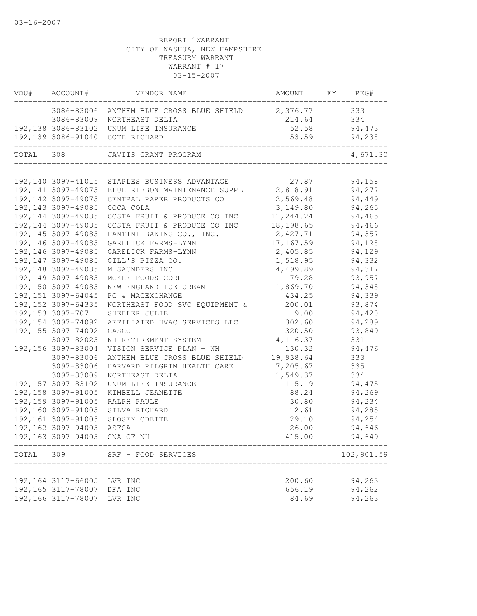|       | VOU# ACCOUNT#                              | VENDOR NAME                                                                                                       | AMOUNT FY REG# |            |
|-------|--------------------------------------------|-------------------------------------------------------------------------------------------------------------------|----------------|------------|
|       |                                            | 3086-83006 ANTHEM BLUE CROSS BLUE SHIELD 2,376.77                                                                 |                | 333        |
|       |                                            | 3086-83009 NORTHEAST DELTA                                                                                        | 214.64         | 334        |
|       |                                            | 192,138 3086-83102 UNUM LIFE INSURANCE                                                                            | 52.58          | 94,473     |
|       |                                            | 192,139 3086-91040 COTE RICHARD                                                                                   | 53.59          | 94,238     |
|       |                                            | TOTAL 308 JAVITS GRANT PROGRAM                                                                                    |                | 4,671.30   |
|       |                                            |                                                                                                                   |                | 94,158     |
|       |                                            | 192,140 3097-41015 STAPLES BUSINESS ADVANTAGE 27.87<br>192,141 3097-49075 BLUE RIBBON MAINTENANCE SUPPLI 2,818.91 |                | 94,277     |
|       | 192, 142 3097-49075                        | CENTRAL PAPER PRODUCTS CO                                                                                         | 2,569.48       | 94,449     |
|       | 192, 143 3097-49085                        | COCA COLA                                                                                                         | 3,149.80       | 94,265     |
|       | 192, 144 3097-49085                        | COSTA FRUIT & PRODUCE CO INC                                                                                      | 11, 244.24     | 94,465     |
|       | 192, 144 3097-49085                        | COSTA FRUIT & PRODUCE CO INC                                                                                      | 18,198.65      | 94,466     |
|       | 192, 145 3097-49085                        | FANTINI BAKING CO., INC.                                                                                          | 2,427.71       | 94,357     |
|       | 192, 146 3097-49085                        | GARELICK FARMS-LYNN                                                                                               | 17,167.59      | 94,128     |
|       | 192, 146 3097-49085                        | GARELICK FARMS-LYNN                                                                                               | 2,405.85       | 94,129     |
|       | 192, 147 3097-49085                        | GILL'S PIZZA CO.                                                                                                  | 1,518.95       | 94,332     |
|       | 192, 148 3097-49085                        | M SAUNDERS INC                                                                                                    | 4,499.89       | 94,317     |
|       | 192, 149 3097-49085                        | MCKEE FOODS CORP                                                                                                  | 79.28          | 93,957     |
|       | 192,150 3097-49085                         | NEW ENGLAND ICE CREAM                                                                                             | 1,869.70       | 94,348     |
|       | 192, 151 3097-64045                        | PC & MACEXCHANGE                                                                                                  | 434.25         | 94,339     |
|       | 192, 152 3097-64335                        | NORTHEAST FOOD SVC EQUIPMENT &                                                                                    | 200.01         | 93,874     |
|       | 192,153 3097-707                           | SHEELER JULIE                                                                                                     | 9.00           | 94,420     |
|       | 192, 154 3097-74092                        | AFFILIATED HVAC SERVICES LLC                                                                                      | 302.60         | 94,289     |
|       | 192, 155 3097-74092                        | CASCO                                                                                                             | 320.50         | 93,849     |
|       | 3097-82025                                 | NH RETIREMENT SYSTEM                                                                                              | 4,116.37       | 331        |
|       | 192, 156 3097-83004                        | VISION SERVICE PLAN - NH                                                                                          | 130.32         | 94,476     |
|       |                                            | ANTHEM BLUE CROSS BLUE SHIELD                                                                                     | 19,938.64      |            |
|       | 3097-83006<br>3097-83006                   |                                                                                                                   |                | 333        |
|       |                                            | HARVARD PILGRIM HEALTH CARE                                                                                       | 7,205.67       | 335<br>334 |
|       | 3097-83009                                 | NORTHEAST DELTA                                                                                                   | 1,549.37       |            |
|       | 192, 157 3097-83102                        | UNUM LIFE INSURANCE                                                                                               | 115.19         | 94,475     |
|       | 192, 158 3097-91005<br>192, 159 3097-91005 | KIMBELL JEANETTE                                                                                                  | 88.24          | 94,269     |
|       |                                            | RALPH PAULE                                                                                                       | 30.80          | 94,234     |
|       | 192,160 3097-91005                         | SILVA RICHARD                                                                                                     | 12.61          | 94,285     |
|       | 192,161 3097-91005                         | SLOSEK ODETTE                                                                                                     | 29.10          | 94,254     |
|       | 192, 162 3097-94005                        | ASFSA                                                                                                             | 26.00          | 94,646     |
|       | 192,163 3097-94005 SNA OF NH               |                                                                                                                   | 415.00         | 94,649     |
| TOTAL | 309                                        | SRF - FOOD SERVICES                                                                                               |                | 102,901.59 |
|       | 192, 164 3117-66005                        | LVR INC                                                                                                           | 200.60         | 94,263     |
|       | 192, 165 3117-78007                        | DFA INC                                                                                                           | 656.19         | 94,262     |
|       | 192, 166 3117-78007                        | LVR INC                                                                                                           | 84.69          | 94,263     |
|       |                                            |                                                                                                                   |                |            |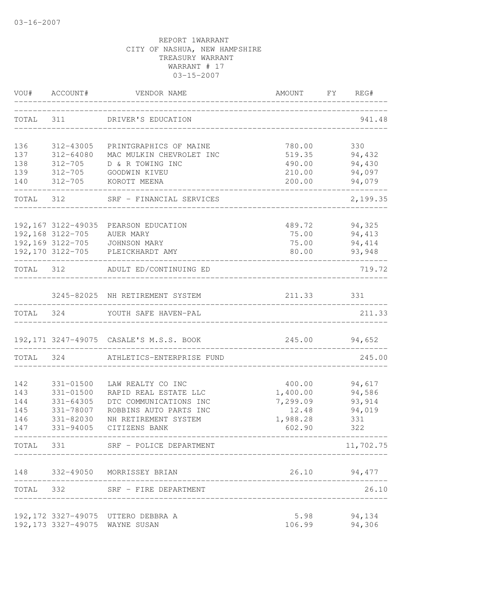| VOU#       | ACCOUNT#              | VENDOR NAME                                                       | AMOUNT           | $\Gamma$ Y<br>REG# |
|------------|-----------------------|-------------------------------------------------------------------|------------------|--------------------|
| TOTAL      | 311                   | DRIVER'S EDUCATION                                                |                  | 941.48             |
| 136        | 312-43005             | PRINTGRAPHICS OF MAINE                                            | 780.00           | 330                |
| 137        | 312-64080             | MAC MULKIN CHEVROLET INC                                          | 519.35           | 94,432             |
| 138        | 312-705               | D & R TOWING INC                                                  | 490.00           | 94,430             |
| 139<br>140 | 312-705<br>312-705    | GOODWIN KIVEU<br>KOROTT MEENA                                     | 210.00<br>200.00 | 94,097<br>94,079   |
| TOTAL 312  | _____________________ | SRF - FINANCIAL SERVICES                                          | ------------     | 2,199.35           |
|            | 192,167 3122-49035    | PEARSON EDUCATION                                                 | 489.72           | 94,325             |
|            | 192, 168 3122-705     | AUER MARY                                                         | 75.00            | 94,413             |
|            |                       |                                                                   | 75.00            | 94,414             |
|            |                       | 192,169 3122-705 JOHNSON MARY<br>192,170 3122-705 PLEICKHARDT AMY | 80.00            | 93,948             |
| TOTAL 312  |                       | ADULT ED/CONTINUING ED                                            |                  | 719.72             |
|            |                       | 3245-82025 NH RETIREMENT SYSTEM                                   | 211.33           | 331                |
| TOTAL      | 324                   | YOUTH SAFE HAVEN-PAL                                              |                  | 211.33             |
|            |                       | 192, 171 3247-49075 CASALE'S M.S.S. BOOK                          | 245.00           | 94,652             |
| TOTAL 324  |                       | ATHLETICS-ENTERPRISE FUND                                         |                  | 245.00             |
| 142        | 331-01500             | LAW REALTY CO INC                                                 | 400.00           | 94,617             |
| 143        | 331-01500             | RAPID REAL ESTATE LLC                                             | 1,400.00         | 94,586             |
| 144        | $331 - 64305$         | DTC COMMUNICATIONS INC                                            | 7,299.09         | 93, 914            |
| 145        | 331-78007             | ROBBINS AUTO PARTS INC                                            | 12.48            | 94,019             |
| 146        | 331-82030             | NH RETIREMENT SYSTEM                                              | 1,988.28         | 331                |
| 147        | 331-94005             | CITIZENS BANK                                                     | 602.90           | 322                |
| TOTAL      | 331                   | SRF - POLICE DEPARTMENT                                           |                  | 11,702.75          |
|            |                       | 148 332-49050 MORRISSEY BRIAN                                     |                  | 26.10 94,477       |
|            |                       | TOTAL 332 SRF - FIRE DEPARTMENT                                   |                  | 26.10              |
|            |                       | 192,172 3327-49075 UTTERO DEBBRA A                                | 5.98             | 94,134             |
|            |                       | 192,173 3327-49075 WAYNE SUSAN                                    | 106.99           | 94,306             |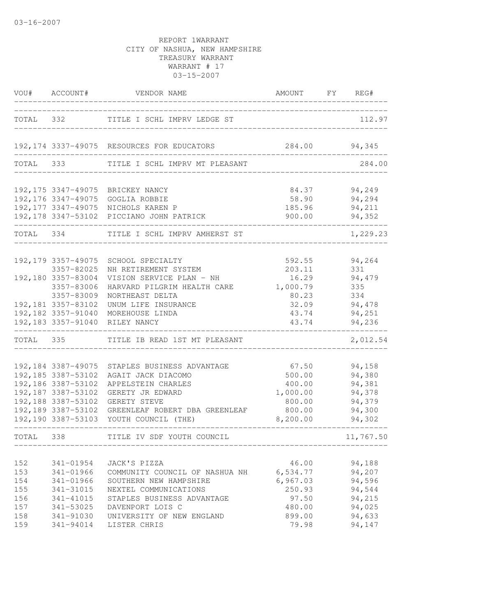|                                 |                                                                                                               | VOU# ACCOUNT# VENDOR NAME                                                                                                                                                                                 | AMOUNT FY REG#                                                        |                                                                    |
|---------------------------------|---------------------------------------------------------------------------------------------------------------|-----------------------------------------------------------------------------------------------------------------------------------------------------------------------------------------------------------|-----------------------------------------------------------------------|--------------------------------------------------------------------|
|                                 |                                                                                                               | TOTAL 332 TITLE I SCHL IMPRV LEDGE ST                                                                                                                                                                     |                                                                       | 112.97                                                             |
|                                 |                                                                                                               | 192,174 3337-49075 RESOURCES FOR EDUCATORS 284.00 94,345                                                                                                                                                  |                                                                       |                                                                    |
| TOTAL 333                       |                                                                                                               | TITLE I SCHL IMPRV MT PLEASANT                                                                                                                                                                            |                                                                       | 284.00                                                             |
|                                 |                                                                                                               | 192,175 3347-49075 BRICKEY NANCY<br>192,176 3347-49075 GOGLIA ROBBIE<br>192,177 3347-49075 NICHOLS KAREN P<br>192,178 3347-53102 PICCIANO JOHN PATRICK                                                    | 84.37<br>58.90<br>185.96<br>900.00                                    | 94,249<br>94,294<br>94,211<br>94,352                               |
| TOTAL 334                       |                                                                                                               | TITLE I SCHL IMPRV AMHERST ST                                                                                                                                                                             |                                                                       | 1,229.23                                                           |
|                                 | 192, 179 3357-49075<br>3357-82025                                                                             | SCHOOL SPECIALTY<br>NH RETIREMENT SYSTEM                                                                                                                                                                  | 592.55<br>203.11                                                      | 94,264<br>331                                                      |
|                                 | 192,180 3357-83004<br>3357-83006<br>3357-83009                                                                | VISION SERVICE PLAN - NH<br>HARVARD PILGRIM HEALTH CARE<br>NORTHEAST DELTA                                                                                                                                | 16.29<br>1,000.79<br>80.23                                            | 94,479<br>335<br>334                                               |
|                                 | 192,181 3357-83102<br>192,182 3357-91040<br>192, 183 3357-91040                                               | UNUM LIFE INSURANCE<br>MOREHOUSE LINDA<br>RILEY NANCY                                                                                                                                                     | 32.09<br>43.74<br>43.74                                               | 94,478<br>94,251<br>94,236                                         |
|                                 | TOTAL 335                                                                                                     | TITLE IB READ 1ST MT PLEASANT                                                                                                                                                                             |                                                                       | 2,012.54                                                           |
|                                 | 192,184 3387-49075<br>192, 185 3387-53102<br>192, 186 3387-53102<br>192, 187 3387-53102<br>192,188 3387-53102 | STAPLES BUSINESS ADVANTAGE<br>AGAIT JACK DIACOMO<br>APPELSTEIN CHARLES<br>GERETY JR EDWARD<br>GERETY STEVE<br>192,189 3387-53102 GREENLEAF ROBERT DBA GREENLEAF<br>192,190 3387-53103 YOUTH COUNCIL (THE) | 67.50<br>500.00<br>400.00<br>1,000.00<br>800.00<br>800.00<br>8,200.00 | 94,158<br>94,380<br>94,381<br>94,378<br>94,379<br>94,300<br>94,302 |
| TOTAL 338                       |                                                                                                               | TITLE IV SDF YOUTH COUNCIL                                                                                                                                                                                |                                                                       | 11,767.50                                                          |
| 152<br>153<br>154<br>155<br>156 | 341-01954<br>341-01966<br>341-01966<br>341-31015<br>341-41015                                                 | JACK'S PIZZA<br>COMMUNITY COUNCIL OF NASHUA NH<br>SOUTHERN NEW HAMPSHIRE<br>NEXTEL COMMUNICATIONS<br>STAPLES BUSINESS ADVANTAGE                                                                           | 46.00<br>6,534.77<br>6,967.03<br>250.93<br>97.50                      | 94,188<br>94,207<br>94,596<br>94,544<br>94,215                     |
| 157<br>158<br>159               | 341-53025<br>341-91030<br>341-94014                                                                           | DAVENPORT LOIS C<br>UNIVERSITY OF NEW ENGLAND<br>LISTER CHRIS                                                                                                                                             | 480.00<br>899.00<br>79.98                                             | 94,025<br>94,633<br>94,147                                         |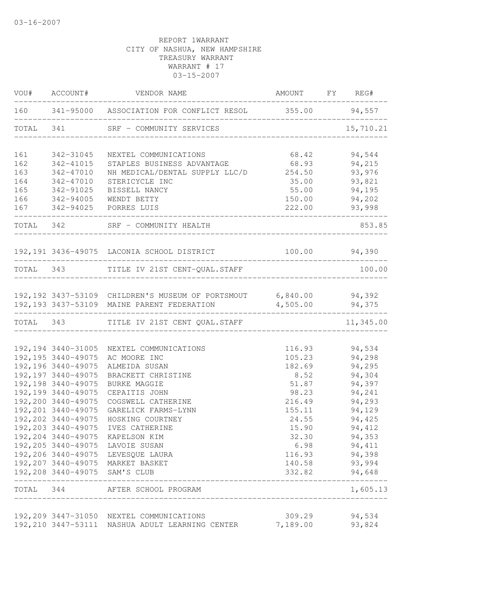| VOU#      | ACCOUNT#            | VENDOR NAME                                                                                                 | AMOUNT            | <b>FY</b> | REG#          |
|-----------|---------------------|-------------------------------------------------------------------------------------------------------------|-------------------|-----------|---------------|
|           |                     | 160 341-95000 ASSOCIATION FOR CONFLICT RESOL 355.00 94,557                                                  |                   |           |               |
| TOTAL 341 |                     | SRF - COMMUNITY SERVICES                                                                                    |                   |           | 15,710.21     |
| 161       | 342-31045           | NEXTEL COMMUNICATIONS                                                                                       | 68.42             |           | 94,544        |
| 162       | 342-41015           | STAPLES BUSINESS ADVANTAGE                                                                                  | 68.93             |           | 94,215        |
| 163       | 342-47010           | NH MEDICAL/DENTAL SUPPLY LLC/D 254.50                                                                       |                   |           | 93,976        |
| 164       | 342-47010           | STERICYCLE INC                                                                                              | 35.00             |           | 93,821        |
| 165       | 342-91025           | BISSELL NANCY                                                                                               | 55.00             |           | 94,195        |
| 166       |                     | 342-94005 WENDT BETTY                                                                                       |                   |           | 150.00 94,202 |
| 167       |                     | 342-94025 PORRES LUIS<br>---------------------                                                              | 222.00            |           | 93,998        |
|           |                     | TOTAL 342 SRF - COMMUNITY HEALTH                                                                            |                   |           | 853.85        |
|           |                     | 192,191 3436-49075 LACONIA SCHOOL DISTRICT                                                                  |                   |           | 100.00 94,390 |
|           |                     | TOTAL 343 TITLE IV 21ST CENT-QUAL.STAFF                                                                     |                   |           | 100.00        |
|           |                     | 192,192 3437-53109 CHILDREN'S MUSEUM OF PORTSMOUT 6,840.00 94,392                                           |                   |           |               |
|           |                     | 192,193 3437-53109 MAINE PARENT FEDERATION<br>.com/accommodation/accommodation/accommodation/accommodation/ | $4,505.00$ 94,375 |           | ----------    |
|           |                     | TOTAL 343 TITLE IV 21ST CENT QUAL.STAFF                                                                     |                   |           | 11,345.00     |
|           | 192, 194 3440-31005 | NEXTEL COMMUNICATIONS                                                                                       |                   |           | 116.93 94,534 |
|           | 192, 195 3440-49075 | AC MOORE INC                                                                                                | 105.23            |           | 94,298        |
|           | 192, 196 3440-49075 | ALMEIDA SUSAN                                                                                               | 182.69            |           | 94,295        |
|           | 192, 197 3440-49075 | BRACKETT CHRISTINE                                                                                          | 8.52              |           | 94,304        |
|           | 192, 198 3440-49075 | <b>BURKE MAGGIE</b>                                                                                         | 51.87             |           | 94,397        |
|           | 192, 199 3440-49075 | CEPAITIS JOHN                                                                                               | 98.23             |           | 94,241        |
|           | 192,200 3440-49075  | COGSWELL CATHERINE                                                                                          | 216.49            |           | 94,293        |
|           | 192,201 3440-49075  | GARELICK FARMS-LYNN                                                                                         | 155.11            |           | 94,129        |
|           | 192,202 3440-49075  | HOSKING COURTNEY                                                                                            | 24.55             |           | 94,425        |
|           | 192, 203 3440-49075 | IVES CATHERINE                                                                                              | 15.90             |           | 94,412        |
|           | 192, 204 3440-49075 | KAPELSON KIM                                                                                                | 32.30             |           | 94,353        |
|           |                     | 192,205 3440-49075 LAVOIE SUSAN                                                                             | 6.98              |           | 94, 411       |
|           |                     | 192,206 3440-49075 LEVESQUE LAURA                                                                           | 116.93            |           | 94,398        |
|           |                     | 192,207 3440-49075 MARKET BASKET                                                                            | 140.58            |           | 93,994        |
|           |                     | 192,208 3440-49075 SAM'S CLUB                                                                               | 332.82            |           | 94,648        |
| TOTAL 344 |                     | AFTER SCHOOL PROGRAM<br>-----------------------------------                                                 |                   |           | 1,605.13      |
|           |                     | 192,209 3447-31050 NEXTEL COMMUNICATIONS                                                                    | 309.29            |           | 94,534        |
|           |                     | 192, 210 3447-53111 NASHUA ADULT LEARNING CENTER                                                            | 7,189.00          |           | 93,824        |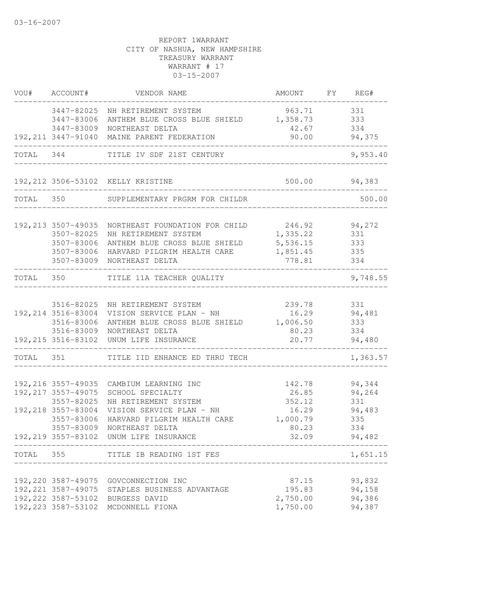|           | VOU# ACCOUNT#             | VENDOR NAME                                                          | AMOUNT FY REG#                                  |               |
|-----------|---------------------------|----------------------------------------------------------------------|-------------------------------------------------|---------------|
|           |                           | 3447-82025 NH RETIREMENT SYSTEM                                      | 963.71                                          | 331           |
|           | 3447-83006                | ANTHEM BLUE CROSS BLUE SHIELD 1,358.73                               |                                                 | 333           |
|           | 3447-83009                | NORTHEAST DELTA                                                      | 42.67                                           | 334           |
|           | _________________________ | 192, 211 3447-91040 MAINE PARENT FEDERATION                          | 90.00 94,375                                    |               |
|           |                           | TOTAL 344 TITLE IV SDF 21ST CENTURY                                  | _______________________________                 | 9,953.40      |
|           |                           | 192,212 3506-53102 KELLY KRISTINE                                    | 500.00 94,383<br>______________________________ |               |
| TOTAL 350 |                           | _______________________<br>SUPPLEMENTARY PRGRM FOR CHILDR            |                                                 | 500.00        |
|           |                           |                                                                      |                                                 |               |
|           | 192, 213 3507-49035       | NORTHEAST FOUNDATION FOR CHILD 246.92 94,272                         |                                                 |               |
|           | 3507-82025                | NH RETIREMENT SYSTEM                                                 | 1,335.22                                        | 331           |
|           | 3507-83006                | ANTHEM BLUE CROSS BLUE SHIELD                                        | 5,536.15                                        | 333           |
|           |                           | 3507-83006 HARVARD PILGRIM HEALTH CARE<br>3507-83009 NORTHEAST DELTA | 1,851.45<br>778.81                              | 335<br>334    |
|           |                           | TOTAL 350 TITLE 11A TEACHER QUALITY                                  |                                                 | 9,748.55      |
|           |                           |                                                                      |                                                 |               |
|           | 3516-82025                | NH RETIREMENT SYSTEM                                                 | 239.78                                          | 331           |
|           | 192,214 3516-83004        | VISION SERVICE PLAN - NH                                             | 16.29 94,481                                    |               |
|           | 3516-83006                | ANTHEM BLUE CROSS BLUE SHIELD 1,006.50                               |                                                 | 333           |
|           |                           | 3516-83009 NORTHEAST DELTA                                           | 80.23                                           | 334           |
|           |                           | 192, 215 3516-83102 UNUM LIFE INSURANCE                              | 20.77                                           | 94,480        |
|           |                           | TOTAL 351 TITLE IID ENHANCE ED THRU TECH                             |                                                 | 1,363.57      |
|           |                           |                                                                      |                                                 |               |
|           | 192,216 3557-49035        | CAMBIUM LEARNING INC                                                 |                                                 | 142.78 94,344 |
|           | 192, 217 3557-49075       | SCHOOL SPECIALTY                                                     | 26.85                                           | 94,264        |
|           | 3557-82025                | NH RETIREMENT SYSTEM                                                 | 352.12                                          | 331           |
|           | 192, 218 3557-83004       | VISION SERVICE PLAN - NH                                             | 16.29                                           | 94,483        |
|           | 3557-83006<br>3557-83009  | HARVARD PILGRIM HEALTH CARE<br>NORTHEAST DELTA                       | 1,000.79                                        | 335<br>334    |
|           | 192,219 3557-83102        | UNUM LIFE INSURANCE                                                  | 80.23<br>32.09                                  | 94,482        |
|           |                           | TOTAL 355 TITLE IB READING 1ST FES                                   |                                                 | 1,651.15      |
|           |                           |                                                                      |                                                 |               |
|           |                           | 192,220 3587-49075 GOVCONNECTION INC                                 | 87.15                                           | 93,832        |
|           |                           | 192, 221 3587-49075 STAPLES BUSINESS ADVANTAGE                       | 195.83                                          | 94,158        |
|           |                           | 192,222 3587-53102 BURGESS DAVID                                     | 2,750.00                                        | 94,386        |
|           |                           | 192, 223 3587-53102 MCDONNELL FIONA                                  | 1,750.00                                        | 94,387        |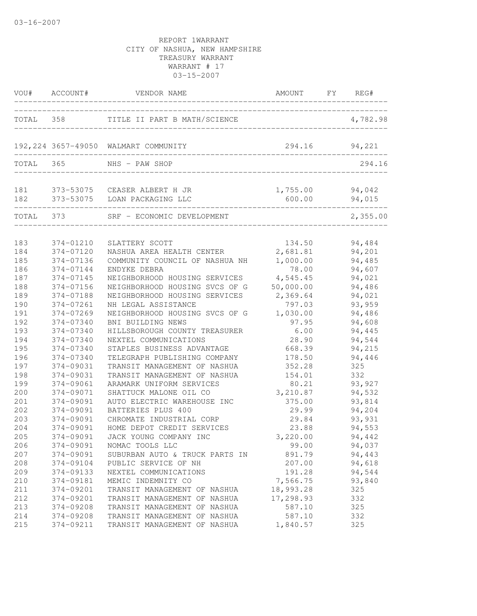| VOU#      | ACCOUNT#  | VENDOR NAME                                                      | AMOUNT             | FY | REG#             |
|-----------|-----------|------------------------------------------------------------------|--------------------|----|------------------|
|           |           | TOTAL 358 TITLE II PART B MATH/SCIENCE                           |                    |    | 4,782.98         |
|           |           | 192,224 3657-49050 WALMART COMMUNITY                             | 294.16             |    | 94,221           |
| TOTAL     | 365       | NHS - PAW SHOP                                                   |                    |    | 294.16           |
| 181       |           | 373-53075 CEASER ALBERT H JR<br>182 373-53075 LOAN PACKAGING LLC | 1,755.00<br>600.00 |    | 94,042<br>94,015 |
| TOTAL 373 |           | SRF - ECONOMIC DEVELOPMENT                                       |                    |    | 2,355.00         |
| 183       | 374-01210 | SLATTERY SCOTT                                                   | 134.50             |    | 94,484           |
| 184       | 374-07120 | NASHUA AREA HEALTH CENTER                                        | 2,681.81           |    | 94,201           |
| 185       | 374-07136 | COMMUNITY COUNCIL OF NASHUA NH                                   | 1,000.00           |    | 94,485           |
| 186       | 374-07144 | ENDYKE DEBRA                                                     | 78.00              |    | 94,607           |
| 187       | 374-07145 | NEIGHBORHOOD HOUSING SERVICES                                    | 4,545.45           |    | 94,021           |
| 188       | 374-07156 | NEIGHBORHOOD HOUSING SVCS OF G                                   | 50,000.00          |    | 94,486           |
| 189       | 374-07188 | NEIGHBORHOOD HOUSING SERVICES                                    | 2,369.64           |    | 94,021           |
| 190       | 374-07261 | NH LEGAL ASSISTANCE                                              | 797.03             |    | 93,959           |
| 191       | 374-07269 | NEIGHBORHOOD HOUSING SVCS OF G                                   | 1,030.00           |    | 94,486           |
| 192       | 374-07340 | BNI BUILDING NEWS                                                | 97.95              |    | 94,608           |
| 193       | 374-07340 | HILLSBOROUGH COUNTY TREASURER                                    | 6.00               |    | 94,445           |
| 194       | 374-07340 | NEXTEL COMMUNICATIONS                                            | 28.90              |    | 94,544           |
| 195       | 374-07340 | STAPLES BUSINESS ADVANTAGE                                       | 668.39             |    | 94,215           |
| 196       | 374-07340 | TELEGRAPH PUBLISHING COMPANY                                     | 178.50             |    | 94,446           |
| 197       | 374-09031 | TRANSIT MANAGEMENT OF NASHUA                                     | 352.28             |    | 325              |
| 198       | 374-09031 | TRANSIT MANAGEMENT OF NASHUA                                     | 154.01             |    | 332              |
| 199       | 374-09061 | ARAMARK UNIFORM SERVICES                                         | 80.21              |    | 93,927           |
| 200       | 374-09071 | SHATTUCK MALONE OIL CO                                           | 3,210.87           |    | 94,532           |
| 201       | 374-09091 | AUTO ELECTRIC WAREHOUSE INC                                      | 375.00             |    | 93,814           |
| 202       | 374-09091 | BATTERIES PLUS 400                                               | 29.99              |    | 94,204           |
| 203       | 374-09091 | CHROMATE INDUSTRIAL CORP                                         | 29.84              |    | 93,931           |
| 204       | 374-09091 | HOME DEPOT CREDIT SERVICES                                       | 23.88              |    | 94,553           |
| 205       | 374-09091 | JACK YOUNG COMPANY INC                                           | 3,220.00           |    | 94,442           |
| 206       | 374-09091 | NOMAC TOOLS LLC                                                  | 99.00              |    | 94,037           |
| 207       | 374-09091 | SUBURBAN AUTO & TRUCK PARTS IN                                   | 891.79             |    | 94,443           |
| 208       | 374-09104 | PUBLIC SERVICE OF NH                                             | 207.00             |    | 94,618           |
| 209       | 374-09133 | NEXTEL COMMUNICATIONS                                            | 191.28             |    | 94,544           |
| 210       | 374-09181 | MEMIC INDEMNITY CO                                               | 7,566.75           |    | 93,840           |
| 211       | 374-09201 | TRANSIT MANAGEMENT OF NASHUA                                     | 18,993.28          |    | 325              |
| 212       | 374-09201 | TRANSIT MANAGEMENT OF NASHUA                                     | 17,298.93          |    | 332              |
| 213       | 374-09208 | TRANSIT MANAGEMENT OF NASHUA                                     | 587.10             |    | 325              |
| 214       | 374-09208 | TRANSIT MANAGEMENT OF NASHUA                                     | 587.10             |    | 332              |
| 215       | 374-09211 | TRANSIT MANAGEMENT OF NASHUA                                     | 1,840.57           |    | 325              |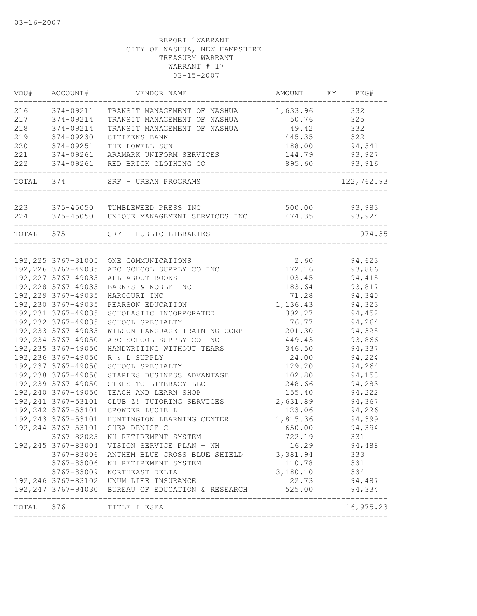| VOU#      | ACCOUNT#            | VENDOR NAME                                       | AMOUNT   | FY | REG#       |
|-----------|---------------------|---------------------------------------------------|----------|----|------------|
| 216       | 374-09211           | TRANSIT MANAGEMENT OF NASHUA                      | 1,633.96 |    | 332        |
| 217       | 374-09214           | TRANSIT MANAGEMENT OF NASHUA                      | 50.76    |    | 325        |
| 218       | 374-09214           | TRANSIT MANAGEMENT OF NASHUA                      | 49.42    |    | 332        |
| 219       | 374-09230           | CITIZENS BANK                                     | 445.35   |    | 322        |
| 220       | 374-09251           | THE LOWELL SUN                                    | 188.00   |    | 94,541     |
| 221       | 374-09261           | ARAMARK UNIFORM SERVICES                          | 144.79   |    | 93,927     |
| 222       | 374-09261           | RED BRICK CLOTHING CO                             | 895.60   |    | 93,916     |
| TOTAL 374 |                     | SRF - URBAN PROGRAMS                              |          |    | 122,762.93 |
| 223       | 375-45050           | TUMBLEWEED PRESS INC                              | 500.00   |    | 93,983     |
| 224       | 375-45050           | UNIQUE MANAGEMENT SERVICES INC                    | 474.35   |    | 93,924     |
|           |                     |                                                   |          |    |            |
| TOTAL     | 375                 | SRF - PUBLIC LIBRARIES                            |          |    | 974.35     |
|           | 192, 225 3767-31005 | ONE COMMUNICATIONS                                | 2.60     |    | 94,623     |
|           | 192, 226 3767-49035 | ABC SCHOOL SUPPLY CO INC                          | 172.16   |    | 93,866     |
|           | 192, 227 3767-49035 | ALL ABOUT BOOKS                                   | 103.45   |    | 94,415     |
|           | 192,228 3767-49035  | BARNES & NOBLE INC                                | 183.64   |    | 93,817     |
|           | 192,229 3767-49035  | HARCOURT INC                                      | 71.28    |    | 94,340     |
|           | 192,230 3767-49035  | PEARSON EDUCATION                                 | 1,136.43 |    | 94,323     |
|           | 192, 231 3767-49035 | SCHOLASTIC INCORPORATED                           | 392.27   |    | 94,452     |
|           | 192, 232 3767-49035 | SCHOOL SPECIALTY                                  | 76.77    |    | 94,264     |
|           | 192, 233 3767-49035 | WILSON LANGUAGE TRAINING CORP                     | 201.30   |    | 94,328     |
|           | 192, 234 3767-49050 | ABC SCHOOL SUPPLY CO INC                          | 449.43   |    | 93,866     |
|           | 192, 235 3767-49050 | HANDWRITING WITHOUT TEARS                         | 346.50   |    | 94,337     |
|           | 192,236 3767-49050  | R & L SUPPLY                                      | 24.00    |    | 94,224     |
|           | 192, 237 3767-49050 | SCHOOL SPECIALTY                                  | 129.20   |    | 94,264     |
|           | 192,238 3767-49050  | STAPLES BUSINESS ADVANTAGE                        | 102.80   |    | 94,158     |
|           | 192,239 3767-49050  | STEPS TO LITERACY LLC                             | 248.66   |    | 94,283     |
|           | 192,240 3767-49050  | TEACH AND LEARN SHOP                              | 155.40   |    |            |
|           |                     | CLUB Z! TUTORING SERVICES                         | 2,631.89 |    | 94,222     |
|           | 192, 241 3767-53101 |                                                   | 123.06   |    | 94,367     |
|           | 192, 242 3767-53101 | CROWDER LUCIE L                                   |          |    | 94,226     |
|           | 192, 243 3767-53101 | HUNTINGTON LEARNING CENTER                        | 1,815.36 |    | 94,399     |
|           | 192, 244 3767-53101 | SHEA DENISE C                                     | 650.00   |    | 94,394     |
|           | 3767-82025          | NH RETIREMENT SYSTEM                              | 722.19   |    | 331        |
|           |                     | 192,245 3767-83004 VISION SERVICE PLAN - NH       | 16.29    |    | 94,488     |
|           |                     | 3767-83006 ANTHEM BLUE CROSS BLUE SHIELD          | 3,381.94 |    | 333        |
|           | 3767-83006          | NH RETIREMENT SYSTEM                              | 110.78   |    | 331        |
|           |                     | 3767-83009 NORTHEAST DELTA                        | 3,180.10 |    | 334        |
|           |                     | 192, 246 3767-83102 UNUM LIFE INSURANCE           | 22.73    |    | 94,487     |
|           |                     | 192,247 3767-94030 BUREAU OF EDUCATION & RESEARCH | 525.00   |    | 94,334     |
| TOTAL 376 |                     | TITLE I ESEA                                      |          |    | 16,975.23  |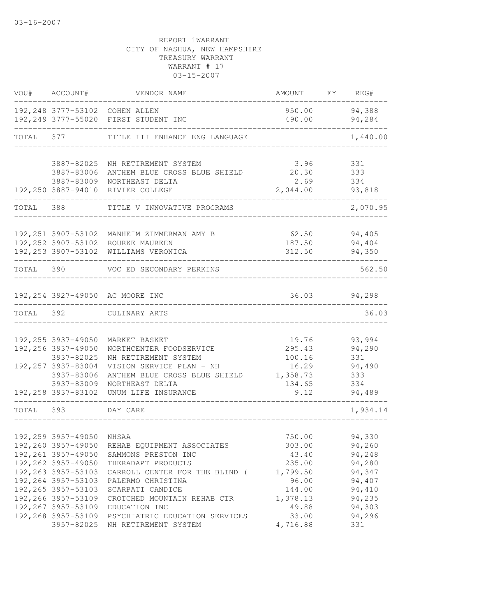| VOU#      | ACCOUNT#                                                                                                                                                                                                | VENDOR NAME                                                                                                                                                                                                 | AMOUNT                                                                                  | FY | REG#                                                                                   |
|-----------|---------------------------------------------------------------------------------------------------------------------------------------------------------------------------------------------------------|-------------------------------------------------------------------------------------------------------------------------------------------------------------------------------------------------------------|-----------------------------------------------------------------------------------------|----|----------------------------------------------------------------------------------------|
|           |                                                                                                                                                                                                         | 192,248 3777-53102 COHEN ALLEN<br>192,249 3777-55020 FIRST STUDENT INC                                                                                                                                      | 950.00<br>490.00                                                                        |    | 94,388<br>94,284                                                                       |
| TOTAL 377 |                                                                                                                                                                                                         | TITLE III ENHANCE ENG LANGUAGE                                                                                                                                                                              |                                                                                         |    | 1,440.00                                                                               |
|           | 3887-82025<br>3887-83006<br>3887-83009<br>192,250 3887-94010                                                                                                                                            | NH RETIREMENT SYSTEM<br>ANTHEM BLUE CROSS BLUE SHIELD<br>NORTHEAST DELTA<br>RIVIER COLLEGE                                                                                                                  | 3.96<br>20.30<br>2.69<br>2,044.00                                                       |    | 331<br>333<br>334<br>93,818                                                            |
| TOTAL 388 |                                                                                                                                                                                                         | TITLE V INNOVATIVE PROGRAMS                                                                                                                                                                                 |                                                                                         |    | 2,070.95                                                                               |
|           | 192,252 3907-53102                                                                                                                                                                                      | 192,251 3907-53102 MANHEIM ZIMMERMAN AMY B<br>ROURKE MAUREEN<br>192,253 3907-53102 WILLIAMS VERONICA                                                                                                        | 62.50<br>187.50<br>312.50                                                               |    | 94,405<br>94,404<br>94,350                                                             |
| TOTAL 390 |                                                                                                                                                                                                         | VOC ED SECONDARY PERKINS                                                                                                                                                                                    |                                                                                         |    | 562.50                                                                                 |
|           |                                                                                                                                                                                                         | 192,254 3927-49050 AC MOORE INC                                                                                                                                                                             |                                                                                         |    | 36.03 94,298                                                                           |
| TOTAL 392 |                                                                                                                                                                                                         | CULINARY ARTS                                                                                                                                                                                               |                                                                                         |    | 36.03                                                                                  |
|           | 192,255 3937-49050<br>192,256 3937-49050<br>3937-82025<br>192, 257 3937-83004<br>3937-83006<br>3937-83009                                                                                               | MARKET BASKET<br>NORTHCENTER FOODSERVICE<br>NH RETIREMENT SYSTEM<br>VISION SERVICE PLAN - NH<br>ANTHEM BLUE CROSS BLUE SHIELD<br>NORTHEAST DELTA                                                            | 19.76<br>295.43<br>100.16<br>16.29<br>1,358.73<br>134.65                                |    | 93,994<br>94,290<br>331<br>94,490<br>333<br>334                                        |
| TOTAL 393 | 192,258 3937-83102                                                                                                                                                                                      | UNUM LIFE INSURANCE<br>DAY CARE                                                                                                                                                                             | 9.12                                                                                    |    | 94,489<br>1,934.14                                                                     |
|           |                                                                                                                                                                                                         |                                                                                                                                                                                                             |                                                                                         |    |                                                                                        |
|           | 192,259 3957-49050<br>192,260 3957-49050<br>192, 261 3957-49050<br>192,262 3957-49050<br>192, 263 3957-53103<br>192, 264 3957-53103<br>192, 265 3957-53103<br>192,266 3957-53109<br>192, 267 3957-53109 | NHSAA<br>REHAB EQUIPMENT ASSOCIATES<br>SAMMONS PRESTON INC<br>THERADAPT PRODUCTS<br>CARROLL CENTER FOR THE BLIND (<br>PALERMO CHRISTINA<br>SCARPATI CANDICE<br>CROTCHED MOUNTAIN REHAB CTR<br>EDUCATION INC | 750.00<br>303.00<br>43.40<br>235.00<br>1,799.50<br>96.00<br>144.00<br>1,378.13<br>49.88 |    | 94,330<br>94,260<br>94,248<br>94,280<br>94,347<br>94,407<br>94,410<br>94,235<br>94,303 |
|           | 192,268 3957-53109<br>3957-82025                                                                                                                                                                        | PSYCHIATRIC EDUCATION SERVICES<br>NH RETIREMENT SYSTEM                                                                                                                                                      | 33.00<br>4,716.88                                                                       |    | 94,296<br>331                                                                          |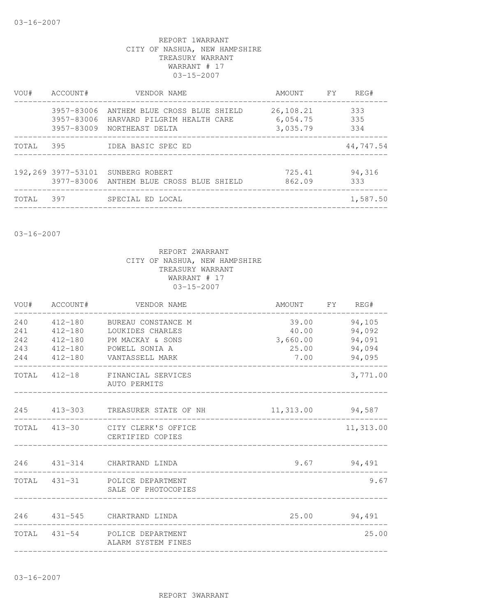| VOU#  | ACCOUNT#   | VENDOR NAME                                                                                           | AMOUNT FY                         | REG#              |
|-------|------------|-------------------------------------------------------------------------------------------------------|-----------------------------------|-------------------|
|       | 3957-83006 | ANTHEM BLUE CROSS BLUE SHIELD<br>3957-83006 HARVARD PILGRIM HEALTH CARE<br>3957-83009 NORTHEAST DELTA | 26,108.21<br>6,054.75<br>3,035.79 | 333<br>335<br>334 |
| TOTAL | 395        | IDEA BASIC SPEC ED                                                                                    |                                   | 44,747.54         |
|       |            | 192,269 3977-53101 SUNBERG ROBERT<br>3977-83006 ANTHEM BLUE CROSS BLUE SHIELD                         | 725.41<br>862.09                  | 94,316<br>333     |
| TOTAL | 397        | SPECIAL ED LOCAL                                                                                      |                                   | 1,587.50          |
|       |            |                                                                                                       |                                   |                   |

03-16-2007

|            | VOU# ACCOUNT#          | VENDOR NAME                                                     | AMOUNT FY REG#    |                  |
|------------|------------------------|-----------------------------------------------------------------|-------------------|------------------|
| 240<br>241 | 412-180                | 412-180 BUREAU CONSTANCE M<br>LOUKIDES CHARLES                  | 39.00<br>40.00    | 94,105<br>94,092 |
| 242<br>243 | $412 - 180$<br>412-180 | PM MACKAY & SONS<br>POWELL SONIA A                              | 3,660.00<br>25.00 | 94,091<br>94,094 |
| 244        |                        | 412-180 VANTASSELL MARK                                         | 7.00              | 94,095           |
|            |                        | TOTAL 412-18 FINANCIAL SERVICES<br>AUTO PERMITS                 |                   | 3,771.00         |
|            |                        | 245 413-303 TREASURER STATE OF NH                               | 11,313.00 94,587  |                  |
|            |                        | TOTAL 413-30 CITY CLERK'S OFFICE<br>CERTIFIED COPIES            |                   | 11,313.00        |
|            |                        | 246 431-314 CHARTRAND LINDA<br>________________________________ |                   | $9.67$ $94,491$  |
|            |                        | TOTAL 431-31 POLICE DEPARTMENT<br>SALE OF PHOTOCOPIES           |                   | 9.67             |
|            |                        | 246  431-545  CHARTRAND LINDA                                   | 25.00 94,491      |                  |
|            |                        | TOTAL 431-54 POLICE DEPARTMENT<br>ALARM SYSTEM FINES            |                   | 25.00            |
|            |                        |                                                                 |                   |                  |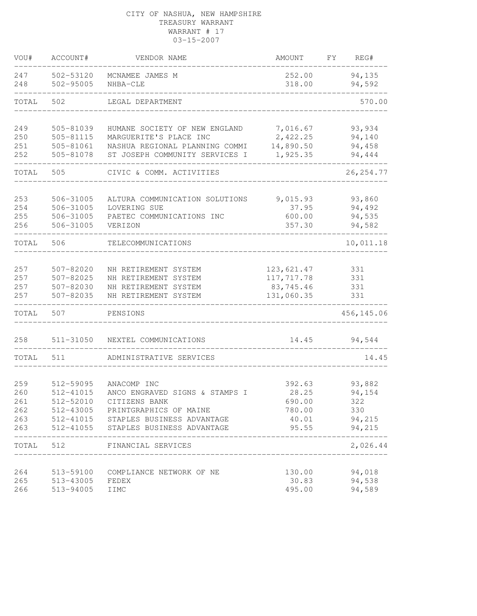## CITY OF NASHUA, NEW HAMPSHIRE TREASURY WARRANT WARRANT # 17 03-15-2007

| VOU#       | ACCOUNT#               | VENDOR NAME                          | AMOUNT           | FY. | REG#             |
|------------|------------------------|--------------------------------------|------------------|-----|------------------|
| 247<br>248 | 502-53120<br>502-95005 | MCNAMEE JAMES M<br>NHBA-CLE          | 252.00<br>318.00 |     | 94,135<br>94,592 |
| TOTAL      | 502                    | LEGAL DEPARTMENT                     |                  |     | 570.00           |
| 249        | 505-81039              | HUMANE SOCIETY OF NEW ENGLAND        | 7,016.67         |     | 93,934           |
| 250        | 505-81115              | MARGUERITE'S PLACE INC               | 2,422.25         |     | 94,140           |
| 251        | 505-81061              | NASHUA REGIONAL PLANNING COMMI       | 14,890.50        |     | 94,458           |
| 252        | 505-81078              | ST JOSEPH COMMUNITY SERVICES I       | 1,925.35         |     | 94,444           |
| TOTAL      | 505                    | CIVIC & COMM. ACTIVITIES             |                  |     | 26, 254.77       |
| 253        | 506-31005              | ALTURA COMMUNICATION SOLUTIONS       | 9,015.93         |     | 93,860           |
| 254        | 506-31005              | LOVERING SUE                         | 37.95            |     | 94,492           |
| 255        | 506-31005              | PAETEC COMMUNICATIONS INC            | 600.00           |     | 94,535           |
| 256        | 506-31005              | VERIZON                              | 357.30           |     | 94,582           |
| TOTAL      | 506                    | TELECOMMUNICATIONS                   |                  |     | 10,011.18        |
| 257        | 507-82020              | NH RETIREMENT SYSTEM                 | 123,621.47       |     | 331              |
| 257        | 507-82025              | NH RETIREMENT SYSTEM                 | 117,717.78       |     | 331              |
| 257        | 507-82030              | NH RETIREMENT SYSTEM                 | 83,745.46        |     | 331              |
| 257        | 507-82035              | NH RETIREMENT SYSTEM                 | 131,060.35       |     | 331              |
| TOTAL      | 507                    | PENSIONS                             |                  |     | 456, 145.06      |
| 258        | 511-31050              | NEXTEL COMMUNICATIONS                | 14.45            |     | 94,544           |
| TOTAL      | 511                    | ADMINISTRATIVE SERVICES              |                  |     | 14.45            |
| 259        | 512-59095              | ANACOMP INC                          | 392.63           |     | 93,882           |
| 260        | 512-41015              | ANCO ENGRAVED SIGNS & STAMPS I       | 28.25            |     | 94,154           |
| 261        | 512-52010              | CITIZENS BANK                        | 690.00           |     | 322              |
| 262        |                        | 512-43005 PRINTGRAPHICS OF MAINE     | 780.00           |     | 330              |
| 263        |                        | 512-41015 STAPLES BUSINESS ADVANTAGE | 40.01            |     | 94,215           |
| 263        |                        | 512-41055 STAPLES BUSINESS ADVANTAGE | 95.55            |     | 94,215           |
| TOTAL      | 512                    | FINANCIAL SERVICES                   |                  |     | 2,026.44         |
| 264        | 513-59100              | COMPLIANCE NETWORK OF NE             | 130.00           |     | 94,018           |
| 265        | 513-43005              | FEDEX                                | 30.83            |     | 94,538           |
| 266        | 513-94005              | IIMC                                 | 495.00           |     | 94,589           |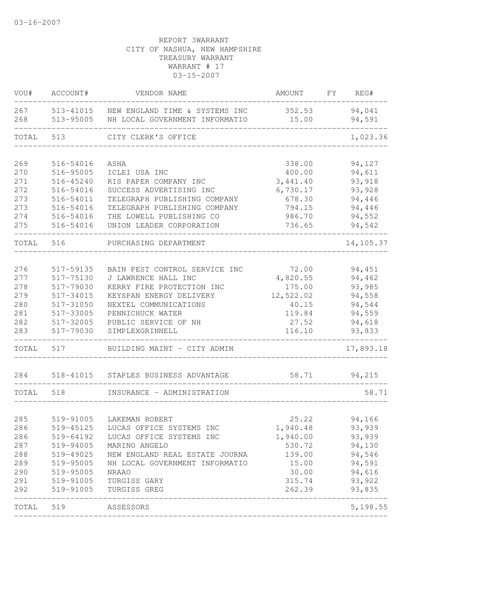| VOU#       | ACCOUNT#               | VENDOR NAME                                                      | AMOUNT          | FY | REG#             |
|------------|------------------------|------------------------------------------------------------------|-----------------|----|------------------|
| 267<br>268 | 513-41015<br>513-95005 | NEW ENGLAND TIME & SYSTEMS INC<br>NH LOCAL GOVERNMENT INFORMATIO | 352.53<br>15.00 |    | 94,041<br>94,591 |
| TOTAL      | 513                    | CITY CLERK'S OFFICE                                              |                 |    | 1,023.36         |
|            |                        |                                                                  |                 |    |                  |
| 269        | 516-54016              | ASHA                                                             | 338.00          |    | 94,127           |
| 270        | 516-95005              | ICLEI USA INC                                                    | 400.00          |    | 94,611           |
| 271        | 516-45240              | RIS PAPER COMPANY INC                                            | 3,441.40        |    | 93,918           |
| 272        | 516-54016              | SUCCESS ADVERTISING INC                                          | 6,730.17        |    | 93,928           |
| 273        | 516-54011              | TELEGRAPH PUBLISHING COMPANY                                     | 678.30          |    | 94,446           |
| 273        | 516-54016              | TELEGRAPH PUBLISHING COMPANY                                     | 794.15          |    | 94,446           |
| 274        | 516-54016              | THE LOWELL PUBLISHING CO                                         | 986.70          |    | 94,552           |
| 275        | 516-54016              | UNION LEADER CORPORATION                                         | 736.65          |    | 94,542           |
| TOTAL      | 516                    | PURCHASING DEPARTMENT                                            |                 |    | 14,105.37        |
|            |                        |                                                                  |                 |    |                  |
| 276        | 517-59135              | BAIN PEST CONTROL SERVICE INC                                    | 72.00           |    | 94,451           |
| 277        | 517-75130              | J LAWRENCE HALL INC                                              | 4,820.55        |    | 94,462           |
| 278        | 517-79030              | KERRY FIRE PROTECTION INC                                        | 175.00          |    | 93,985           |
| 279        | 517-34015              | KEYSPAN ENERGY DELIVERY                                          | 12,522.02       |    | 94,558           |
| 280        | 517-31050              | NEXTEL COMMUNICATIONS                                            | 40.15           |    | 94,544           |
| 281        | 517-33005              | PENNICHUCK WATER                                                 | 119.84          |    | 94,559           |
| 282        | 517-32005              | PUBLIC SERVICE OF NH                                             | 27.52           |    | 94,618           |
| 283        | 517-79030              | SIMPLEXGRINNELL                                                  | 116.10          |    | 93,833           |
| TOTAL      | 517                    | BUILDING MAINT - CITY ADMIN                                      |                 |    | 17,893.18        |
| 284        | 518-41015              | STAPLES BUSINESS ADVANTAGE                                       | 58.71           |    | 94,215           |
|            |                        |                                                                  |                 |    |                  |
| TOTAL      | 518                    | INSURANCE - ADMINISTRATION                                       |                 |    | 58.71            |
|            |                        |                                                                  |                 |    |                  |
| 285        | 519-91005              | LAKEMAN ROBERT                                                   | 25.22           |    | 94,166           |
| 286        | 519-45125              | LUCAS OFFICE SYSTEMS INC                                         | 1,940.48        |    | 93,939           |
| 286        | 519-64192              | LUCAS OFFICE SYSTEMS INC                                         | 1,940.00        |    | 93,939           |
| 287        | 519-94005              | MARINO ANGELO                                                    | 530.72          |    | 94,130           |
|            |                        | 288 519-49025 NEW ENGLAND REAL ESTATE JOURNA                     | 139.00          |    | 94,546           |
| 289        | 519-95005              | NH LOCAL GOVERNMENT INFORMATIO                                   | 15.00           |    | 94,591           |
| 290        | 519-95005              | NRAAO                                                            | 30.00           |    | 94,616           |
| 291        |                        | 519-91005 TURGISS GARY                                           | 315.74          |    | 93,922           |
| 292        |                        | 519-91005 TURGISS GREG<br>__________________________             | 262.39          |    | 93,835           |
|            | TOTAL 519 ASSESSORS    |                                                                  |                 |    | 5,198.55         |
|            |                        |                                                                  |                 |    |                  |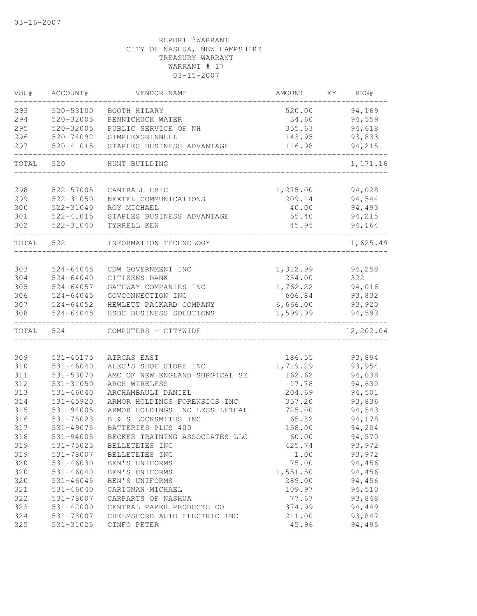| VOU#  | ACCOUNT#               | VENDOR NAME                    | AMOUNT             | FY | REG#      |
|-------|------------------------|--------------------------------|--------------------|----|-----------|
| 293   | 520-53100              | BOOTH HILARY                   | 520.00             |    | 94,169    |
| 294   | 520-32005              | PENNICHUCK WATER               | 34.60              |    | 94,559    |
| 295   | 520-32005              | PUBLIC SERVICE OF NH           | 355.63             |    | 94,618    |
| 296   | 520-74092              | SIMPLEXGRINNELL                | 143.95             |    | 93,833    |
| 297   | $520 - 41015$          | STAPLES BUSINESS ADVANTAGE     | 116.98             |    | 94,215    |
| TOTAL | 520                    | HUNT BUILDING                  |                    |    | 1,171.16  |
| 298   |                        | CANTRALL ERIC                  |                    |    | 94,028    |
| 299   | 522-57005<br>522-31050 | NEXTEL COMMUNICATIONS          | 1,275.00<br>209.14 |    | 94,544    |
| 300   | 522-31040              | ROY MICHAEL                    | 40.00              |    | 94,493    |
| 301   | 522-41015              | STAPLES BUSINESS ADVANTAGE     | 55.40              |    | 94,215    |
| 302   | 522-31040              | TYRRELL KEN                    | 45.95              |    | 94,164    |
| TOTAL | 522                    | INFORMATION TECHNOLOGY         |                    |    | 1,625.49  |
|       |                        |                                |                    |    |           |
| 303   | $524 - 64045$          | CDW GOVERNMENT INC             | 1,312.99           |    | 94,258    |
| 304   | $524 - 64040$          | CITIZENS BANK                  | 254.00             |    | 322       |
| 305   | $524 - 64057$          | GATEWAY COMPANIES INC          | 1,762.22           |    | 94,016    |
| 306   | 524-64045              | GOVCONNECTION INC              | 606.84             |    | 93,832    |
| 307   | 524-64052              | HEWLETT PACKARD COMPANY        | 6,666.00           |    | 93,920    |
| 308   | $524 - 64045$          | HSBC BUSINESS SOLUTIONS        | 1,599.99           |    | 94,593    |
| TOTAL | 524                    | COMPUTERS - CITYWIDE           |                    |    | 12,202.04 |
|       |                        |                                |                    |    |           |
| 309   | 531-45175              | AIRGAS EAST                    | 186.55             |    | 93,894    |
| 310   | $531 - 46040$          | ALEC'S SHOE STORE INC          | 1,719.29           |    | 93,954    |
| 311   | 531-53070              | AMC OF NEW ENGLAND SURGICAL SE | 162.62             |    | 94,038    |
| 312   | 531-31050              | ARCH WIRELESS                  | 17.78              |    | 94,630    |
| 313   | $531 - 46040$          | ARCHAMBAULT DANIEL             | 204.69             |    | 94,501    |
| 314   | $531 - 45920$          | ARMOR HOLDINGS FORENSICS INC   | 357.20             |    | 93,836    |
| 315   | 531-94005              | ARMOR HOLDINGS INC LESS-LETHAL | 725.00             |    | 94,543    |
| 316   | 531-75023              | B & S LOCKSMITHS INC           | 65.82              |    | 94,178    |
| 317   | 531-49075              | BATTERIES PLUS 400             | 158.00             |    | 94,204    |
| 318   | 531-94005              | BECKER TRAINING ASSOCIATES LLC | 60.00              |    | 94,570    |
| 319   | 531-75023              | BELLETETES INC                 | 425.74             |    | 93,972    |
| 319   | 531-78007              | BELLETETES INC                 | 1.00               |    | 93,972    |
| 320   | $531 - 46030$          | BEN'S UNIFORMS                 | 75.00              |    | 94,456    |
| 320   | $531 - 46040$          | BEN'S UNIFORMS                 | 1,551.50           |    | 94,456    |
| 320   | $531 - 46045$          | BEN'S UNIFORMS                 | 289.00             |    | 94,456    |
| 321   | $531 - 46040$          | CARIGNAN MICHAEL               | 109.97             |    | 94,510    |
| 322   | 531-78007              | CARPARTS OF NASHUA             | 77.67              |    | 93,848    |
| 323   | 531-42000              | CENTRAL PAPER PRODUCTS CO      | 374.99             |    | 94,449    |
| 324   | 531-78007              | CHELMSFORD AUTO ELECTRIC INC   | 211.00             |    | 93,847    |
| 325   | 531-31025              | CINFO PETER                    | 45.96              |    | 94,495    |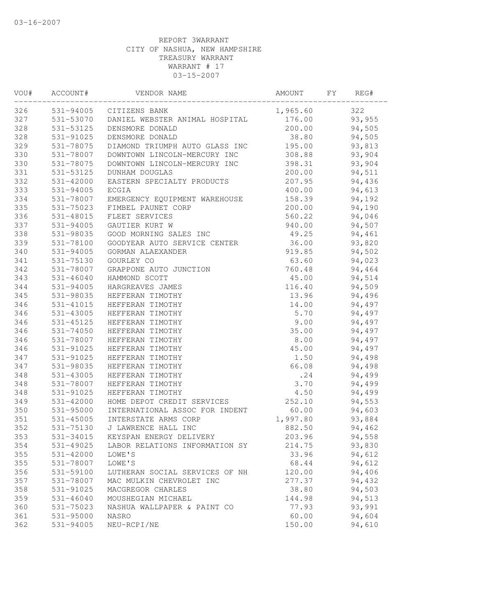| VOU# | ACCOUNT#      | VENDOR NAME                    | AMOUNT   | FY | REG#   |  |
|------|---------------|--------------------------------|----------|----|--------|--|
| 326  |               | 531-94005 CITIZENS BANK        | 1,965.60 |    | 322    |  |
| 327  | 531-53070     | DANIEL WEBSTER ANIMAL HOSPITAL | 176.00   |    | 93,955 |  |
| 328  | 531-53125     | DENSMORE DONALD                | 200.00   |    | 94,505 |  |
| 328  | 531-91025     | DENSMORE DONALD                | 38.80    |    | 94,505 |  |
| 329  | 531-78075     | DIAMOND TRIUMPH AUTO GLASS INC | 195.00   |    | 93,813 |  |
| 330  | 531-78007     | DOWNTOWN LINCOLN-MERCURY INC   | 308.88   |    | 93,904 |  |
| 330  | 531-78075     | DOWNTOWN LINCOLN-MERCURY INC   | 398.31   |    | 93,904 |  |
| 331  | 531-53125     | DUNHAM DOUGLAS                 | 200.00   |    | 94,511 |  |
| 332  | $531 - 42000$ | EASTERN SPECIALTY PRODUCTS     | 207.95   |    | 94,436 |  |
| 333  | 531-94005     | <b>ECGIA</b>                   | 400.00   |    | 94,613 |  |
| 334  | 531-78007     | EMERGENCY EQUIPMENT WAREHOUSE  | 158.39   |    | 94,192 |  |
| 335  | 531-75023     | FIMBEL PAUNET CORP             | 200.00   |    | 94,190 |  |
| 336  | 531-48015     | FLEET SERVICES                 | 560.22   |    | 94,046 |  |
| 337  | 531-94005     | GAUTIER KURT W                 | 940.00   |    | 94,507 |  |
| 338  | 531-98035     | GOOD MORNING SALES INC         | 49.25    |    | 94,461 |  |
| 339  | 531-78100     | GOODYEAR AUTO SERVICE CENTER   | 36.00    |    | 93,820 |  |
| 340  | 531-94005     | GORMAN ALAEXANDER              | 919.85   |    | 94,502 |  |
| 341  | 531-75130     | GOURLEY CO                     | 63.60    |    | 94,023 |  |
| 342  | 531-78007     | GRAPPONE AUTO JUNCTION         | 760.48   |    | 94,464 |  |
| 343  | $531 - 46040$ | HAMMOND SCOTT                  | 45.00    |    | 94,514 |  |
| 344  | 531-94005     | HARGREAVES JAMES               | 116.40   |    | 94,509 |  |
| 345  | 531-98035     | HEFFERAN TIMOTHY               | 13.96    |    | 94,496 |  |
| 346  | 531-41015     | HEFFERAN TIMOTHY               | 14.00    |    | 94,497 |  |
| 346  | 531-43005     | HEFFERAN TIMOTHY               | 5.70     |    | 94,497 |  |
| 346  | 531-45125     | HEFFERAN TIMOTHY               | 9.00     |    | 94,497 |  |
| 346  | 531-74050     | HEFFERAN TIMOTHY               | 35.00    |    | 94,497 |  |
| 346  | 531-78007     | HEFFERAN TIMOTHY               | 8.00     |    | 94,497 |  |
| 346  | 531-91025     | HEFFERAN TIMOTHY               | 45.00    |    | 94,497 |  |
| 347  | 531-91025     | HEFFERAN TIMOTHY               | 1.50     |    | 94,498 |  |
| 347  | 531-98035     | HEFFERAN TIMOTHY               | 66.08    |    | 94,498 |  |
| 348  | $531 - 43005$ | HEFFERAN TIMOTHY               | .24      |    | 94,499 |  |
| 348  | 531-78007     | HEFFERAN TIMOTHY               | 3.70     |    | 94,499 |  |
| 348  | 531-91025     | HEFFERAN TIMOTHY               | 4.50     |    | 94,499 |  |
| 349  | 531-42000     | HOME DEPOT CREDIT SERVICES     | 252.10   |    | 94,553 |  |
| 350  | 531-95000     | INTERNATIONAL ASSOC FOR INDENT | 60.00    |    | 94,603 |  |
| 351  | 531-45005     | INTERSTATE ARMS CORP           | 1,997.80 |    | 93,884 |  |
| 352  | 531-75130     | J LAWRENCE HALL INC            | 882.50   |    | 94,462 |  |
| 353  | 531-34015     | KEYSPAN ENERGY DELIVERY        | 203.96   |    | 94,558 |  |
| 354  | 531-49025     | LABOR RELATIONS INFORMATION SY | 214.75   |    | 93,830 |  |
| 355  | 531-42000     | LOWE'S                         | 33.96    |    | 94,612 |  |
| 355  | 531-78007     | LOWE'S                         | 68.44    |    | 94,612 |  |
| 356  | 531-59100     | LUTHERAN SOCIAL SERVICES OF NH | 120.00   |    | 94,406 |  |
| 357  | 531-78007     | MAC MULKIN CHEVROLET INC       | 277.37   |    | 94,432 |  |
| 358  | 531-91025     | MACGREGOR CHARLES              | 38.80    |    | 94,503 |  |
| 359  | $531 - 46040$ | MOUSHEGIAN MICHAEL             | 144.98   |    | 94,513 |  |
| 360  | 531-75023     | NASHUA WALLPAPER & PAINT CO    | 77.93    |    | 93,991 |  |
| 361  | 531-95000     | NASRO                          | 60.00    |    | 94,604 |  |
| 362  | 531-94005     | NEU-RCPI/NE                    | 150.00   |    | 94,610 |  |
|      |               |                                |          |    |        |  |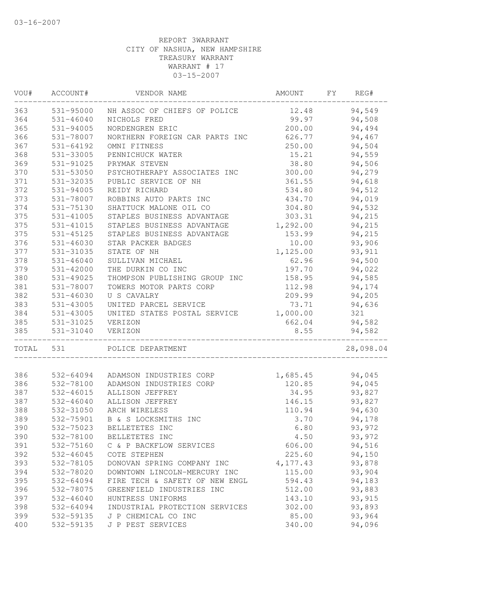| VOU#  | ACCOUNT#      | VENDOR NAME                    | AMOUNT   | FΥ | REG#      |
|-------|---------------|--------------------------------|----------|----|-----------|
| 363   | 531-95000     | NH ASSOC OF CHIEFS OF POLICE   | 12.48    |    | 94,549    |
| 364   | $531 - 46040$ | NICHOLS FRED                   | 99.97    |    | 94,508    |
| 365   | 531-94005     | NORDENGREN ERIC                | 200.00   |    | 94,494    |
| 366   | 531-78007     | NORTHERN FOREIGN CAR PARTS INC | 626.77   |    | 94,467    |
| 367   | 531-64192     | OMNI FITNESS                   | 250.00   |    | 94,504    |
| 368   | 531-33005     | PENNICHUCK WATER               | 15.21    |    | 94,559    |
| 369   | 531-91025     | PRYMAK STEVEN                  | 38.80    |    | 94,506    |
| 370   | 531-53050     | PSYCHOTHERAPY ASSOCIATES INC   | 300.00   |    | 94,279    |
| 371   | 531-32035     | PUBLIC SERVICE OF NH           | 361.55   |    | 94,618    |
| 372   | 531-94005     | REIDY RICHARD                  | 534.80   |    | 94,512    |
| 373   | 531-78007     | ROBBINS AUTO PARTS INC         | 434.70   |    | 94,019    |
| 374   | 531-75130     | SHATTUCK MALONE OIL CO         | 304.80   |    | 94,532    |
| 375   | 531-41005     | STAPLES BUSINESS ADVANTAGE     | 303.31   |    | 94,215    |
| 375   | 531-41015     | STAPLES BUSINESS ADVANTAGE     | 1,292.00 |    | 94,215    |
| 375   | 531-45125     | STAPLES BUSINESS ADVANTAGE     | 153.99   |    | 94,215    |
| 376   | 531-46030     | STAR PACKER BADGES             | 10.00    |    | 93,906    |
| 377   | 531-31035     | STATE OF NH                    | 1,125.00 |    | 93, 911   |
| 378   | $531 - 46040$ | SULLIVAN MICHAEL               | 62.96    |    | 94,500    |
| 379   | 531-42000     | THE DURKIN CO INC              | 197.70   |    | 94,022    |
| 380   | 531-49025     | THOMPSON PUBLISHING GROUP INC  | 158.95   |    | 94,585    |
| 381   | 531-78007     | TOWERS MOTOR PARTS CORP        | 112.98   |    | 94,174    |
| 382   | $531 - 46030$ | U S CAVALRY                    | 209.99   |    | 94,205    |
| 383   | 531-43005     | UNITED PARCEL SERVICE          | 73.71    |    | 94,636    |
| 384   | 531-43005     | UNITED STATES POSTAL SERVICE   | 1,000.00 |    | 321       |
| 385   | 531-31025     | VERIZON                        | 662.04   |    | 94,582    |
| 385   | 531-31040     | VERIZON                        | 8.55     |    | 94,582    |
| TOTAL | 531           | POLICE DEPARTMENT              |          |    | 28,098.04 |
|       |               |                                |          |    |           |
| 386   | 532-64094     | ADAMSON INDUSTRIES CORP        | 1,685.45 |    | 94,045    |
| 386   | 532-78100     | ADAMSON INDUSTRIES CORP        | 120.85   |    | 94,045    |
| 387   | 532-46015     | ALLISON JEFFREY                | 34.95    |    | 93,827    |
| 387   | $532 - 46040$ | ALLISON JEFFREY                | 146.15   |    | 93,827    |
| 388   | 532-31050     | ARCH WIRELESS                  | 110.94   |    | 94,630    |
| 389   | 532-75901     | B & S LOCKSMITHS INC           | 3.70     |    | 94,178    |
| 390   | 532-75023     | BELLETETES INC                 | 6.80     |    | 93,972    |
| 390   | 532-78100     | BELLETETES INC                 | 4.50     |    | 93,972    |
| 391   | 532-75160     | C & P BACKFLOW SERVICES        | 606.00   |    | 94,516    |
| 392   | 532-46045     | COTE STEPHEN                   | 225.60   |    | 94,150    |
| 393   | 532-78105     | DONOVAN SPRING COMPANY INC     | 4,177.43 |    | 93,878    |
| 394   | 532-78020     | DOWNTOWN LINCOLN-MERCURY INC   | 115.00   |    | 93,904    |
| 395   | 532-64094     | FIRE TECH & SAFETY OF NEW ENGL | 594.43   |    | 94,183    |
| 396   | 532-78075     | GREENFIELD INDUSTRIES INC      | 512.00   |    | 93,883    |
| 397   | 532-46040     | HUNTRESS UNIFORMS              | 143.10   |    | 93,915    |
| 398   | 532-64094     | INDUSTRIAL PROTECTION SERVICES | 302.00   |    | 93,893    |
| 399   | 532-59135     | J P CHEMICAL CO INC            | 85.00    |    | 93,964    |
| 400   | 532-59135     | J P PEST SERVICES              | 340.00   |    | 94,096    |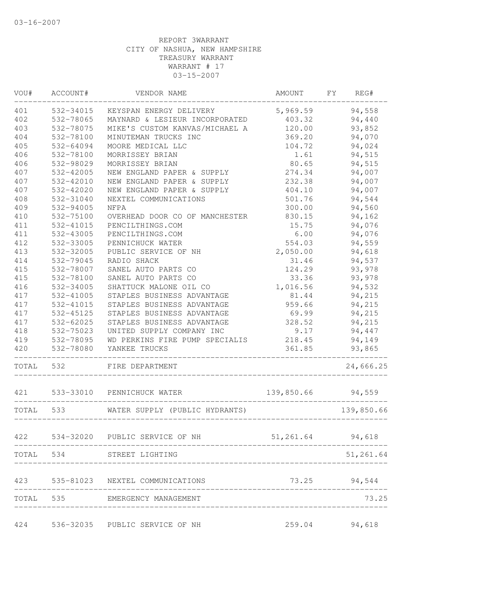| WOU#      | ACCOUNT#  | VENDOR NAME                         | AMOUNT        | FY | REG#         |
|-----------|-----------|-------------------------------------|---------------|----|--------------|
| 401       | 532-34015 | KEYSPAN ENERGY DELIVERY             | 5,969.59      |    | 94,558       |
| 402       | 532-78065 | MAYNARD & LESIEUR INCORPORATED      | 403.32        |    | 94,440       |
| 403       | 532-78075 | MIKE'S CUSTOM KANVAS/MICHAEL A      | 120.00        |    | 93,852       |
| 404       | 532-78100 | MINUTEMAN TRUCKS INC                | 369.20        |    | 94,070       |
| 405       | 532-64094 | MOORE MEDICAL LLC                   | 104.72        |    | 94,024       |
| 406       | 532-78100 | MORRISSEY BRIAN                     | 1.61          |    | 94,515       |
| 406       | 532-98029 | MORRISSEY BRIAN                     | 80.65         |    | 94,515       |
| 407       | 532-42005 | NEW ENGLAND PAPER & SUPPLY          | 274.34        |    | 94,007       |
| 407       | 532-42010 | NEW ENGLAND PAPER & SUPPLY          | 232.38        |    | 94,007       |
| 407       | 532-42020 | NEW ENGLAND PAPER & SUPPLY          | 404.10        |    | 94,007       |
| 408       | 532-31040 | NEXTEL COMMUNICATIONS               | 501.76        |    | 94,544       |
| 409       | 532-94005 | NFPA                                | 300.00        |    | 94,560       |
| 410       | 532-75100 | OVERHEAD DOOR CO OF MANCHESTER      | 830.15        |    | 94,162       |
| 411       | 532-41015 | PENCILTHINGS.COM                    | 15.75         |    | 94,076       |
| 411       | 532-43005 | PENCILTHINGS.COM                    | 6.00          |    | 94,076       |
| 412       | 532-33005 | PENNICHUCK WATER                    | 554.03        |    | 94,559       |
| 413       | 532-32005 | PUBLIC SERVICE OF NH                | 2,050.00      |    | 94,618       |
| 414       | 532-79045 | RADIO SHACK                         | 31.46         |    | 94,537       |
| 415       | 532-78007 | SANEL AUTO PARTS CO                 | 124.29        |    | 93,978       |
| 415       | 532-78100 | SANEL AUTO PARTS CO                 | 33.36         |    | 93,978       |
| 416       | 532-34005 | SHATTUCK MALONE OIL CO              | 1,016.56      |    | 94,532       |
| 417       | 532-41005 | STAPLES BUSINESS ADVANTAGE          | 81.44         |    | 94,215       |
| 417       | 532-41015 | STAPLES BUSINESS ADVANTAGE          | 959.66        |    | 94,215       |
| 417       | 532-45125 | STAPLES BUSINESS ADVANTAGE          | 69.99         |    | 94,215       |
| 417       | 532-62025 | STAPLES BUSINESS ADVANTAGE          | 328.52        |    | 94,215       |
| 418       | 532-75023 | UNITED SUPPLY COMPANY INC           | 9.17          |    | 94,447       |
| 419       | 532-78095 | WD PERKINS FIRE PUMP SPECIALIS      | 218.45        |    | 94,149       |
| 420       | 532-78080 | YANKEE TRUCKS                       | 361.85        |    | 93,865       |
| TOTAL     | 532       | FIRE DEPARTMENT                     |               |    | 24,666.25    |
| 421       |           | 533-33010 PENNICHUCK WATER          | 139,850.66    |    | 94,559       |
| TOTAL 533 |           | WATER SUPPLY (PUBLIC HYDRANTS)      |               |    | 139,850.66   |
| 422       | 534-32020 | PUBLIC SERVICE OF NH                | 51,261.64     |    | 94,618       |
|           |           | ----------------------------------  |               |    |              |
|           |           | TOTAL 534 STREET LIGHTING           |               |    | 51,261.64    |
|           |           | 423 535-81023 NEXTEL COMMUNICATIONS |               |    | 73.25 94,544 |
|           |           | TOTAL 535 EMERGENCY MANAGEMENT      |               |    | 73.25        |
|           |           | 424 536-32035 PUBLIC SERVICE OF NH  | 259.04 94,618 |    |              |
|           |           |                                     |               |    |              |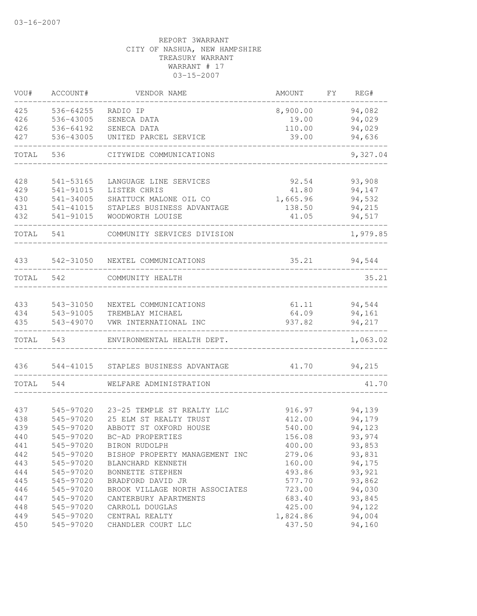| VOU#       | ACCOUNT#               | VENDOR NAME                               | AMOUNT          | FY. | REG#             |
|------------|------------------------|-------------------------------------------|-----------------|-----|------------------|
| 425        | 536-64255              | RADIO IP                                  | 8,900.00        |     | 94,082           |
| 426        | 536-43005              | SENECA DATA                               | 19.00           |     | 94,029           |
| 426        | 536-64192              | SENECA DATA                               | 110.00          |     | 94,029           |
| 427        | 536-43005              | UNITED PARCEL SERVICE                     | 39.00           |     | 94,636           |
| TOTAL      | 536                    | CITYWIDE COMMUNICATIONS                   |                 |     | 9,327.04         |
| 428        | 541-53165              | LANGUAGE LINE SERVICES                    | 92.54           |     | 93,908           |
| 429        | 541-91015              | LISTER CHRIS                              | 41.80           |     | 94,147           |
| 430        | 541-34005              | SHATTUCK MALONE OIL CO                    | 1,665.96        |     | 94,532           |
| 431        | 541-41015              | STAPLES BUSINESS ADVANTAGE                | 138.50          |     | 94,215           |
| 432        | 541-91015              | WOODWORTH LOUISE                          | 41.05           |     | 94,517           |
| TOTAL      | 541                    | COMMUNITY SERVICES DIVISION               |                 |     | 1,979.85         |
| 433        |                        | 542-31050 NEXTEL COMMUNICATIONS           | 35.21           |     | 94,544           |
| TOTAL      | 542                    | COMMUNITY HEALTH                          |                 |     | 35.21            |
|            |                        |                                           |                 |     |                  |
| 433        | 543-31050              | NEXTEL COMMUNICATIONS                     | 61.11           |     | 94,544           |
| 434<br>435 | 543-91005<br>543-49070 | TREMBLAY MICHAEL<br>VWR INTERNATIONAL INC | 64.09<br>937.82 |     | 94,161<br>94,217 |
| TOTAL      | 543                    | ENVIRONMENTAL HEALTH DEPT.                |                 |     | 1,063.02         |
| 436        | 544-41015              | STAPLES BUSINESS ADVANTAGE                | 41.70           |     | 94,215           |
|            |                        |                                           |                 |     |                  |
| TOTAL      | 544                    | WELFARE ADMINISTRATION                    |                 |     | 41.70            |
| 437        | 545-97020              | 23-25 TEMPLE ST REALTY LLC                | 916.97          |     | 94,139           |
| 438        | 545-97020              | 25 ELM ST REALTY TRUST                    | 412.00          |     | 94,179           |
| 439        | 545-97020              | ABBOTT ST OXFORD HOUSE                    | 540.00          |     | 94,123           |
| 440        | 545-97020              | BC-AD PROPERTIES                          | 156.08          |     | 93,974           |
| 441        | 545-97020              | BIRON RUDOLPH                             | 400.00          |     | 93,853           |
| 442        | 545-97020              | BISHOP PROPERTY MANAGEMENT INC            | 279.06          |     | 93,831           |
| 443        | 545-97020              | BLANCHARD KENNETH                         | 160.00          |     | 94,175           |
| 444        | 545-97020              | BONNETTE STEPHEN                          | 493.86          |     | 93,921           |
| 445        | 545-97020              | BRADFORD DAVID JR                         | 577.70          |     | 93,862           |
| 446        | 545-97020              | BROOK VILLAGE NORTH ASSOCIATES            | 723.00          |     | 94,030           |
| 447        | 545-97020              | CANTERBURY APARTMENTS                     | 683.40          |     | 93,845           |
| 448        | 545-97020              | CARROLL DOUGLAS                           | 425.00          |     | 94,122           |
| 449        | 545-97020              | CENTRAL REALTY                            | 1,824.86        |     | 94,004           |
| 450        | 545-97020              | CHANDLER COURT LLC                        | 437.50          |     | 94,160           |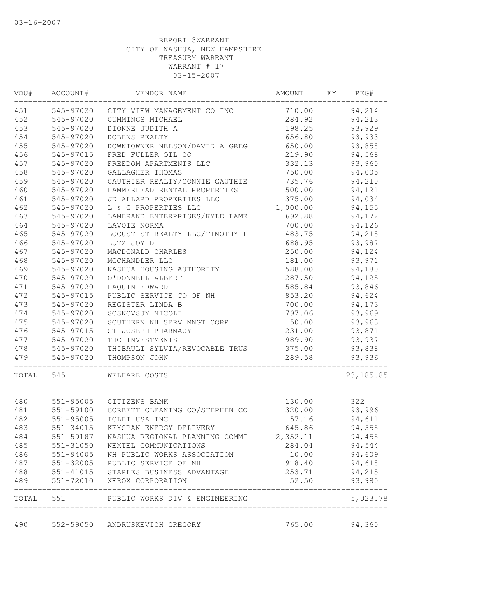| WOU#       | ACCOUNT#  | VENDOR NAME                                                         | AMOUNT          | FY | REG#             |
|------------|-----------|---------------------------------------------------------------------|-----------------|----|------------------|
| 451        | 545-97020 | CITY VIEW MANAGEMENT CO INC                                         | 710.00          |    | 94,214           |
| 452        | 545-97020 | CUMMINGS MICHAEL                                                    | 284.92          |    | 94,213           |
| 453        | 545-97020 | DIONNE JUDITH A                                                     | 198.25          |    | 93,929           |
| 454        | 545-97020 | DOBENS REALTY                                                       | 656.80          |    | 93,933           |
| 455        | 545-97020 | DOWNTOWNER NELSON/DAVID A GREG                                      | 650.00          |    | 93,858           |
| 456        | 545-97015 | FRED FULLER OIL CO                                                  | 219.90          |    | 94,568           |
| 457        | 545-97020 | FREEDOM APARTMENTS LLC                                              | 332.13          |    | 93,960           |
| 458        | 545-97020 | GALLAGHER THOMAS                                                    | 750.00          |    | 94,005           |
| 459        | 545-97020 | GAUTHIER REALTY/CONNIE GAUTHIE                                      | 735.76          |    | 94,210           |
| 460        | 545-97020 | HAMMERHEAD RENTAL PROPERTIES                                        | 500.00          |    | 94,121           |
| 461        | 545-97020 | JD ALLARD PROPERTIES LLC                                            | 375.00          |    | 94,034           |
| 462        | 545-97020 | L & G PROPERTIES LLC                                                | 1,000.00        |    | 94,155           |
| 463        | 545-97020 | LAMERAND ENTERPRISES/KYLE LAME                                      | 692.88          |    | 94,172           |
| 464        | 545-97020 | LAVOIE NORMA                                                        | 700.00          |    | 94,126           |
| 465        | 545-97020 | LOCUST ST REALTY LLC/TIMOTHY L                                      | 483.75          |    | 94,218           |
| 466        | 545-97020 | LUTZ JOY D                                                          | 688.95          |    | 93,987           |
| 467        | 545-97020 | MACDONALD CHARLES                                                   | 250.00          |    | 94,124           |
| 468        | 545-97020 | MCCHANDLER LLC                                                      | 181.00          |    | 93,971           |
| 469        | 545-97020 | NASHUA HOUSING AUTHORITY                                            | 588.00          |    | 94,180           |
| 470        | 545-97020 | O'DONNELL ALBERT                                                    | 287.50          |    | 94,125           |
| 471        | 545-97020 | PAQUIN EDWARD                                                       | 585.84          |    | 93,846           |
| 472        | 545-97015 | PUBLIC SERVICE CO OF NH                                             | 853.20          |    | 94,624           |
| 473        | 545-97020 | REGISTER LINDA B                                                    | 700.00          |    | 94,173           |
| 474        | 545-97020 | SOSNOVSJY NICOLI                                                    | 797.06          |    | 93,969           |
| 475        | 545-97020 | SOUTHERN NH SERV MNGT CORP                                          | 50.00           |    | 93,963           |
| 476        | 545-97015 | ST JOSEPH PHARMACY                                                  | 231.00          |    | 93,871           |
| 477        | 545-97020 | THC INVESTMENTS                                                     | 989.90          |    | 93,937           |
| 478        | 545-97020 | THIBAULT SYLVIA/REVOCABLE TRUS                                      | 375.00          |    | 93,838           |
| 479        | 545-97020 | THOMPSON JOHN                                                       | 289.58          |    | 93,936           |
| TOTAL      | 545       | WELFARE COSTS                                                       |                 |    | 23, 185.85       |
|            |           |                                                                     |                 |    |                  |
| 480        | 551-95005 | CITIZENS BANK                                                       | 130.00          |    | 322              |
| 481        | 551-59100 | CORBETT CLEANING CO/STEPHEN CO                                      | 320.00          |    | 93,996           |
| 482        | 551-95005 | ICLEI USA INC<br>KEYSPAN ENERGY DELIVERY                            | 57.16           |    | 94,611           |
| 483        | 551-34015 |                                                                     | 645.86          |    | 94,558           |
| 484        | 551-59187 | NASHUA REGIONAL PLANNING COMMI                                      | 2,352.11        |    | 94,458           |
| 485        | 551-31050 | NEXTEL COMMUNICATIONS                                               | 284.04          |    | 94,544           |
| 486        | 551-94005 | NH PUBLIC WORKS ASSOCIATION                                         | 10.00           |    | 94,609           |
| 487        | 551-32005 | PUBLIC SERVICE OF NH                                                | 918.40          |    | 94,618           |
| 488<br>489 |           | 551-41015 STAPLES BUSINESS ADVANTAGE<br>551-72010 XEROX CORPORATION | 253.71<br>52.50 |    | 94,215<br>93,980 |
|            |           |                                                                     |                 |    |                  |
| TOTAL      |           | 551 PUBLIC WORKS DIV & ENGINEERING                                  |                 |    | 5,023.78         |
| 490        |           | 552-59050 ANDRUSKEVICH GREGORY                                      | 765.00          |    | 94,360           |
|            |           |                                                                     |                 |    |                  |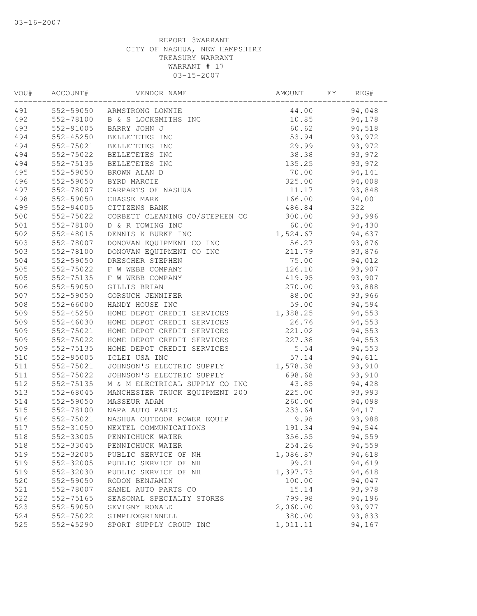| VOU# | ACCOUNT#  | VENDOR NAME                    | AMOUNT   | FY | REG#   |  |
|------|-----------|--------------------------------|----------|----|--------|--|
| 491  |           | 552-59050 ARMSTRONG LONNIE     | 44.00    |    | 94,048 |  |
| 492  | 552-78100 | B & S LOCKSMITHS INC           | 10.85    |    | 94,178 |  |
| 493  | 552-91005 | BARRY JOHN J                   | 60.62    |    | 94,518 |  |
| 494  | 552-45250 | BELLETETES INC                 | 53.94    |    | 93,972 |  |
| 494  | 552-75021 | BELLETETES INC                 | 29.99    |    | 93,972 |  |
| 494  | 552-75022 | BELLETETES INC                 | 38.38    |    | 93,972 |  |
| 494  | 552-75135 | BELLETETES INC                 | 135.25   |    | 93,972 |  |
| 495  | 552-59050 | BROWN ALAN D                   | 70.00    |    | 94,141 |  |
| 496  | 552-59050 | BYRD MARCIE                    | 325.00   |    | 94,008 |  |
| 497  | 552-78007 | CARPARTS OF NASHUA             | 11.17    |    | 93,848 |  |
| 498  | 552-59050 | CHASSE MARK                    | 166.00   |    | 94,001 |  |
| 499  | 552-94005 | CITIZENS BANK                  | 486.84   |    | 322    |  |
| 500  | 552-75022 | CORBETT CLEANING CO/STEPHEN CO | 300.00   |    | 93,996 |  |
| 501  | 552-78100 | D & R TOWING INC               | 60.00    |    | 94,430 |  |
| 502  | 552-48015 | DENNIS K BURKE INC             | 1,524.67 |    | 94,637 |  |
| 503  | 552-78007 | DONOVAN EQUIPMENT CO INC       | 56.27    |    | 93,876 |  |
| 503  | 552-78100 | DONOVAN EQUIPMENT CO INC       | 211.79   |    | 93,876 |  |
| 504  | 552-59050 | DRESCHER STEPHEN               | 75.00    |    | 94,012 |  |
| 505  | 552-75022 | F W WEBB COMPANY               | 126.10   |    | 93,907 |  |
| 505  | 552-75135 | F W WEBB COMPANY               | 419.95   |    | 93,907 |  |
| 506  | 552-59050 | GILLIS BRIAN                   | 270.00   |    | 93,888 |  |
| 507  | 552-59050 | GORSUCH JENNIFER               | 88.00    |    | 93,966 |  |
| 508  | 552-66000 | HANDY HOUSE INC                | 59.00    |    | 94,594 |  |
| 509  | 552-45250 | HOME DEPOT CREDIT SERVICES     | 1,388.25 |    | 94,553 |  |
| 509  | 552-46030 | HOME DEPOT CREDIT SERVICES     | 26.76    |    | 94,553 |  |
| 509  | 552-75021 | HOME DEPOT CREDIT SERVICES     | 221.02   |    | 94,553 |  |
| 509  | 552-75022 | HOME DEPOT CREDIT SERVICES     | 227.38   |    | 94,553 |  |
| 509  | 552-75135 | HOME DEPOT CREDIT SERVICES     | 5.54     |    | 94,553 |  |
| 510  | 552-95005 | ICLEI USA INC                  | 57.14    |    | 94,611 |  |
| 511  | 552-75021 | JOHNSON'S ELECTRIC SUPPLY      | 1,578.38 |    | 93,910 |  |
| 511  | 552-75022 | JOHNSON'S ELECTRIC SUPPLY      | 698.68   |    | 93,910 |  |
| 512  | 552-75135 | M & M ELECTRICAL SUPPLY CO INC | 43.85    |    | 94,428 |  |
| 513  | 552-68045 | MANCHESTER TRUCK EQUIPMENT 200 | 225.00   |    | 93,993 |  |
| 514  | 552-59050 | MASSEUR ADAM                   | 260.00   |    | 94,098 |  |
| 515  | 552-78100 | NAPA AUTO PARTS                | 233.64   |    | 94,171 |  |
| 516  | 552-75021 | NASHUA OUTDOOR POWER EQUIP     | 9.98     |    | 93,988 |  |
| 517  | 552-31050 | NEXTEL COMMUNICATIONS          | 191.34   |    | 94,544 |  |
| 518  | 552-33005 | PENNICHUCK WATER               | 356.55   |    | 94,559 |  |
| 518  | 552-33045 | PENNICHUCK WATER               | 254.26   |    | 94,559 |  |
| 519  | 552-32005 | PUBLIC SERVICE OF NH           | 1,086.87 |    | 94,618 |  |
| 519  | 552-32005 | PUBLIC SERVICE OF NH           | 99.21    |    | 94,619 |  |
| 519  | 552-32030 | PUBLIC SERVICE OF NH           | 1,397.73 |    | 94,618 |  |
| 520  | 552-59050 | RODON BENJAMIN                 | 100.00   |    | 94,047 |  |
| 521  | 552-78007 | SANEL AUTO PARTS CO            | 15.14    |    | 93,978 |  |
| 522  | 552-75165 | SEASONAL SPECIALTY STORES      | 799.98   |    | 94,196 |  |
| 523  | 552-59050 | SEVIGNY RONALD                 | 2,060.00 |    | 93,977 |  |
| 524  | 552-75022 | SIMPLEXGRINNELL                | 380.00   |    | 93,833 |  |
| 525  | 552-45290 | SPORT SUPPLY GROUP INC         | 1,011.11 |    | 94,167 |  |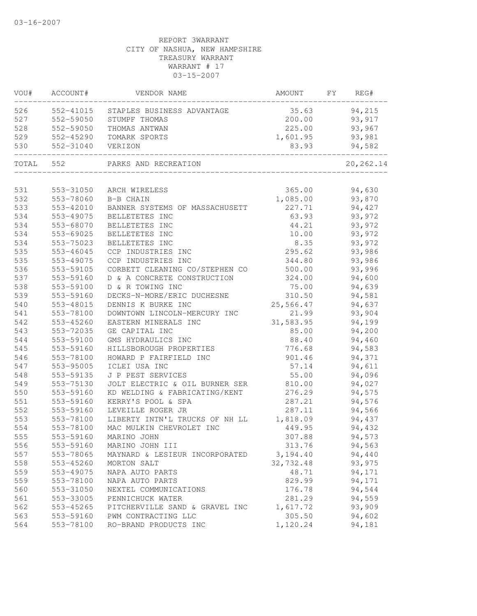| VOU#  | ACCOUNT#  | VENDOR NAME                      | AMOUNT    | FY | REG#             |
|-------|-----------|----------------------------------|-----------|----|------------------|
| 526   | 552-41015 | STAPLES BUSINESS ADVANTAGE       | 35.63     |    | 94,215           |
| 527   | 552-59050 | STUMPF THOMAS                    | 200.00    |    | 93,917           |
| 528   | 552-59050 | THOMAS ANTWAN                    | 225.00    |    | 93,967           |
| 529   | 552-45290 | TOMARK SPORTS                    | 1,601.95  |    | 93,981           |
| 530   | 552-31040 | VERIZON                          | 83.93     |    | 94,582           |
| TOTAL | 552       | PARKS AND RECREATION             |           |    | 20, 262.14       |
| 531   | 553-31050 |                                  | 365.00    |    |                  |
| 532   | 553-78060 | ARCH WIRELESS                    | 1,085.00  |    | 94,630<br>93,870 |
| 533   | 553-42010 | B-B CHAIN                        | 227.71    |    | 94,427           |
| 534   | 553-49075 | BANNER SYSTEMS OF MASSACHUSETT   |           |    | 93,972           |
| 534   | 553-68070 | BELLETETES INC                   | 63.93     |    |                  |
|       |           | BELLETETES INC                   | 44.21     |    | 93,972           |
| 534   | 553-69025 | BELLETETES INC<br>BELLETETES INC | 10.00     |    | 93,972           |
| 534   | 553-75023 |                                  | 8.35      |    | 93,972           |
| 535   | 553-46045 | CCP INDUSTRIES INC               | 295.62    |    | 93,986           |
| 535   | 553-49075 | CCP INDUSTRIES INC               | 344.80    |    | 93,986           |
| 536   | 553-59105 | CORBETT CLEANING CO/STEPHEN CO   | 500.00    |    | 93,996           |
| 537   | 553-59160 | D & A CONCRETE CONSTRUCTION      | 324.00    |    | 94,600           |
| 538   | 553-59100 | D & R TOWING INC                 | 75.00     |    | 94,639           |
| 539   | 553-59160 | DECKS-N-MORE/ERIC DUCHESNE       | 310.50    |    | 94,581           |
| 540   | 553-48015 | DENNIS K BURKE INC               | 25,566.47 |    | 94,637           |
| 541   | 553-78100 | DOWNTOWN LINCOLN-MERCURY INC     | 21.99     |    | 93,904           |
| 542   | 553-45260 | EASTERN MINERALS INC             | 31,583.95 |    | 94,199           |
| 543   | 553-72035 | GE CAPITAL INC                   | 85.00     |    | 94,200           |
| 544   | 553-59100 | GMS HYDRAULICS INC               | 88.40     |    | 94,460           |
| 545   | 553-59160 | HILLSBOROUGH PROPERTIES          | 776.68    |    | 94,583           |
| 546   | 553-78100 | HOWARD P FAIRFIELD INC           | 901.46    |    | 94,371           |
| 547   | 553-95005 | ICLEI USA INC                    | 57.14     |    | 94,611           |
| 548   | 553-59135 | J P PEST SERVICES                | 55.00     |    | 94,096           |
| 549   | 553-75130 | JOLT ELECTRIC & OIL BURNER SER   | 810.00    |    | 94,027           |
| 550   | 553-59160 | KD WELDING & FABRICATING/KENT    | 276.29    |    | 94,575           |
| 551   | 553-59160 | KERRY'S POOL & SPA               | 287.21    |    | 94,576           |
| 552   | 553-59160 | LEVEILLE ROGER JR                | 287.11    |    | 94,566           |
| 553   | 553-78100 | LIBERTY INTN'L TRUCKS OF NH LL   | 1,818.09  |    | 94,437           |
| 554   | 553-78100 | MAC MULKIN CHEVROLET INC         | 449.95    |    | 94,432           |
| 555   | 553-59160 | MARINO JOHN                      | 307.88    |    | 94,573           |
| 556   | 553-59160 | MARINO JOHN III                  | 313.76    |    | 94,563           |
| 557   | 553-78065 | MAYNARD & LESIEUR INCORPORATED   | 3, 194.40 |    | 94,440           |
| 558   | 553-45260 | MORTON SALT                      | 32,732.48 |    | 93,975           |
| 559   | 553-49075 | NAPA AUTO PARTS                  | 48.71     |    | 94,171           |
| 559   | 553-78100 | NAPA AUTO PARTS                  | 829.99    |    | 94,171           |
| 560   | 553-31050 | NEXTEL COMMUNICATIONS            | 176.78    |    | 94,544           |
| 561   | 553-33005 | PENNICHUCK WATER                 | 281.29    |    | 94,559           |
| 562   | 553-45265 | PITCHERVILLE SAND & GRAVEL INC   | 1,617.72  |    | 93,909           |
| 563   | 553-59160 | PWM CONTRACTING LLC              | 305.50    |    | 94,602           |
| 564   | 553-78100 | RO-BRAND PRODUCTS INC            | 1,120.24  |    | 94,181           |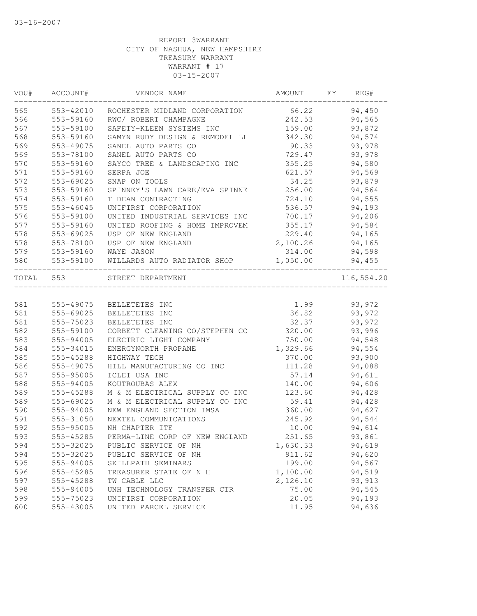| VOU#      | ACCOUNT#  | VENDOR NAME                    | AMOUNT   | FY<br>REG# |
|-----------|-----------|--------------------------------|----------|------------|
| 565       | 553-42010 | ROCHESTER MIDLAND CORPORATION  | 66.22    | 94,450     |
| 566       | 553-59160 | RWC/ ROBERT CHAMPAGNE          | 242.53   | 94,565     |
| 567       | 553-59100 | SAFETY-KLEEN SYSTEMS INC       | 159.00   | 93,872     |
| 568       | 553-59160 | SAMYN RUDY DESIGN & REMODEL LL | 342.30   | 94,574     |
| 569       | 553-49075 | SANEL AUTO PARTS CO            | 90.33    | 93,978     |
| 569       | 553-78100 | SANEL AUTO PARTS CO            | 729.47   | 93,978     |
| 570       | 553-59160 | SAYCO TREE & LANDSCAPING INC   | 355.25   | 94,580     |
| 571       | 553-59160 | SERPA JOE                      | 621.57   | 94,569     |
| 572       | 553-69025 | SNAP ON TOOLS                  | 34.25    | 93,879     |
| 573       | 553-59160 | SPINNEY'S LAWN CARE/EVA SPINNE | 256.00   | 94,564     |
| 574       | 553-59160 | T DEAN CONTRACTING             | 724.10   | 94,555     |
| 575       | 553-46045 | UNIFIRST CORPORATION           | 536.57   | 94,193     |
| 576       | 553-59100 | UNITED INDUSTRIAL SERVICES INC | 700.17   | 94,206     |
| 577       | 553-59160 | UNITED ROOFING & HOME IMPROVEM | 355.17   | 94,584     |
| 578       | 553-69025 | USP OF NEW ENGLAND             | 229.40   | 94,165     |
| 578       | 553-78100 | USP OF NEW ENGLAND             | 2,100.26 | 94,165     |
| 579       | 553-59160 | WAYE JASON                     | 314.00   | 94,598     |
| 580       | 553-59100 | WILLARDS AUTO RADIATOR SHOP    | 1,050.00 | 94,455     |
| TOTAL 553 |           | STREET DEPARTMENT              |          | 116,554.20 |
|           |           |                                |          |            |
| 581       | 555-49075 | BELLETETES INC                 | 1.99     | 93,972     |
| 581       | 555-69025 | BELLETETES INC                 | 36.82    | 93,972     |
| 581       | 555-75023 | BELLETETES INC                 | 32.37    | 93,972     |
| 582       | 555-59100 | CORBETT CLEANING CO/STEPHEN CO | 320.00   | 93,996     |
| 583       | 555-94005 | ELECTRIC LIGHT COMPANY         | 750.00   | 94,548     |
| 584       | 555-34015 | ENERGYNORTH PROPANE            | 1,329.66 | 94,554     |
| 585       | 555-45288 | HIGHWAY TECH                   | 370.00   | 93,900     |
| 586       | 555-49075 | HILL MANUFACTURING CO INC      | 111.28   | 94,088     |
| 587       | 555-95005 | ICLEI USA INC                  | 57.14    | 94,611     |
| 588       | 555-94005 | KOUTROUBAS ALEX                | 140.00   | 94,606     |
| 589       | 555-45288 | M & M ELECTRICAL SUPPLY CO INC | 123.60   | 94,428     |
| 589       | 555-69025 | M & M ELECTRICAL SUPPLY CO INC | 59.41    | 94,428     |
| 590       | 555-94005 | NEW ENGLAND SECTION IMSA       | 360.00   | 94,627     |
| 591       | 555-31050 | NEXTEL COMMUNICATIONS          | 245.92   | 94,544     |
| 592       | 555-95005 | NH CHAPTER ITE                 | 10.00    | 94,614     |
| 593       | 555-45285 | PERMA-LINE CORP OF NEW ENGLAND | 251.65   | 93,861     |
| 594       | 555-32025 | PUBLIC SERVICE OF NH           | 1,630.33 | 94,619     |
| 594       | 555-32025 | PUBLIC SERVICE OF NH           | 911.62   | 94,620     |
| 595       | 555-94005 | SKILLPATH SEMINARS             | 199.00   | 94,567     |
| 596       | 555-45285 | TREASURER STATE OF N H         | 1,100.00 | 94,519     |
| 597       | 555-45288 | TW CABLE LLC                   | 2,126.10 | 93, 913    |
| 598       | 555-94005 | UNH TECHNOLOGY TRANSFER CTR    | 75.00    | 94,545     |
| 599       | 555-75023 | UNIFIRST CORPORATION           | 20.05    | 94,193     |
| 600       | 555-43005 | UNITED PARCEL SERVICE          | 11.95    | 94,636     |
|           |           |                                |          |            |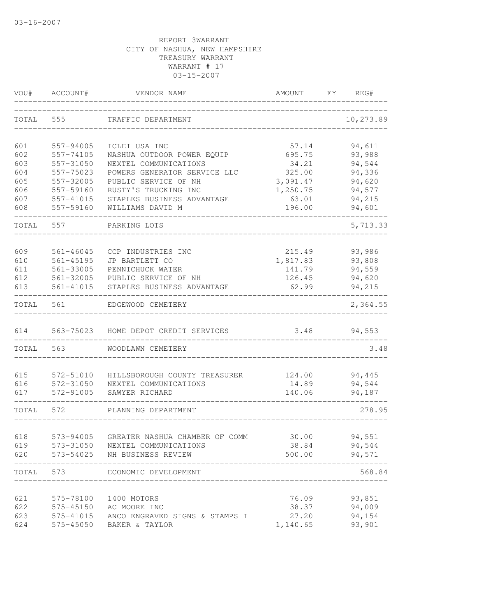| VOU#      | ACCOUNT#      | VENDOR NAME                                                       | AMOUNT   | FY | REG#             |
|-----------|---------------|-------------------------------------------------------------------|----------|----|------------------|
| TOTAL     | 555           | TRAFFIC DEPARTMENT                                                |          |    | 10,273.89        |
| 601       | 557-94005     | ICLEI USA INC                                                     | 57.14    |    | 94,611           |
| 602       | 557-74105     | NASHUA OUTDOOR POWER EQUIP                                        | 695.75   |    | 93,988           |
| 603       | 557-31050     | NEXTEL COMMUNICATIONS                                             | 34.21    |    | 94,544           |
| 604       | 557-75023     | POWERS GENERATOR SERVICE LLC                                      | 325.00   |    | 94,336           |
| 605       | 557-32005     | PUBLIC SERVICE OF NH                                              | 3,091.47 |    | 94,620           |
| 606       | 557-59160     | RUSTY'S TRUCKING INC                                              | 1,250.75 |    | 94,577           |
| 607       | 557-41015     | STAPLES BUSINESS ADVANTAGE                                        | 63.01    |    | 94,215           |
| 608       | 557-59160     | WILLIAMS DAVID M                                                  | 196.00   |    | 94,601           |
| TOTAL     | 557           | PARKING LOTS                                                      |          |    | 5,713.33         |
| 609       | $561 - 46045$ | CCP INDUSTRIES INC                                                | 215.49   |    | 93,986           |
| 610       | 561-45195     | JP BARTLETT CO                                                    | 1,817.83 |    | 93,808           |
| 611       | 561-33005     | PENNICHUCK WATER                                                  | 141.79   |    | 94,559           |
| 612       | 561-32005     | PUBLIC SERVICE OF NH                                              | 126.45   |    | 94,620           |
| 613       | 561-41015     | STAPLES BUSINESS ADVANTAGE                                        | 62.99    |    | 94,215           |
| TOTAL     | 561           | EDGEWOOD CEMETERY                                                 |          |    | 2,364.55         |
| 614       | 563-75023     | HOME DEPOT CREDIT SERVICES                                        | 3.48     |    | 94,553           |
| TOTAL     | 563           | WOODLAWN CEMETERY                                                 |          |    | 3.48             |
|           |               |                                                                   |          |    |                  |
| 615       | 572-51010     | HILLSBOROUGH COUNTY TREASURER                                     | 124.00   |    | 94,445           |
| 616       | 572-31050     | NEXTEL COMMUNICATIONS                                             | 14.89    |    | 94,544           |
| 617       | 572-91005     | SAWYER RICHARD                                                    | 140.06   |    | 94,187           |
| TOTAL     | 572           | PLANNING DEPARTMENT                                               |          |    | 278.95           |
| 618       |               |                                                                   | 30.00    |    |                  |
| 619       | 573-94005     | GREATER NASHUA CHAMBER OF COMM<br>573-31050 NEXTEL COMMUNICATIONS | 38.84    |    | 94,551<br>94,544 |
| 620       |               | 573-54025 NH BUSINESS REVIEW                                      | 500.00   |    | 94,571           |
| TOTAL 573 |               | ECONOMIC DEVELOPMENT                                              |          |    | 568.84           |
|           |               |                                                                   |          |    |                  |
| 621       |               | 575-78100 1400 MOTORS                                             | 76.09    |    | 93,851           |
| 622       |               | 575-45150 AC MOORE INC                                            | 38.37    |    | 94,009           |
| 623       | 575-41015     | ANCO ENGRAVED SIGNS & STAMPS I                                    | 27.20    |    | 94,154           |
| 624       | 575-45050     | BAKER & TAYLOR                                                    | 1,140.65 |    | 93,901           |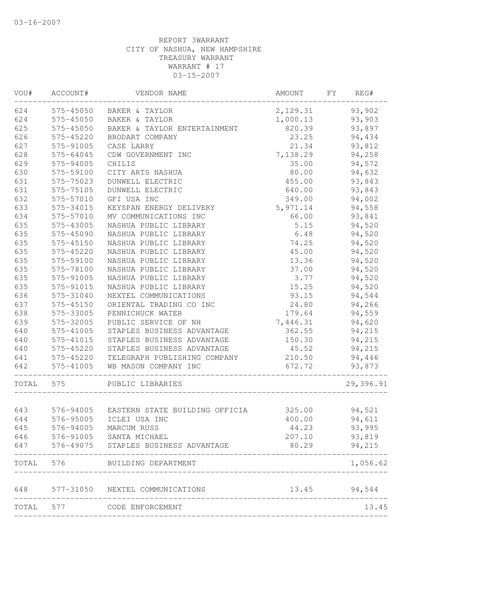| VOU#  | ACCOUNT#  | VENDOR NAME                              | AMOUNT   | FY | REG#      |
|-------|-----------|------------------------------------------|----------|----|-----------|
| 624   |           | 575-45050 BAKER & TAYLOR                 | 2,129.31 |    | 93,902    |
| 624   | 575-45050 | BAKER & TAYLOR                           | 1,000.13 |    | 93,903    |
| 625   | 575-45050 | BAKER & TAYLOR ENTERTAINMENT             | 820.39   |    | 93,897    |
| 626   | 575-45220 | BRODART COMPANY                          | 23.25    |    | 94,434    |
| 627   | 575-91005 | CASE LARRY                               | 21.34    |    | 93,812    |
| 628   | 575-64045 | CDW GOVERNMENT INC                       | 7,138.29 |    | 94,258    |
| 629   | 575-94005 | CHILIS                                   | 35.00    |    | 94,572    |
| 630   | 575-59100 | CITY ARTS NASHUA                         | 80.00    |    | 94,632    |
| 631   | 575-75023 | DUNWELL ELECTRIC                         | 455.00   |    | 93,843    |
| 631   | 575-75105 | DUNWELL ELECTRIC                         | 640.00   |    | 93,843    |
| 632   | 575-57010 | GFI USA INC                              | 349.00   |    | 94,002    |
| 633   | 575-34015 | KEYSPAN ENERGY DELIVERY                  | 5,971.14 |    | 94,558    |
| 634   | 575-57010 | MV COMMUNICATIONS INC                    | 66.00    |    | 93,841    |
| 635   | 575-43005 | NASHUA PUBLIC LIBRARY                    | 5.15     |    | 94,520    |
| 635   | 575-45090 | NASHUA PUBLIC LIBRARY                    | 6.48     |    | 94,520    |
| 635   | 575-45150 | NASHUA PUBLIC LIBRARY                    | 74.25    |    | 94,520    |
| 635   | 575-45220 | NASHUA PUBLIC LIBRARY                    | 45.00    |    | 94,520    |
| 635   | 575-59100 | NASHUA PUBLIC LIBRARY                    | 13.36    |    | 94,520    |
| 635   | 575-78100 | NASHUA PUBLIC LIBRARY                    | 37.00    |    | 94,520    |
| 635   | 575-91005 | NASHUA PUBLIC LIBRARY                    | 3.77     |    | 94,520    |
| 635   | 575-91015 | NASHUA PUBLIC LIBRARY                    | 15.25    |    | 94,520    |
| 636   | 575-31040 | NEXTEL COMMUNICATIONS                    | 93.15    |    | 94,544    |
| 637   | 575-45150 | ORIENTAL TRADING CO INC                  | 24.80    |    | 94,266    |
| 638   | 575-33005 | PENNICHUCK WATER                         | 179.64   |    | 94,559    |
| 639   | 575-32005 | PUBLIC SERVICE OF NH                     | 7,446.31 |    | 94,620    |
| 640   | 575-41005 | STAPLES BUSINESS ADVANTAGE               | 362.55   |    | 94,215    |
| 640   | 575-41015 | STAPLES BUSINESS ADVANTAGE               | 150.30   |    | 94,215    |
| 640   | 575-45220 | STAPLES BUSINESS ADVANTAGE               | 45.52    |    | 94,215    |
| 641   | 575-45220 | TELEGRAPH PUBLISHING COMPANY             | 210.50   |    | 94,446    |
| 642   | 575-41005 | WB MASON COMPANY INC                     | 672.72   |    | 93,873    |
| TOTAL | 575       | PUBLIC LIBRARIES                         |          |    | 29,396.91 |
|       |           |                                          |          |    |           |
| 643   |           | 576-94005 EASTERN STATE BUILDING OFFICIA | 325.00   |    | 94,521    |
| 644   | 576-95005 | ICLEI USA INC                            | 400.00   |    | 94,611    |
| 645   | 576-94005 | MARCUM RUSS                              | 44.23    |    | 93,995    |
| 646   | 576-91005 | SANTA MICHAEL                            | 207.10   |    | 93,819    |
| 647   |           | 576-49075 STAPLES BUSINESS ADVANTAGE     | 80.29    |    | 94,215    |
| TOTAL | 576 70    | BUILDING DEPARTMENT                      |          |    | 1,056.62  |
| 648   |           | 577-31050 NEXTEL COMMUNICATIONS          | 13.45    |    | 94,544    |
| TOTAL | 577       | CODE ENFORCEMENT                         |          |    | 13.45     |
|       |           |                                          |          |    |           |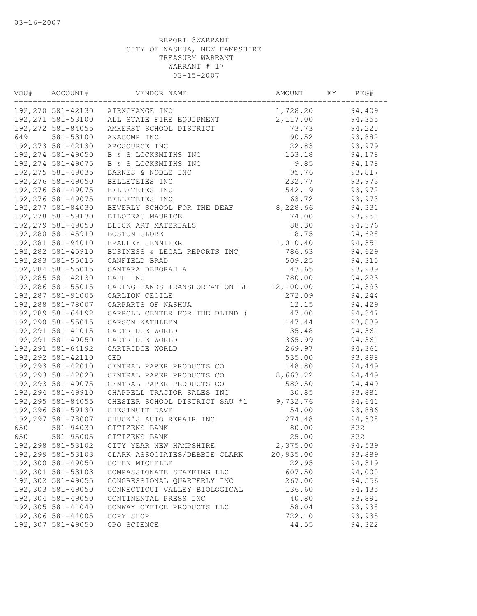| VOU# | ACCOUNT#           | VENDOR NAME                      | AMOUNT    | FΥ | REG#   |
|------|--------------------|----------------------------------|-----------|----|--------|
|      |                    | 192,270 581-42130 AIRXCHANGE INC | 1,728.20  |    | 94,409 |
|      | 192, 271 581-53100 | ALL STATE FIRE EQUIPMENT         | 2,117.00  |    | 94,355 |
|      | 192, 272 581-84055 | AMHERST SCHOOL DISTRICT          | 73.73     |    | 94,220 |
| 649  | 581-53100          | ANACOMP INC                      | 90.52     |    | 93,882 |
|      | 192, 273 581-42130 | ARCSOURCE INC                    | 22.83     |    | 93,979 |
|      | 192, 274 581-49050 | B & S LOCKSMITHS INC             | 153.18    |    | 94,178 |
|      | 192, 274 581-49075 | B & S LOCKSMITHS INC             | 9.85      |    | 94,178 |
|      | 192, 275 581-49035 | BARNES & NOBLE INC               | 95.76     |    | 93,817 |
|      | 192,276 581-49050  | BELLETETES INC                   | 232.77    |    | 93,973 |
|      | 192, 276 581-49075 | BELLETETES INC                   | 542.19    |    | 93,972 |
|      | 192, 276 581-49075 | BELLETETES INC                   | 63.72     |    | 93,973 |
|      | 192, 277 581-84030 | BEVERLY SCHOOL FOR THE DEAF      | 8,228.66  |    | 94,331 |
|      | 192, 278 581-59130 | BILODEAU MAURICE                 | 74.00     |    | 93,951 |
|      | 192, 279 581-49050 | BLICK ART MATERIALS              | 88.30     |    | 94,376 |
|      | 192,280 581-45910  | BOSTON GLOBE                     | 18.75     |    | 94,628 |
|      | 192,281 581-94010  | BRADLEY JENNIFER                 | 1,010.40  |    | 94,351 |
|      | 192,282 581-45910  | BUSINESS & LEGAL REPORTS INC     | 786.63    |    | 94,629 |
|      | 192, 283 581-55015 | CANFIELD BRAD                    | 509.25    |    | 94,310 |
|      | 192,284 581-55015  | CANTARA DEBORAH A                | 43.65     |    | 93,989 |
|      | 192,285 581-42130  | CAPP INC                         | 780.00    |    | 94,223 |
|      | 192,286 581-55015  | CARING HANDS TRANSPORTATION LL   | 12,100.00 |    | 94,393 |
|      | 192,287 581-91005  | CARLTON CECILE                   | 272.09    |    | 94,244 |
|      | 192,288 581-78007  | CARPARTS OF NASHUA               | 12.15     |    | 94,429 |
|      | 192,289 581-64192  | CARROLL CENTER FOR THE BLIND (   | 47.00     |    | 94,347 |
|      | 192,290 581-55015  | CARSON KATHLEEN                  | 147.44    |    | 93,839 |
|      | 192, 291 581-41015 | CARTRIDGE WORLD                  | 35.48     |    | 94,361 |
|      | 192, 291 581-49050 | CARTRIDGE WORLD                  | 365.99    |    | 94,361 |
|      | 192, 291 581-64192 | CARTRIDGE WORLD                  | 269.97    |    | 94,361 |
|      | 192, 292 581-42110 | CED                              | 535.00    |    | 93,898 |
|      | 192,293 581-42010  | CENTRAL PAPER PRODUCTS CO        | 148.80    |    | 94,449 |
|      | 192, 293 581-42020 | CENTRAL PAPER PRODUCTS CO        | 8,663.22  |    | 94,449 |
|      | 192, 293 581-49075 | CENTRAL PAPER PRODUCTS CO        | 582.50    |    | 94,449 |
|      | 192,294 581-49910  | CHAPPELL TRACTOR SALES INC       | 30.85     |    | 93,881 |
|      | 192, 295 581-84055 |                                  | 9,732.76  |    | 94,641 |
|      | 192,296 581-59130  | CHESTER SCHOOL DISTRICT SAU #1   |           |    |        |
|      |                    | CHESTNUTT DAVE                   | 54.00     |    | 93,886 |
|      | 192,297 581-78007  | CHUCK'S AUTO REPAIR INC          | 274.48    |    | 94,308 |
| 650  | 581-94030          | CITIZENS BANK                    | 80.00     |    | 322    |
| 650  | 581-95005          | CITIZENS BANK                    | 25.00     |    | 322    |
|      | 192,298 581-53102  | CITY YEAR NEW HAMPSHIRE          | 2,375.00  |    | 94,539 |
|      | 192,299 581-53103  | CLARK ASSOCIATES/DEBBIE CLARK    | 20,935.00 |    | 93,889 |
|      | 192,300 581-49050  | COHEN MICHELLE                   | 22.95     |    | 94,319 |
|      | 192,301 581-53103  | COMPASSIONATE STAFFING LLC       | 607.50    |    | 94,000 |
|      | 192,302 581-49055  | CONGRESSIONAL QUARTERLY INC      | 267.00    |    | 94,556 |
|      | 192,303 581-49050  | CONNECTICUT VALLEY BIOLOGICAL    | 136.60    |    | 94,435 |
|      | 192,304 581-49050  | CONTINENTAL PRESS INC            | 40.80     |    | 93,891 |
|      | 192,305 581-41040  | CONWAY OFFICE PRODUCTS LLC       | 58.04     |    | 93,938 |
|      | 192,306 581-44005  | COPY SHOP                        | 722.10    |    | 93,935 |
|      | 192,307 581-49050  | CPO SCIENCE                      | 44.55     |    | 94,322 |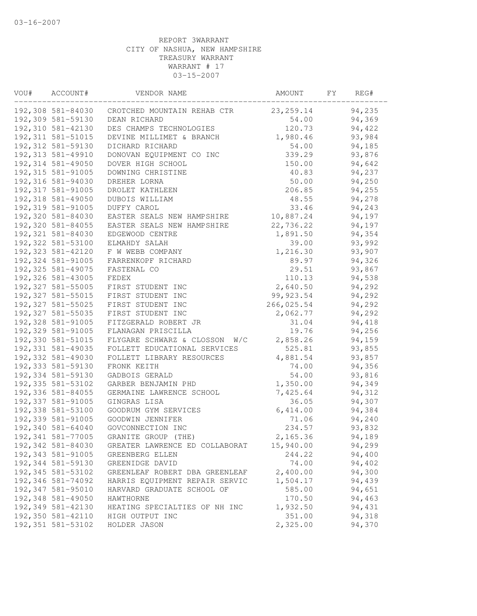| VOU# | ACCOUNT#           | VENDOR NAME                      | AMOUNT     | FY | REG#   |
|------|--------------------|----------------------------------|------------|----|--------|
|      | 192,308 581-84030  | CROTCHED MOUNTAIN REHAB CTR      | 23, 259.14 |    | 94,235 |
|      | 192,309 581-59130  | DEAN RICHARD                     | 54.00      |    | 94,369 |
|      | 192,310 581-42130  | DES CHAMPS TECHNOLOGIES          | 120.73     |    | 94,422 |
|      | 192, 311 581-51015 | DEVINE MILLIMET & BRANCH         | 1,980.46   |    | 93,984 |
|      | 192, 312 581-59130 | DICHARD RICHARD                  | 54.00      |    | 94,185 |
|      | 192, 313 581-49910 | DONOVAN EQUIPMENT CO INC         | 339.29     |    | 93,876 |
|      | 192,314 581-49050  | DOVER HIGH SCHOOL                | 150.00     |    | 94,642 |
|      | 192,315 581-91005  | DOWNING CHRISTINE                | 40.83      |    | 94,237 |
|      | 192,316 581-94030  | DREHER LORNA                     | 50.00      |    | 94,250 |
|      | 192, 317 581-91005 | DROLET KATHLEEN                  | 206.85     |    | 94,255 |
|      | 192,318 581-49050  | DUBOIS WILLIAM                   | 48.55      |    | 94,278 |
|      | 192,319 581-91005  | DUFFY CAROL                      | 33.46      |    | 94,243 |
|      | 192,320 581-84030  | EASTER SEALS NEW HAMPSHIRE       | 10,887.24  |    | 94,197 |
|      | 192,320 581-84055  | EASTER SEALS NEW HAMPSHIRE       | 22,736.22  |    | 94,197 |
|      | 192,321 581-84030  | EDGEWOOD CENTRE                  | 1,891.50   |    | 94,354 |
|      | 192,322 581-53100  | ELMAHDY SALAH                    | 39.00      |    | 93,992 |
|      | 192,323 581-42120  | F W WEBB COMPANY                 | 1,216.30   |    | 93,907 |
|      | 192,324 581-91005  | FARRENKOPF RICHARD               | 89.97      |    | 94,326 |
|      | 192, 325 581-49075 | FASTENAL CO                      | 29.51      |    | 93,867 |
|      | 192,326 581-43005  | FEDEX                            | 110.13     |    | 94,538 |
|      | 192, 327 581-55005 | FIRST STUDENT INC                | 2,640.50   |    | 94,292 |
|      | 192, 327 581-55015 | FIRST STUDENT INC                | 99, 923.54 |    | 94,292 |
|      | 192,327 581-55025  | FIRST STUDENT INC                | 266,025.54 |    | 94,292 |
|      | 192,327 581-55035  | FIRST STUDENT INC                | 2,062.77   |    | 94,292 |
|      | 192,328 581-91005  | FITZGERALD ROBERT JR             | 31.04      |    | 94,418 |
|      | 192,329 581-91005  | FLANAGAN PRISCILLA               | 19.76      |    | 94,256 |
|      | 192,330 581-51015  | FLYGARE SCHWARZ & CLOSSON<br>W/C | 2,858.26   |    | 94,159 |
|      | 192, 331 581-49035 | FOLLETT EDUCATIONAL SERVICES     | 525.81     |    | 93,855 |
|      | 192,332 581-49030  | FOLLETT LIBRARY RESOURCES        | 4,881.54   |    | 93,857 |
|      | 192,333 581-59130  | FRONK KEITH                      | 74.00      |    | 94,356 |
|      | 192,334 581-59130  | GADBOIS GERALD                   | 54.00      |    | 93,816 |
|      | 192, 335 581-53102 | GARBER BENJAMIN PHD              | 1,350.00   |    | 94,349 |
|      | 192,336 581-84055  | GERMAINE LAWRENCE SCHOOL         | 7,425.64   |    | 94,312 |
|      | 192,337 581-91005  | GINGRAS LISA                     | 36.05      |    | 94,307 |
|      | 192,338 581-53100  | GOODRUM GYM SERVICES             | 6,414.00   |    | 94,384 |
|      | 192,339 581-91005  | GOODWIN JENNIFER                 | 71.06      |    | 94,240 |
|      | 192,340 581-64040  | GOVCONNECTION INC                | 234.57     |    | 93,832 |
|      | 192,341 581-77005  | GRANITE GROUP (THE)              | 2,165.36   |    | 94,189 |
|      | 192,342 581-84030  | GREATER LAWRENCE ED COLLABORAT   | 15,940.00  |    | 94,299 |
|      | 192,343 581-91005  | GREENBERG ELLEN                  | 244.22     |    | 94,400 |
|      | 192,344 581-59130  | GREENIDGE DAVID                  | 74.00      |    | 94,402 |
|      | 192,345 581-53102  | GREENLEAF ROBERT DBA GREENLEAF   | 2,400.00   |    | 94,300 |
|      | 192,346 581-74092  | HARRIS EQUIPMENT REPAIR SERVIC   | 1,504.17   |    | 94,439 |
|      | 192,347 581-95010  | HARVARD GRADUATE SCHOOL OF       | 585.00     |    | 94,651 |
|      | 192,348 581-49050  | HAWTHORNE                        | 170.50     |    | 94,463 |
|      | 192,349 581-42130  | HEATING SPECIALTIES OF NH INC    | 1,932.50   |    | 94,431 |
|      | 192,350 581-42110  | HIGH OUTPUT INC                  | 351.00     |    | 94,318 |
|      | 192,351 581-53102  | HOLDER JASON                     | 2,325.00   |    | 94,370 |
|      |                    |                                  |            |    |        |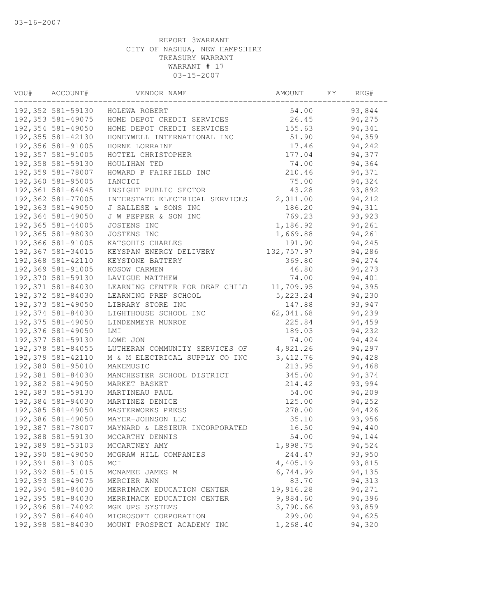| VOU# | ACCOUNT#           | VENDOR NAME                    | AMOUNT     | FΥ | REG#   |  |
|------|--------------------|--------------------------------|------------|----|--------|--|
|      | 192,352 581-59130  | HOLEWA ROBERT                  | 54.00      |    | 93,844 |  |
|      | 192,353 581-49075  | HOME DEPOT CREDIT SERVICES     | 26.45      |    | 94,275 |  |
|      | 192,354 581-49050  | HOME DEPOT CREDIT SERVICES     | 155.63     |    | 94,341 |  |
|      | 192, 355 581-42130 | HONEYWELL INTERNATIONAL INC    | 51.90      |    | 94,359 |  |
|      | 192,356 581-91005  | HORNE LORRAINE                 | 17.46      |    | 94,242 |  |
|      | 192,357 581-91005  | HOTTEL CHRISTOPHER             | 177.04     |    | 94,377 |  |
|      | 192,358 581-59130  | HOULIHAN TED                   | 74.00      |    | 94,364 |  |
|      | 192,359 581-78007  | HOWARD P FAIRFIELD INC         | 210.46     |    | 94,371 |  |
|      | 192,360 581-95005  | IANCICI                        | 75.00      |    | 94,324 |  |
|      | 192,361 581-64045  | INSIGHT PUBLIC SECTOR          | 43.28      |    | 93,892 |  |
|      | 192,362 581-77005  | INTERSTATE ELECTRICAL SERVICES | 2,011.00   |    | 94,212 |  |
|      | 192,363 581-49050  | J SALLESE & SONS INC           | 186.20     |    | 94,311 |  |
|      | 192,364 581-49050  | J W PEPPER & SON INC           | 769.23     |    | 93,923 |  |
|      | 192,365 581-44005  | JOSTENS INC                    | 1,186.92   |    | 94,261 |  |
|      | 192,365 581-98030  | JOSTENS INC                    | 1,669.88   |    | 94,261 |  |
|      | 192,366 581-91005  | KATSOHIS CHARLES               | 191.90     |    | 94,245 |  |
|      | 192,367 581-34015  | KEYSPAN ENERGY DELIVERY        | 132,757.97 |    | 94,286 |  |
|      | 192,368 581-42110  | KEYSTONE BATTERY               | 369.80     |    | 94,274 |  |
|      | 192,369 581-91005  | KOSOW CARMEN                   | 46.80      |    | 94,273 |  |
|      | 192,370 581-59130  | LAVIGUE MATTHEW                | 74.00      |    | 94,401 |  |
|      | 192,371 581-84030  | LEARNING CENTER FOR DEAF CHILD | 11,709.95  |    | 94,395 |  |
|      | 192,372 581-84030  | LEARNING PREP SCHOOL           | 5,223.24   |    | 94,230 |  |
|      | 192,373 581-49050  | LIBRARY STORE INC              | 147.88     |    | 93,947 |  |
|      | 192,374 581-84030  | LIGHTHOUSE SCHOOL INC          | 62,041.68  |    | 94,239 |  |
|      | 192,375 581-49050  | LINDENMEYR MUNROE              | 225.84     |    | 94,459 |  |
|      | 192,376 581-49050  | LMI                            | 189.03     |    | 94,232 |  |
|      | 192,377 581-59130  | LOWE JON                       | 74.00      |    | 94,424 |  |
|      | 192,378 581-84055  | LUTHERAN COMMUNITY SERVICES OF | 4,921.26   |    | 94,297 |  |
|      | 192,379 581-42110  | M & M ELECTRICAL SUPPLY CO INC | 3,412.76   |    | 94,428 |  |
|      | 192,380 581-95010  | MAKEMUSIC                      | 213.95     |    | 94,468 |  |
|      | 192,381 581-84030  | MANCHESTER SCHOOL DISTRICT     | 345.00     |    | 94,374 |  |
|      | 192,382 581-49050  | MARKET BASKET                  | 214.42     |    | 93,994 |  |
|      | 192,383 581-59130  | MARTINEAU PAUL                 | 54.00      |    | 94,209 |  |
|      | 192,384 581-94030  | MARTINEZ DENICE                | 125.00     |    | 94,252 |  |
|      | 192,385 581-49050  | MASTERWORKS PRESS              | 278.00     |    | 94,426 |  |
|      | 192,386 581-49050  | MAYER-JOHNSON LLC              | 35.10      |    | 93,956 |  |
|      | 192,387 581-78007  | MAYNARD & LESIEUR INCORPORATED | 16.50      |    | 94,440 |  |
|      | 192,388 581-59130  | MCCARTHY DENNIS                | 54.00      |    | 94,144 |  |
|      | 192,389 581-53103  | MCCARTNEY AMY                  | 1,898.75   |    | 94,524 |  |
|      | 192,390 581-49050  | MCGRAW HILL COMPANIES          | 244.47     |    | 93,950 |  |
|      | 192,391 581-31005  | MCI                            | 4,405.19   |    | 93,815 |  |
|      | 192,392 581-51015  | MCNAMEE JAMES M                | 6,744.99   |    | 94,135 |  |
|      | 192,393 581-49075  | MERCIER ANN                    | 83.70      |    | 94,313 |  |
|      | 192,394 581-84030  | MERRIMACK EDUCATION CENTER     | 19,916.28  |    | 94,271 |  |
|      | 192,395 581-84030  | MERRIMACK EDUCATION CENTER     | 9,884.60   |    | 94,396 |  |
|      | 192,396 581-74092  | MGE UPS SYSTEMS                | 3,790.66   |    | 93,859 |  |
|      | 192,397 581-64040  | MICROSOFT CORPORATION          | 299.00     |    | 94,625 |  |
|      | 192,398 581-84030  | MOUNT PROSPECT ACADEMY INC     | 1,268.40   |    | 94,320 |  |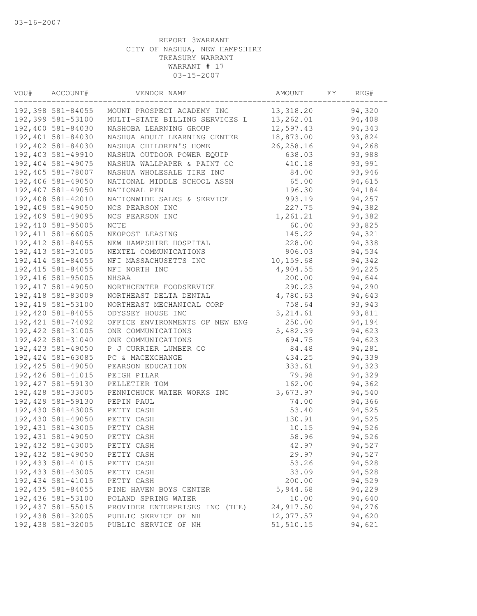| VOU# | ACCOUNT#           | VENDOR NAME                    | AMOUNT     | FY | REG#   |  |
|------|--------------------|--------------------------------|------------|----|--------|--|
|      | 192,398 581-84055  | MOUNT PROSPECT ACADEMY INC     | 13,318.20  |    | 94,320 |  |
|      | 192,399 581-53100  | MULTI-STATE BILLING SERVICES L | 13,262.01  |    | 94,408 |  |
|      | 192,400 581-84030  | NASHOBA LEARNING GROUP         | 12,597.43  |    | 94,343 |  |
|      | 192,401 581-84030  | NASHUA ADULT LEARNING CENTER   | 18,873.00  |    | 93,824 |  |
|      | 192,402 581-84030  | NASHUA CHILDREN'S HOME         | 26, 258.16 |    | 94,268 |  |
|      | 192,403 581-49910  | NASHUA OUTDOOR POWER EQUIP     | 638.03     |    | 93,988 |  |
|      | 192,404 581-49075  | NASHUA WALLPAPER & PAINT CO    | 410.18     |    | 93,991 |  |
|      | 192,405 581-78007  | NASHUA WHOLESALE TIRE INC      | 84.00      |    | 93,946 |  |
|      | 192,406 581-49050  | NATIONAL MIDDLE SCHOOL ASSN    | 65.00      |    | 94,615 |  |
|      | 192,407 581-49050  | NATIONAL PEN                   | 196.30     |    | 94,184 |  |
|      | 192,408 581-42010  | NATIONWIDE SALES & SERVICE     | 993.19     |    | 94,257 |  |
|      | 192,409 581-49050  | NCS PEARSON INC                | 227.75     |    | 94,382 |  |
|      | 192,409 581-49095  | NCS PEARSON INC                | 1,261.21   |    | 94,382 |  |
|      | 192,410 581-95005  | NCTE                           | 60.00      |    | 93,825 |  |
|      | 192, 411 581-66005 | NEOPOST LEASING                | 145.22     |    | 94,321 |  |
|      | 192, 412 581-84055 | NEW HAMPSHIRE HOSPITAL         | 228.00     |    | 94,338 |  |
|      | 192, 413 581-31005 | NEXTEL COMMUNICATIONS          | 906.03     |    | 94,534 |  |
|      | 192, 414 581-84055 | NFI MASSACHUSETTS INC          | 10, 159.68 |    | 94,342 |  |
|      | 192, 415 581-84055 | NFI NORTH INC                  | 4,904.55   |    | 94,225 |  |
|      | 192,416 581-95005  | NHSAA                          | 200.00     |    | 94,644 |  |
|      | 192, 417 581-49050 | NORTHCENTER FOODSERVICE        | 290.23     |    | 94,290 |  |
|      | 192, 418 581-83009 | NORTHEAST DELTA DENTAL         | 4,780.63   |    | 94,643 |  |
|      | 192, 419 581-53100 | NORTHEAST MECHANICAL CORP      | 758.64     |    | 93,943 |  |
|      | 192,420 581-84055  | ODYSSEY HOUSE INC              | 3, 214.61  |    | 93,811 |  |
|      | 192, 421 581-74092 | OFFICE ENVIRONMENTS OF NEW ENG | 250.00     |    | 94,194 |  |
|      | 192, 422 581-31005 | ONE COMMUNICATIONS             | 5,482.39   |    | 94,623 |  |
|      | 192,422 581-31040  | ONE COMMUNICATIONS             | 694.75     |    | 94,623 |  |
|      | 192, 423 581-49050 | P J CURRIER LUMBER CO          | 84.48      |    | 94,281 |  |
|      | 192,424 581-63085  | PC & MACEXCHANGE               | 434.25     |    | 94,339 |  |
|      | 192,425 581-49050  | PEARSON EDUCATION              | 333.61     |    | 94,323 |  |
|      | 192, 426 581-41015 | PEIGH PILAR                    | 79.98      |    | 94,329 |  |
|      | 192, 427 581-59130 | PELLETIER TOM                  | 162.00     |    | 94,362 |  |
|      | 192,428 581-33005  | PENNICHUCK WATER WORKS INC     | 3,673.97   |    | 94,540 |  |
|      | 192,429 581-59130  | PEPIN PAUL                     | 74.00      |    | 94,366 |  |
|      | 192,430 581-43005  | PETTY CASH                     | 53.40      |    | 94,525 |  |
|      | 192,430 581-49050  | PETTY CASH                     | 130.91     |    | 94,525 |  |
|      | 192, 431 581-43005 | PETTY CASH                     | 10.15      |    | 94,526 |  |
|      | 192,431 581-49050  | PETTY CASH                     | 58.96      |    | 94,526 |  |
|      | 192,432 581-43005  | PETTY CASH                     | 42.97      |    | 94,527 |  |
|      | 192,432 581-49050  | PETTY CASH                     | 29.97      |    | 94,527 |  |
|      | 192, 433 581-41015 | PETTY CASH                     | 53.26      |    | 94,528 |  |
|      | 192, 433 581-43005 | PETTY CASH                     | 33.09      |    | 94,528 |  |
|      | 192, 434 581-41015 | PETTY CASH                     | 200.00     |    | 94,529 |  |
|      | 192,435 581-84055  | PINE HAVEN BOYS CENTER         | 5,944.68   |    | 94,229 |  |
|      | 192,436 581-53100  | POLAND SPRING WATER            | 10.00      |    | 94,640 |  |
|      | 192, 437 581-55015 | PROVIDER ENTERPRISES INC (THE) | 24,917.50  |    | 94,276 |  |
|      | 192,438 581-32005  | PUBLIC SERVICE OF NH           | 12,077.57  |    | 94,620 |  |
|      | 192,438 581-32005  | PUBLIC SERVICE OF NH           | 51,510.15  |    | 94,621 |  |
|      |                    |                                |            |    |        |  |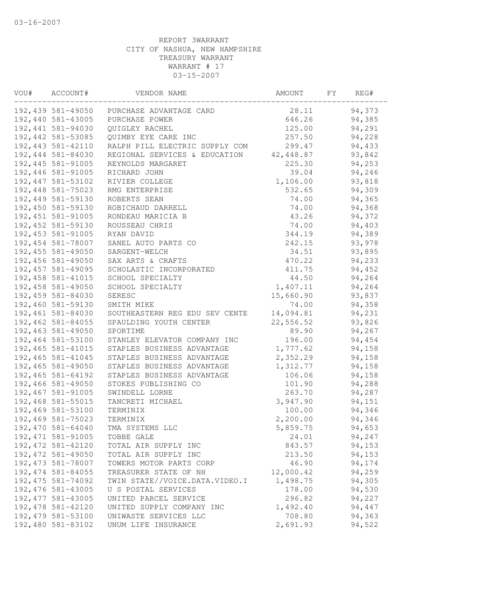| VOU# | ACCOUNT#           | VENDOR NAME                    | AMOUNT    | FY | REG#   |  |
|------|--------------------|--------------------------------|-----------|----|--------|--|
|      | 192,439 581-49050  | PURCHASE ADVANTAGE CARD        | 28.11     |    | 94,373 |  |
|      | 192,440 581-43005  | PURCHASE POWER                 | 646.26    |    | 94,385 |  |
|      | 192,441 581-94030  | QUIGLEY RACHEL                 | 125.00    |    | 94,291 |  |
|      | 192, 442 581-53085 | QUIMBY EYE CARE INC            | 257.50    |    | 94,228 |  |
|      | 192,443 581-42110  | RALPH PILL ELECTRIC SUPPLY COM | 299.47    |    | 94,433 |  |
|      | 192,444 581-84030  | REGIONAL SERVICES & EDUCATION  | 42,448.87 |    | 93,842 |  |
|      | 192,445 581-91005  | REYNOLDS MARGARET              | 225.30    |    | 94,253 |  |
|      | 192,446 581-91005  | RICHARD JOHN                   | 39.04     |    | 94,246 |  |
|      | 192, 447 581-53102 | RIVIER COLLEGE                 | 1,106.00  |    | 93,818 |  |
|      | 192,448 581-75023  | RMG ENTERPRISE                 | 532.65    |    | 94,309 |  |
|      | 192,449 581-59130  | ROBERTS SEAN                   | 74.00     |    | 94,365 |  |
|      | 192,450 581-59130  | ROBICHAUD DARRELL              | 74.00     |    | 94,368 |  |
|      | 192, 451 581-91005 | RONDEAU MARICIA B              | 43.26     |    | 94,372 |  |
|      | 192, 452 581-59130 | ROUSSEAU CHRIS                 | 74.00     |    | 94,403 |  |
|      | 192, 453 581-91005 | RYAN DAVID                     | 344.19    |    | 94,389 |  |
|      | 192,454 581-78007  | SANEL AUTO PARTS CO            | 242.15    |    | 93,978 |  |
|      | 192,455 581-49050  | SARGENT-WELCH                  | 34.51     |    | 93,895 |  |
|      | 192,456 581-49050  | SAX ARTS & CRAFTS              | 470.22    |    | 94,233 |  |
|      | 192, 457 581-49095 | SCHOLASTIC INCORPORATED        | 411.75    |    | 94,452 |  |
|      | 192, 458 581-41015 | SCHOOL SPECIALTY               | 44.50     |    | 94,264 |  |
|      | 192,458 581-49050  | SCHOOL SPECIALTY               | 1,407.11  |    | 94,264 |  |
|      | 192,459 581-84030  | SERESC                         | 15,660.90 |    | 93,837 |  |
|      | 192,460 581-59130  | SMITH MIKE                     | 74.00     |    | 94,358 |  |
|      | 192,461 581-84030  | SOUTHEASTERN REG EDU SEV CENTE | 14,094.81 |    | 94,231 |  |
|      | 192,462 581-84055  | SPAULDING YOUTH CENTER         | 22,556.52 |    | 93,826 |  |
|      | 192,463 581-49050  | SPORTIME                       | 89.90     |    | 94,267 |  |
|      | 192,464 581-53100  | STANLEY ELEVATOR COMPANY INC   | 196.00    |    | 94,454 |  |
|      | 192, 465 581-41015 | STAPLES BUSINESS ADVANTAGE     | 1,777.62  |    | 94,158 |  |
|      | 192,465 581-41045  | STAPLES BUSINESS ADVANTAGE     | 2,352.29  |    | 94,158 |  |
|      | 192,465 581-49050  | STAPLES BUSINESS ADVANTAGE     | 1,312.77  |    | 94,158 |  |
|      | 192,465 581-64192  | STAPLES BUSINESS ADVANTAGE     | 106.06    |    | 94,158 |  |
|      | 192,466 581-49050  | STOKES PUBLISHING CO           | 101.90    |    | 94,288 |  |
|      | 192,467 581-91005  | SWINDELL LORNE                 | 263.70    |    | 94,287 |  |
|      | 192,468 581-55015  | TANCRETI MICHAEL               | 3,947.90  |    | 94,151 |  |
|      | 192,469 581-53100  | TERMINIX                       | 100.00    |    | 94,346 |  |
|      | 192,469 581-75023  | TERMINIX                       | 2,200.00  |    | 94,346 |  |
|      | 192,470 581-64040  | TMA SYSTEMS LLC                | 5,859.75  |    | 94,653 |  |
|      | 192, 471 581-91005 | TOBBE GALE                     | 24.01     |    | 94,247 |  |
|      | 192, 472 581-42120 | TOTAL AIR SUPPLY INC           | 843.57    |    | 94,153 |  |
|      | 192, 472 581-49050 | TOTAL AIR SUPPLY INC           | 213.50    |    | 94,153 |  |
|      | 192,473 581-78007  | TOWERS MOTOR PARTS CORP        | 46.90     |    | 94,174 |  |
|      | 192, 474 581-84055 | TREASURER STATE OF NH          | 12,000.42 |    | 94,259 |  |
|      | 192, 475 581-74092 | TWIN STATE//VOICE.DATA.VIDEO.I | 1,498.75  |    | 94,305 |  |
|      | 192,476 581-43005  | U S POSTAL SERVICES            | 178.00    |    | 94,530 |  |
|      | 192, 477 581-43005 | UNITED PARCEL SERVICE          | 296.82    |    | 94,227 |  |
|      | 192, 478 581-42120 | UNITED SUPPLY COMPANY INC      | 1,492.40  |    | 94,447 |  |
|      | 192,479 581-53100  | UNIWASTE SERVICES LLC          | 708.80    |    | 94,363 |  |
|      | 192,480 581-83102  | UNUM LIFE INSURANCE            | 2,691.93  |    | 94,522 |  |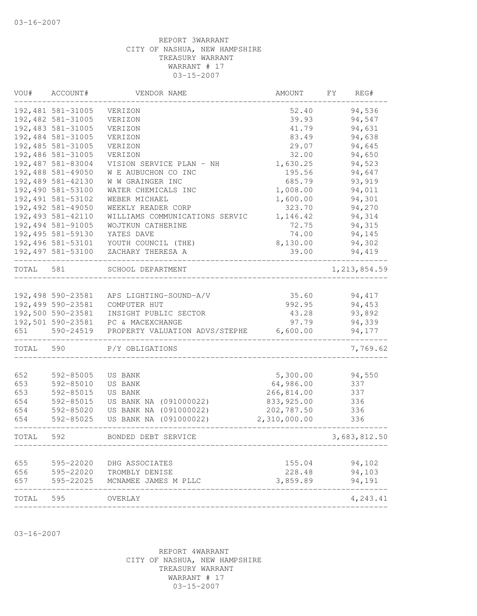| VOU#      | ACCOUNT#          | VENDOR NAME                    | AMOUNT       | FΥ | REG#           |
|-----------|-------------------|--------------------------------|--------------|----|----------------|
|           | 192,481 581-31005 | VERIZON                        | 52.40        |    | 94,536         |
|           | 192,482 581-31005 | VERIZON                        | 39.93        |    | 94,547         |
|           | 192,483 581-31005 | VERIZON                        | 41.79        |    | 94,631         |
|           | 192,484 581-31005 | VERIZON                        | 83.49        |    | 94,638         |
|           | 192,485 581-31005 | VERIZON                        | 29.07        |    | 94,645         |
|           | 192,486 581-31005 | VERIZON                        | 32.00        |    | 94,650         |
|           | 192,487 581-83004 | VISION SERVICE PLAN - NH       | 1,630.25     |    | 94,523         |
|           | 192,488 581-49050 | W E AUBUCHON CO INC            | 195.56       |    | 94,647         |
|           | 192,489 581-42130 | W W GRAINGER INC               | 685.79       |    | 93,919         |
|           | 192,490 581-53100 | WATER CHEMICALS INC            | 1,008.00     |    | 94,011         |
|           | 192,491 581-53102 | WEBER MICHAEL                  | 1,600.00     |    | 94,301         |
|           | 192,492 581-49050 | WEEKLY READER CORP             | 323.70       |    | 94,270         |
|           | 192,493 581-42110 | WILLIAMS COMMUNICATIONS SERVIC | 1,146.42     |    | 94,314         |
|           | 192,494 581-91005 | WOJTKUN CATHERINE              | 72.75        |    | 94,315         |
|           | 192,495 581-59130 | YATES DAVE                     | 74.00        |    | 94,145         |
|           | 192,496 581-53101 | YOUTH COUNCIL (THE)            | 8,130.00     |    | 94,302         |
|           | 192,497 581-53100 | ZACHARY THERESA A              | 39.00        |    | 94,419         |
| TOTAL 581 |                   | SCHOOL DEPARTMENT              |              |    | 1, 213, 854.59 |
|           |                   |                                |              |    |                |
|           | 192,498 590-23581 | APS LIGHTING-SOUND-A/V         | 35.60        |    | 94,417         |
|           | 192,499 590-23581 | COMPUTER HUT                   | 992.95       |    | 94,453         |
|           | 192,500 590-23581 | INSIGHT PUBLIC SECTOR          | 43.28        |    | 93,892         |
|           | 192,501 590-23581 | PC & MACEXCHANGE               | 97.79        |    | 94,339         |
| 651       | 590-24519         | PROPERTY VALUATION ADVS/STEPHE | 6,600.00     |    | 94,177         |
| TOTAL 590 |                   | P/Y OBLIGATIONS                |              |    | 7,769.62       |
| 652       | 592-85005         | US BANK                        | 5,300.00     |    | 94,550         |
| 653       | 592-85010         | US BANK                        | 64,986.00    |    | 337            |
| 653       | 592-85015         | US BANK                        | 266,814.00   |    | 337            |
| 654       | 592-85015         | US BANK NA (091000022)         | 833, 925.00  |    | 336            |
| 654       | 592-85020         | US BANK NA (091000022)         | 202,787.50   |    | 336            |
| 654       | 592-85025         | US BANK NA (091000022)         | 2,310,000.00 |    | 336            |
| TOTAL     | 592               | BONDED DEBT SERVICE            |              |    | 3,683,812.50   |
|           |                   |                                |              |    |                |
| 655       | 595-22020         | DHG ASSOCIATES                 | 155.04       |    | 94,102         |
| 656       |                   | 595-22020 TROMBLY DENISE       | 228.48       |    | 94,103         |
| 657       |                   | 595-22025 MCNAMEE JAMES M PLLC | 3,859.89     |    | 94,191         |
| TOTAL 595 |                   | OVERLAY                        |              |    | 4,243.41       |
|           |                   |                                |              |    |                |

03-16-2007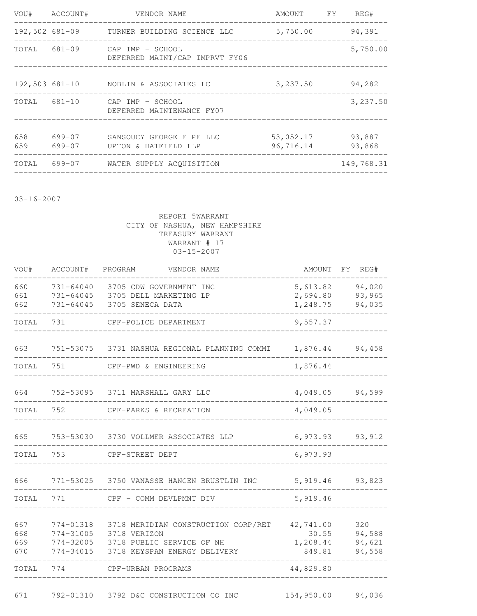|            | VOU# ACCOUNT#    | VENDOR NAME                                                                     | AMOUNT FY REG#         |                  |
|------------|------------------|---------------------------------------------------------------------------------|------------------------|------------------|
|            |                  | 192,502 681-09      TURNER BUILDING SCIENCE LLC          5,750.00               |                        | 94,391           |
|            |                  | TOTAL 681-09 CAP IMP - SCHOOL<br>DEFERRED MAINT/CAP IMPRVT FY06                 |                        | 5,750.00         |
|            |                  | 192,503 681-10 NOBLIN & ASSOCIATES LC<br>______________________________________ | 3,237.50               | 94,282           |
|            |                  | TOTAL 681-10 CAP IMP - SCHOOL<br>DEFERRED MAINTENANCE FY07                      |                        | 3,237.50         |
| 658<br>659 | 699-07<br>699-07 | SANSOUCY GEORGE E PE LLC<br>UPTON & HATFIELD LLP                                | 53,052.17<br>96,716.14 | 93,887<br>93,868 |
|            |                  | TOTAL 699-07 WATER SUPPLY ACOUISITION                                           |                        | 149,768.31       |

03-16-2007

| VOU#                     | ACCOUNT#                            | PROGRAM<br>VENDOR NAME                                                                                                     | AMOUNT                                   | FY REG#                           |
|--------------------------|-------------------------------------|----------------------------------------------------------------------------------------------------------------------------|------------------------------------------|-----------------------------------|
| 660<br>661<br>662        | 731-64045                           | 731-64040 3705 CDW GOVERNMENT INC<br>731-64045 3705 DELL MARKETING LP<br>3705 SENECA DATA                                  | 5,613.82<br>2,694.80<br>1,248.75         | 94,020<br>93,965<br>94,035        |
| TOTAL                    | 731                                 | CPF-POLICE DEPARTMENT                                                                                                      | 9,557.37                                 |                                   |
| 663                      |                                     | 751-53075 3731 NASHUA REGIONAL PLANNING COMMI                                                                              | 1,876.44                                 | 94,458                            |
| TOTAL                    | 751                                 | CPF-PWD & ENGINEERING                                                                                                      | 1,876.44                                 |                                   |
| 664                      |                                     | 752-53095 3711 MARSHALL GARY LLC                                                                                           | 4,049.05                                 | 94,599                            |
| TOTAL                    | 752                                 | CPF-PARKS & RECREATION                                                                                                     | 4,049.05                                 |                                   |
| 665                      |                                     | 753-53030 3730 VOLLMER ASSOCIATES LLP                                                                                      | 6,973.93                                 | 93,912                            |
| TOTAL                    | 753                                 | CPF-STREET DEPT                                                                                                            | 6,973.93                                 |                                   |
| 666                      |                                     | 771-53025 3750 VANASSE HANGEN BRUSTLIN INC                                                                                 | 5,919.46                                 | 93,823                            |
| TOTAL                    | 771                                 | CPF - COMM DEVLPMNT DIV                                                                                                    | 5,919.46                                 |                                   |
| 667<br>668<br>669<br>670 | 774-01318<br>774-31005<br>774-34015 | 3718 MERIDIAN CONSTRUCTION CORP/RET<br>3718 VERIZON<br>774-32005 3718 PUBLIC SERVICE OF NH<br>3718 KEYSPAN ENERGY DELIVERY | 42,741.00<br>30.55<br>1,208.44<br>849.81 | 320<br>94,588<br>94,621<br>94,558 |
| TOTAL                    | 774                                 | CPF-URBAN PROGRAMS                                                                                                         | 44,829.80                                |                                   |
| 671                      | 792-01310                           | 3792 D&C CONSTRUCTION CO INC                                                                                               | 154,950.00                               | 94,036                            |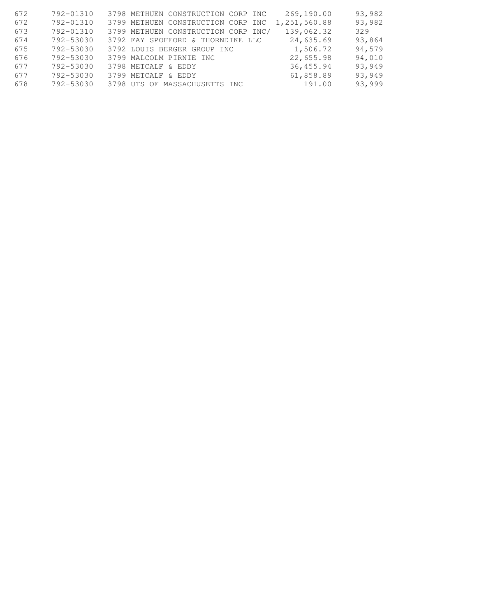| 672 | 792-01310 | 3798 METHUEN CONSTRUCTION CORP INC  | 269,190.00   | 93,982 |
|-----|-----------|-------------------------------------|--------------|--------|
| 672 | 792-01310 | 3799 METHUEN CONSTRUCTION CORP INC  | 1,251,560.88 | 93,982 |
| 673 | 792-01310 | 3799 METHUEN CONSTRUCTION CORP INC/ | 139,062.32   | 329    |
| 674 | 792-53030 | 3792 FAY SPOFFORD & THORNDIKE LLC   | 24,635.69    | 93,864 |
| 675 | 792-53030 | 3792 LOUIS BERGER GROUP INC         | 1,506.72     | 94,579 |
| 676 | 792-53030 | 3799 MALCOLM PIRNIE INC             | 22,655.98    | 94,010 |
| 677 | 792-53030 | 3798 METCALF & EDDY                 | 36,455.94    | 93,949 |
| 677 | 792-53030 | 3799 METCALF & EDDY                 | 61,858.89    | 93,949 |
| 678 | 792-53030 | 3798 UTS OF MASSACHUSETTS INC       | 191.00       | 93,999 |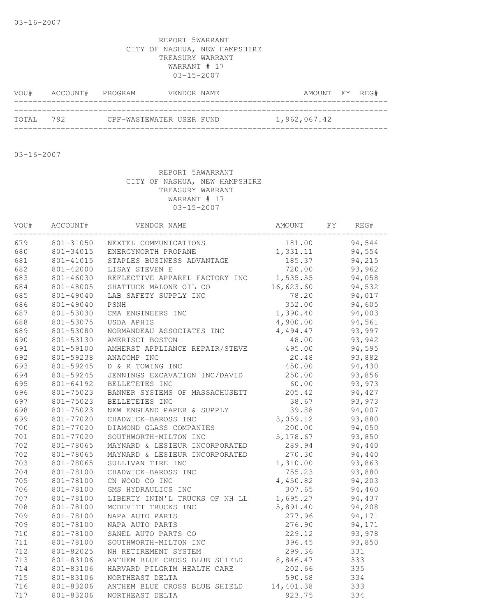| VOU#      | ACCOUNT# PROGRAM |                          | VENDOR NAME |  | AMOUNT FY REG# |  |
|-----------|------------------|--------------------------|-------------|--|----------------|--|
|           |                  |                          |             |  |                |  |
| TOTAL 792 |                  | CPF-WASTEWATER USER FUND |             |  | 1,962,067.42   |  |

03-16-2007

| VOU# | ACCOUNT#  | VENDOR NAME                    | AMOUNT    | FY | REG#   |  |
|------|-----------|--------------------------------|-----------|----|--------|--|
| 679  | 801-31050 | NEXTEL COMMUNICATIONS          | 181.00    |    | 94,544 |  |
| 680  | 801-34015 | ENERGYNORTH PROPANE            | 1,331.11  |    | 94,554 |  |
| 681  | 801-41015 | STAPLES BUSINESS ADVANTAGE     | 185.37    |    | 94,215 |  |
| 682  | 801-42000 | LISAY STEVEN E                 | 720.00    |    | 93,962 |  |
| 683  | 801-46030 | REFLECTIVE APPAREL FACTORY INC | 1,535.55  |    | 94,058 |  |
| 684  | 801-48005 | SHATTUCK MALONE OIL CO         | 16,623.60 |    | 94,532 |  |
| 685  | 801-49040 | LAB SAFETY SUPPLY INC          | 78.20     |    | 94,017 |  |
| 686  | 801-49040 | PSNH                           | 352.00    |    | 94,605 |  |
| 687  | 801-53030 | CMA ENGINEERS INC              | 1,390.40  |    | 94,003 |  |
| 688  | 801-53075 | USDA APHIS                     | 4,900.00  |    | 94,561 |  |
| 689  | 801-53080 | NORMANDEAU ASSOCIATES INC      | 4,494.47  |    | 93,997 |  |
| 690  | 801-53130 | AMERISCI BOSTON                | 48.00     |    | 93,942 |  |
| 691  | 801-59100 | AMHERST APPLIANCE REPAIR/STEVE | 495.00    |    | 94,595 |  |
| 692  | 801-59238 | ANACOMP INC                    | 20.48     |    | 93,882 |  |
| 693  | 801-59245 | D & R TOWING INC               | 450.00    |    | 94,430 |  |
| 694  | 801-59245 | JENNINGS EXCAVATION INC/DAVID  | 250.00    |    | 93,856 |  |
| 695  | 801-64192 | BELLETETES INC                 | 60.00     |    | 93,973 |  |
| 696  | 801-75023 | BANNER SYSTEMS OF MASSACHUSETT | 205.42    |    | 94,427 |  |
| 697  | 801-75023 | BELLETETES INC                 | 38.67     |    | 93,973 |  |
| 698  | 801-75023 | NEW ENGLAND PAPER & SUPPLY     | 39.88     |    | 94,007 |  |
| 699  | 801-77020 | CHADWICK-BAROSS INC            | 3,059.12  |    | 93,880 |  |
| 700  | 801-77020 | DIAMOND GLASS COMPANIES        | 200.00    |    | 94,050 |  |
| 701  | 801-77020 | SOUTHWORTH-MILTON INC          | 5,178.67  |    | 93,850 |  |
| 702  | 801-78065 | MAYNARD & LESIEUR INCORPORATED | 289.94    |    | 94,440 |  |
| 702  | 801-78065 | MAYNARD & LESIEUR INCORPORATED | 270.30    |    | 94,440 |  |
| 703  | 801-78065 | SULLIVAN TIRE INC              | 1,310.00  |    | 93,863 |  |
| 704  | 801-78100 | CHADWICK-BAROSS INC            | 755.23    |    | 93,880 |  |
| 705  | 801-78100 | CN WOOD CO INC                 | 4,450.82  |    | 94,203 |  |
| 706  | 801-78100 | GMS HYDRAULICS INC             | 307.65    |    | 94,460 |  |
| 707  | 801-78100 | LIBERTY INTN'L TRUCKS OF NH LL | 1,695.27  |    | 94,437 |  |
| 708  | 801-78100 | MCDEVITT TRUCKS INC            | 5,891.40  |    | 94,208 |  |
| 709  | 801-78100 | NAPA AUTO PARTS                | 277.96    |    | 94,171 |  |
| 709  | 801-78100 | NAPA AUTO PARTS                | 276.90    |    | 94,171 |  |
| 710  | 801-78100 | SANEL AUTO PARTS CO            | 229.12    |    | 93,978 |  |
| 711  | 801-78100 | SOUTHWORTH-MILTON INC          | 396.45    |    | 93,850 |  |
| 712  | 801-82025 | NH RETIREMENT SYSTEM           | 299.36    |    | 331    |  |
| 713  | 801-83106 | ANTHEM BLUE CROSS BLUE SHIELD  | 8,846.47  |    | 333    |  |
| 714  | 801-83106 | HARVARD PILGRIM HEALTH CARE    | 202.66    |    | 335    |  |
| 715  | 801-83106 | NORTHEAST DELTA                | 590.68    |    | 334    |  |
| 716  | 801-83206 | ANTHEM BLUE CROSS BLUE SHIELD  | 14,401.38 |    | 333    |  |
| 717  | 801-83206 | NORTHEAST DELTA                | 923.75    |    | 334    |  |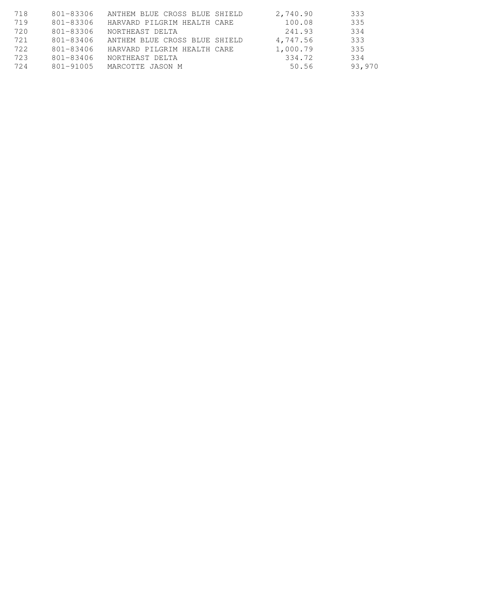| 718 | 801-83306 | ANTHEM BLUE CROSS BLUE SHIELD | 2,740.90 | 333    |
|-----|-----------|-------------------------------|----------|--------|
| 719 | 801-83306 | HARVARD PILGRIM HEALTH CARE   | 100.08   | 335    |
| 720 | 801-83306 | NORTHEAST DELTA               | 241.93   | 334    |
| 721 | 801-83406 | ANTHEM BLUE CROSS BLUE SHIELD | 4,747.56 | 333    |
| 722 | 801-83406 | HARVARD PILGRIM HEALTH CARE   | 1,000.79 | 335    |
| 723 | 801-83406 | NORTHEAST DELTA               | 334.72   | 334    |
| 724 | 801-91005 | MARCOTTE JASON M              | 50.56    | 93,970 |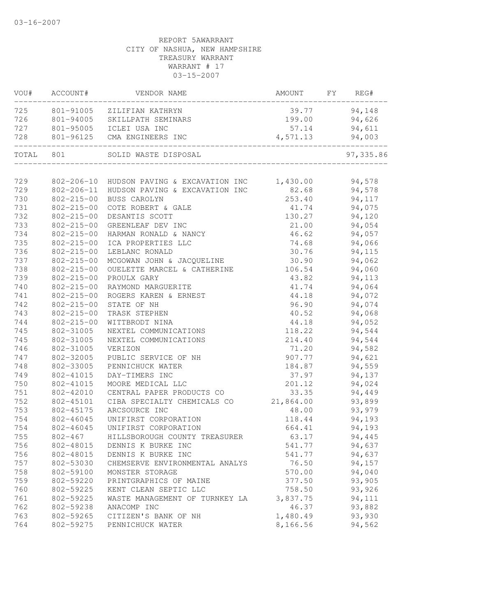| VOU#  | ACCOUNT#         | VENDOR NAME                                        | AMOUNT    | FY | REG#       |
|-------|------------------|----------------------------------------------------|-----------|----|------------|
| 725   | 801-91005        | ZILIFIAN KATHRYN                                   | 39.77     |    | 94,148     |
| 726   | 801-94005        | SKILLPATH SEMINARS                                 | 199.00    |    | 94,626     |
| 727   | 801-95005        | ICLEI USA INC                                      | 57.14     |    | 94,611     |
| 728   | 801-96125        | CMA ENGINEERS INC                                  | 4,571.13  |    | 94,003     |
| TOTAL | 801              | SOLID WASTE DISPOSAL                               |           |    | 97, 335.86 |
|       |                  |                                                    |           |    |            |
| 729   |                  | 802-206-10 HUDSON PAVING & EXCAVATION INC 1,430.00 |           |    | 94,578     |
| 729   |                  | 802-206-11 HUDSON PAVING & EXCAVATION INC          | 82.68     |    | 94,578     |
| 730   | $802 - 215 - 00$ | BUSS CAROLYN                                       | 253.40    |    | 94,117     |
| 731   | 802-215-00       | COTE ROBERT & GALE                                 | 41.74     |    | 94,075     |
| 732   | $802 - 215 - 00$ | DESANTIS SCOTT                                     | 130.27    |    | 94,120     |
| 733   | 802-215-00       | GREENLEAF DEV INC                                  | 21.00     |    | 94,054     |
| 734   | $802 - 215 - 00$ | HARMAN RONALD & NANCY                              | 46.62     |    | 94,057     |
| 735   | $802 - 215 - 00$ | ICA PROPERTIES LLC                                 | 74.68     |    | 94,066     |
| 736   | $802 - 215 - 00$ | LEBLANC RONALD                                     | 30.76     |    | 94,115     |
| 737   | $802 - 215 - 00$ | MCGOWAN JOHN & JACQUELINE                          | 30.90     |    | 94,062     |
| 738   | $802 - 215 - 00$ | OUELETTE MARCEL & CATHERINE                        | 106.54    |    | 94,060     |
| 739   | $802 - 215 - 00$ | PROULX GARY                                        | 43.82     |    | 94,113     |
| 740   | $802 - 215 - 00$ | RAYMOND MARGUERITE                                 | 41.74     |    | 94,064     |
| 741   | $802 - 215 - 00$ | ROGERS KAREN & ERNEST                              | 44.18     |    | 94,072     |
| 742   | $802 - 215 - 00$ | STATE OF NH                                        | 96.90     |    | 94,074     |
| 743   | $802 - 215 - 00$ | TRASK STEPHEN                                      | 40.52     |    | 94,068     |
| 744   | $802 - 215 - 00$ | WITTBRODT NINA                                     | 44.18     |    | 94,052     |
| 745   | 802-31005        | NEXTEL COMMUNICATIONS                              | 118.22    |    | 94,544     |
| 745   | 802-31005        | NEXTEL COMMUNICATIONS                              | 214.40    |    | 94,544     |
| 746   | 802-31005        | VERIZON                                            | 71.20     |    | 94,582     |
| 747   | 802-32005        | PUBLIC SERVICE OF NH                               | 907.77    |    | 94,621     |
| 748   | 802-33005        | PENNICHUCK WATER                                   | 184.87    |    | 94,559     |
| 749   | 802-41015        | DAY-TIMERS INC                                     | 37.97     |    | 94,137     |
| 750   | 802-41015        | MOORE MEDICAL LLC                                  | 201.12    |    | 94,024     |
| 751   | 802-42010        | CENTRAL PAPER PRODUCTS CO                          | 33.35     |    | 94,449     |
| 752   | 802-45101        | CIBA SPECIALTY CHEMICALS CO                        | 21,864.00 |    | 93,899     |
| 753   | 802-45175        | ARCSOURCE INC                                      | 48.00     |    | 93,979     |
| 754   | 802-46045        | UNIFIRST CORPORATION                               | 118.44    |    | 94,193     |
| 754   | 802-46045        | UNIFIRST CORPORATION                               | 664.41    |    | 94,193     |
| 755   | 802-467          | HILLSBOROUGH COUNTY TREASURER                      | 63.17     |    | 94,445     |
| 756   | 802-48015        | DENNIS K BURKE INC                                 | 541.77    |    | 94,637     |
| 756   | 802-48015        | DENNIS K BURKE INC                                 | 541.77    |    | 94,637     |
| 757   | 802-53030        | CHEMSERVE ENVIRONMENTAL ANALYS                     | 76.50     |    | 94,157     |
| 758   | 802-59100        | MONSTER STORAGE                                    | 570.00    |    | 94,040     |
| 759   | 802-59220        | PRINTGRAPHICS OF MAINE                             | 377.50    |    | 93,905     |
| 760   | 802-59225        | KENT CLEAN SEPTIC LLC                              | 758.50    |    | 93,926     |
| 761   | 802-59225        | WASTE MANAGEMENT OF TURNKEY LA                     | 3,837.75  |    | 94,111     |
| 762   | 802-59238        | ANACOMP INC                                        | 46.37     |    | 93,882     |
| 763   | 802-59265        | CITIZEN'S BANK OF NH                               | 1,480.49  |    | 93,930     |
| 764   | 802-59275        | PENNICHUCK WATER                                   | 8,166.56  |    | 94,562     |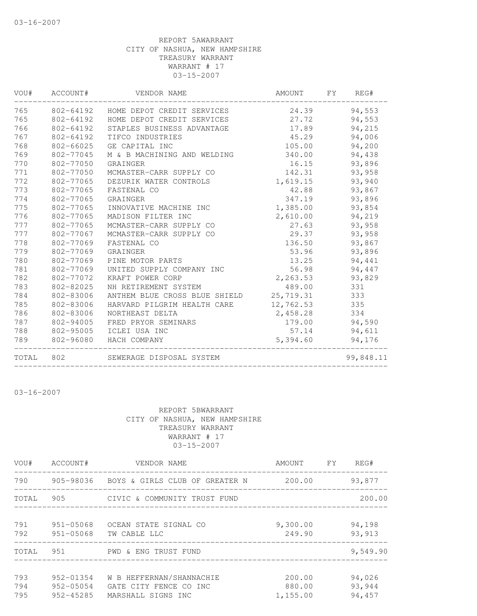| VOU#  | ACCOUNT#  | VENDOR NAME                          | AMOUNT    | FY | REG#      |
|-------|-----------|--------------------------------------|-----------|----|-----------|
| 765   |           | 802-64192 HOME DEPOT CREDIT SERVICES | 24.39     |    | 94,553    |
| 765   | 802-64192 | HOME DEPOT CREDIT SERVICES           | 27.72     |    | 94,553    |
| 766   | 802-64192 | STAPLES BUSINESS ADVANTAGE           | 17.89     |    | 94,215    |
| 767   | 802-64192 | TIFCO INDUSTRIES                     | 45.29     |    | 94,006    |
| 768   | 802-66025 | GE CAPITAL INC                       | 105.00    |    | 94,200    |
| 769   | 802-77045 | M & B MACHINING AND WELDING          | 340.00    |    | 94,438    |
| 770   | 802-77050 | GRAINGER                             | 16.15     |    | 93,896    |
| 771   | 802-77050 | MCMASTER-CARR SUPPLY CO              | 142.31    |    | 93,958    |
| 772   | 802-77065 | DEZURIK WATER CONTROLS               | 1,619.15  |    | 93,940    |
| 773   | 802-77065 | FASTENAL CO                          | 42.88     |    | 93,867    |
| 774   | 802-77065 | GRAINGER                             | 347.19    |    | 93,896    |
| 775   | 802-77065 | INNOVATIVE MACHINE INC               | 1,385.00  |    | 93,854    |
| 776   | 802-77065 | MADISON FILTER INC                   | 2,610.00  |    | 94,219    |
| 777   | 802-77065 | MCMASTER-CARR SUPPLY CO              | 27.63     |    | 93,958    |
| 777   | 802-77067 | MCMASTER-CARR SUPPLY CO              | 29.37     |    | 93,958    |
| 778   | 802-77069 | FASTENAL CO                          | 136.50    |    | 93,867    |
| 779   | 802-77069 | GRAINGER                             | 53.96     |    | 93,896    |
| 780   | 802-77069 | PINE MOTOR PARTS                     | 13.25     |    | 94,441    |
| 781   | 802-77069 | UNITED SUPPLY COMPANY INC            | 56.98     |    | 94,447    |
| 782   | 802-77072 | KRAFT POWER CORP                     | 2,263.53  |    | 93,829    |
| 783   | 802-82025 | NH RETIREMENT SYSTEM                 | 489.00    |    | 331       |
| 784   | 802-83006 | ANTHEM BLUE CROSS BLUE SHIELD        | 25,719.31 |    | 333       |
| 785   | 802-83006 | HARVARD PILGRIM HEALTH CARE          | 12,762.53 |    | 335       |
| 786   | 802-83006 | NORTHEAST DELTA                      | 2,458.28  |    | 334       |
| 787   | 802-94005 | FRED PRYOR SEMINARS                  | 179.00    |    | 94,590    |
| 788   | 802-95005 | ICLEI USA INC                        | 57.14     |    | 94,611    |
| 789   | 802-96080 | HACH COMPANY                         | 5,394.60  |    | 94,176    |
| TOTAL | 802       | SEWERAGE DISPOSAL SYSTEM             |           |    | 99,848.11 |

03-16-2007

| VOU#              | ACCOUNT#                                | VENDOR NAME                                                              | AMOUNT FY                    | REG#                       |
|-------------------|-----------------------------------------|--------------------------------------------------------------------------|------------------------------|----------------------------|
| 790               | 905-98036                               | BOYS & GIRLS CLUB OF GREATER N                                           | 200.00                       | 93,877                     |
| TOTAL             | 905                                     | CIVIC & COMMUNITY TRUST FUND                                             |                              | 200.00                     |
| 791<br>792        | 951-05068<br>951-05068                  | OCEAN STATE SIGNAL CO<br>TW CABLE LLC                                    | 9,300.00<br>249.90           | 94,198<br>93, 913          |
| TOTAL             |                                         | 951 PWD & ENG TRUST FUND                                                 |                              | 9,549.90                   |
| 793<br>794<br>795 | $952 - 01354$<br>952-05054<br>952-45285 | W B HEFFERNAN/SHANNACHIE<br>GATE CITY FENCE CO INC<br>MARSHALL SIGNS INC | 200.00<br>880.00<br>1,155.00 | 94,026<br>93,944<br>94,457 |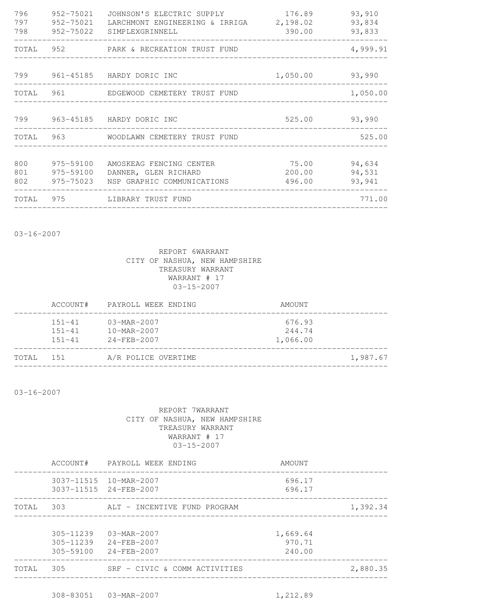| 796<br>797        | 952-75021<br>952-75021              | JOHNSON'S ELECTRIC SUPPLY<br>LARCHMONT ENGINEERING & IRRIGA 2,198.02<br>798 952-75022 SIMPLEXGRINNELL | 176.89<br>390.00              | 93,910<br>93,834<br>93,833 |
|-------------------|-------------------------------------|-------------------------------------------------------------------------------------------------------|-------------------------------|----------------------------|
|                   |                                     | TOTAL 952 PARK & RECREATION TRUST FUND                                                                | _____________________________ | 4,999.91                   |
|                   |                                     | 799 961-45185 HARDY DORIC INC                                                                         | 1,050.00 93,990               |                            |
|                   |                                     | TOTAL 961 EDGEWOOD CEMETERY TRUST FUND                                                                |                               | 1,050.00                   |
|                   |                                     | 799 963-45185 HARDY DORIC INC                                                                         | 525.00 93,990                 |                            |
|                   |                                     | TOTAL 963 WOODLAWN CEMETERY TRUST FUND                                                                |                               | 525.00                     |
| 800<br>801<br>802 | 975-59100<br>975-59100<br>975-75023 | AMOSKEAG FENCING CENTER<br>DANNER, GLEN RICHARD<br>NSP GRAPHIC COMMUNICATIONS                         | 75.00<br>200.00<br>496.00     | 94,634<br>94,531<br>93,941 |
|                   |                                     | TOTAL 975 LIBRARY TRUST FUND                                                                          |                               | 771.00                     |

03-16-2007

#### REPORT 6WARRANT CITY OF NASHUA, NEW HAMPSHIRE TREASURY WARRANT WARRANT # 17 03-15-2007

|       | ACCOUNT#                               | PAYROLL WEEK ENDING                                              | AMOUNT                       |          |
|-------|----------------------------------------|------------------------------------------------------------------|------------------------------|----------|
|       | $151 - 41$<br>$151 - 41$<br>$151 - 41$ | $03 - \text{MAR} - 2007$<br>$10-MAR - 2007$<br>$24 - FEB - 2007$ | 676.93<br>244.74<br>1,066.00 |          |
| TOTAL | 151                                    | A/R POLICE OVERTIME                                              |                              | 1,987.67 |

03-16-2007

|       | ACCOUNT#                                        | PAYROLL WEEK ENDING                                    | AMOUNT                       |          |
|-------|-------------------------------------------------|--------------------------------------------------------|------------------------------|----------|
|       |                                                 | 3037-11515  10-MAR-2007<br>3037-11515 24-FEB-2007      | 696.17<br>696.17             |          |
| TOTAL | 303                                             | ALT - INCENTIVE FUND PROGRAM                           |                              | 1,392.34 |
|       | $305 - 11239$<br>$305 - 11239$<br>$305 - 59100$ | $03 - \text{MAR} - 2007$<br>24-FEB-2007<br>24-FEB-2007 | 1,669.64<br>970.71<br>240.00 |          |
| TOTAL | 305                                             | SRF - CIVIC & COMM ACTIVITIES                          |                              | 2,880.35 |
|       |                                                 |                                                        |                              |          |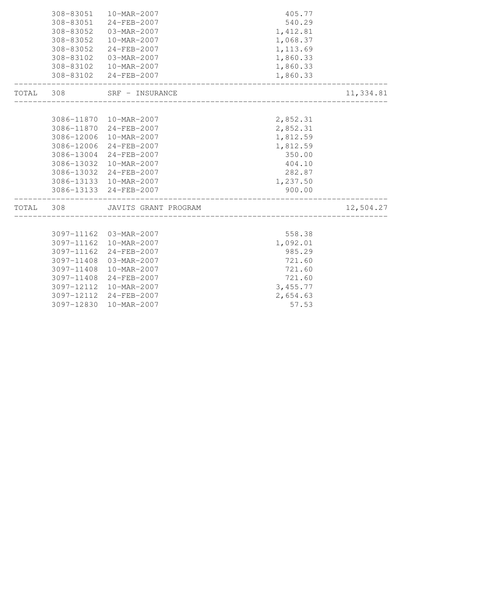| 308-83051  | 10-MAR-2007             | 405.77                        |           |
|------------|-------------------------|-------------------------------|-----------|
| 308-83051  | 24-FEB-2007             | 540.29                        |           |
| 308-83052  | 03-MAR-2007             | 1,412.81                      |           |
| 308-83052  | 10-MAR-2007             | 1,068.37                      |           |
|            | 308-83052 24-FEB-2007   | 1,113.69                      |           |
| 308-83102  | 03-MAR-2007             | 1,860.33                      |           |
| 308-83102  | 10-MAR-2007             | 1,860.33                      |           |
|            | 308-83102 24-FEB-2007   | 1,860.33                      |           |
| TOTAL 308  | SRF - INSURANCE         |                               | 11,334.81 |
|            |                         |                               |           |
|            | 3086-11870 10-MAR-2007  | 2,852.31                      |           |
|            | 3086-11870 24-FEB-2007  | 2,852.31                      |           |
|            | 3086-12006 10-MAR-2007  | 1,812.59                      |           |
|            | 3086-12006 24-FEB-2007  | 1,812.59                      |           |
|            | 3086-13004 24-FEB-2007  | 350.00                        |           |
| 3086-13032 | 10-MAR-2007             | 404.10                        |           |
|            | 3086-13032 24-FEB-2007  | 282.87                        |           |
|            | 3086-13133 10-MAR-2007  | 1,237.50                      |           |
|            | 3086-13133 24-FEB-2007  | 900.00<br>___________________ |           |
| TOTAL 308  | JAVITS GRANT PROGRAM    |                               | 12,504.27 |
|            |                         |                               |           |
|            | 3097-11162 03-MAR-2007  | 558.38                        |           |
|            | 3097-11162  10-MAR-2007 | 1,092.01                      |           |
| 3097-11162 | 24-FEB-2007             | 985.29                        |           |
|            | 3097-11408 03-MAR-2007  | 721.60                        |           |
| 3097-11408 | 10-MAR-2007             | 721.60                        |           |
|            | 3097-11408 24-FEB-2007  | 721.60                        |           |
|            | 3097-12112 10-MAR-2007  | 3,455.77                      |           |
|            | 3097-12112 24-FEB-2007  | 2,654.63                      |           |
|            | 3097-12830 10-MAR-2007  | 57.53                         |           |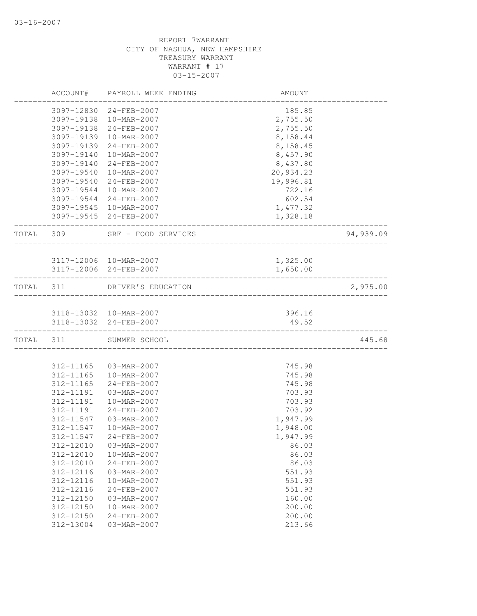|           | ACCOUNT#               | PAYROLL WEEK ENDING        | AMOUNT                     |           |
|-----------|------------------------|----------------------------|----------------------------|-----------|
|           |                        | 3097-12830 24-FEB-2007     | 185.85                     |           |
|           |                        | 3097-19138 10-MAR-2007     | 2,755.50                   |           |
|           |                        | 3097-19138 24-FEB-2007     | 2,755.50                   |           |
|           | 3097-19139             | 10-MAR-2007                | 8,158.44                   |           |
|           | 3097-19139             | 24-FEB-2007                | 8,158.45                   |           |
|           | 3097-19140             | 10-MAR-2007                | 8,457.90                   |           |
|           | 3097-19140             | 24-FEB-2007                | 8,437.80                   |           |
|           | 3097-19540             | 10-MAR-2007                | 20,934.23                  |           |
|           | 3097-19540             | 24-FEB-2007                | 19,996.81                  |           |
|           | 3097-19544             | 10-MAR-2007                | 722.16                     |           |
|           |                        | 3097-19544 24-FEB-2007     | 602.54                     |           |
|           |                        | 3097-19545 10-MAR-2007     | 1,477.32                   |           |
|           |                        | 3097-19545 24-FEB-2007     | 1,328.18                   |           |
| TOTAL     | 309                    | SRF - FOOD SERVICES        |                            | 94,939.09 |
|           |                        | 3117-12006 10-MAR-2007     | 1,325.00                   |           |
|           |                        | 3117-12006 24-FEB-2007     | 1,650.00                   |           |
|           |                        |                            |                            |           |
| TOTAL 311 |                        | DRIVER'S EDUCATION         |                            | 2,975.00  |
|           |                        |                            |                            |           |
|           |                        | 3118-13032 10-MAR-2007     | 396.16                     |           |
|           |                        | 3118-13032 24-FEB-2007     | 49.52<br>_________________ |           |
|           | TOTAL 311              | SUMMER SCHOOL              |                            | 445.68    |
|           |                        |                            |                            |           |
|           | 312-11165              | 03-MAR-2007                | 745.98                     |           |
|           | 312-11165              | 10-MAR-2007                | 745.98                     |           |
|           | 312-11165              | 24-FEB-2007                | 745.98                     |           |
|           | 312-11191              | 03-MAR-2007                | 703.93                     |           |
|           | 312-11191              | 10-MAR-2007                | 703.93                     |           |
|           | 312-11191              | $24 - FEB - 2007$          | 703.92                     |           |
|           | 312-11547              | 03-MAR-2007                | 1,947.99                   |           |
|           | 312-11547              | 10-MAR-2007                | 1,948.00                   |           |
|           |                        | 312-11547 24-FEB-2007      | 1,947.99                   |           |
|           | 312-12010              | 03-MAR-2007                | 86.03                      |           |
|           | 312-12010              | 10-MAR-2007                | 86.03                      |           |
|           | 312-12010<br>312-12116 | 24-FEB-2007<br>03-MAR-2007 | 86.03<br>551.93            |           |
|           | 312-12116              | 10-MAR-2007                | 551.93                     |           |
|           | 312-12116              | 24-FEB-2007                | 551.93                     |           |
|           | 312-12150              | 03-MAR-2007                | 160.00                     |           |
|           | 312-12150              | 10-MAR-2007                | 200.00                     |           |
|           | 312-12150              | 24-FEB-2007                | 200.00                     |           |
|           | 312-13004              | 03-MAR-2007                | 213.66                     |           |
|           |                        |                            |                            |           |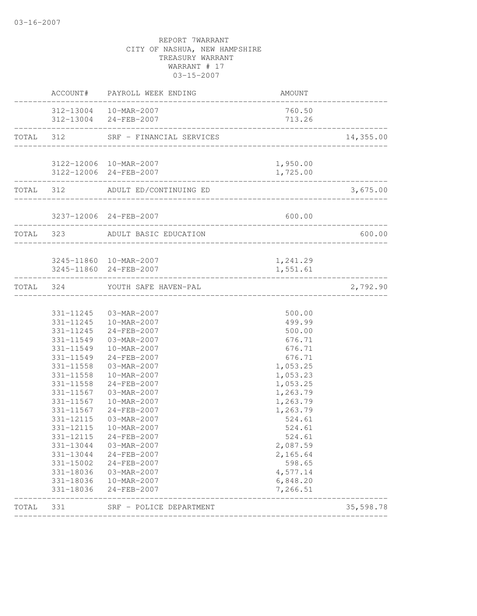|       |                                                                                                                                                                                                                                        | ACCOUNT# PAYROLL WEEK ENDING                                                                                                                                                                                                                                                                                                                            | AMOUNT                                                                                                                                                                                                                               |                 |
|-------|----------------------------------------------------------------------------------------------------------------------------------------------------------------------------------------------------------------------------------------|---------------------------------------------------------------------------------------------------------------------------------------------------------------------------------------------------------------------------------------------------------------------------------------------------------------------------------------------------------|--------------------------------------------------------------------------------------------------------------------------------------------------------------------------------------------------------------------------------------|-----------------|
|       |                                                                                                                                                                                                                                        | 312-13004  10-MAR-2007<br>312-13004 24-FEB-2007                                                                                                                                                                                                                                                                                                         | 760.50<br>713.26                                                                                                                                                                                                                     |                 |
|       |                                                                                                                                                                                                                                        | TOTAL 312 SRF - FINANCIAL SERVICES                                                                                                                                                                                                                                                                                                                      | __________________________________                                                                                                                                                                                                   | 14,355.00       |
|       |                                                                                                                                                                                                                                        | 3122-12006 10-MAR-2007<br>3122-12006 24-FEB-2007                                                                                                                                                                                                                                                                                                        | 1,950.00<br>1,725.00<br>____________________                                                                                                                                                                                         |                 |
|       |                                                                                                                                                                                                                                        | TOTAL 312 ADULT ED/CONTINUING ED                                                                                                                                                                                                                                                                                                                        |                                                                                                                                                                                                                                      | 3,675.00        |
|       |                                                                                                                                                                                                                                        | 3237-12006 24-FEB-2007                                                                                                                                                                                                                                                                                                                                  | 600.00                                                                                                                                                                                                                               |                 |
|       |                                                                                                                                                                                                                                        | TOTAL 323 ADULT BASIC EDUCATION                                                                                                                                                                                                                                                                                                                         |                                                                                                                                                                                                                                      | 600.00          |
|       |                                                                                                                                                                                                                                        | 3245-11860 10-MAR-2007<br>3245-11860 24-FEB-2007                                                                                                                                                                                                                                                                                                        | 1,241.29<br>1,551.61                                                                                                                                                                                                                 | --------------- |
|       |                                                                                                                                                                                                                                        | TOTAL 324 YOUTH SAFE HAVEN-PAL                                                                                                                                                                                                                                                                                                                          |                                                                                                                                                                                                                                      | 2,792.90        |
|       | 331-11245<br>331-11549<br>331-11549<br>331-11549<br>331-11558<br>331-11558<br>331-11567<br>331-11567<br>331-11567<br>331-12115<br>331-12115<br>331-12115<br>331-13044<br>331-13044<br>331-15002<br>331-18036<br>331-18036<br>331-18036 | 331-11245  03-MAR-2007<br>331-11245  10-MAR-2007<br>24-FEB-2007<br>03-MAR-2007<br>10-MAR-2007<br>24-FEB-2007<br>331-11558 03-MAR-2007<br>10-MAR-2007<br>24-FEB-2007<br>03-MAR-2007<br>10-MAR-2007<br>24-FEB-2007<br>03-MAR-2007<br>10-MAR-2007<br>24-FEB-2007<br>03-MAR-2007<br>24-FEB-2007<br>24-FEB-2007<br>03-MAR-2007<br>10-MAR-2007<br>24-FEB-2007 | 500.00<br>499.99<br>500.00<br>676.71<br>676.71<br>676.71<br>1,053.25<br>1,053.23<br>1,053.25<br>1,263.79<br>1,263.79<br>1,263.79<br>524.61<br>524.61<br>524.61<br>2,087.59<br>2,165.64<br>598.65<br>4,577.14<br>6,848.20<br>7,266.51 |                 |
| TOTAL | 331                                                                                                                                                                                                                                    | SRF - POLICE DEPARTMENT                                                                                                                                                                                                                                                                                                                                 |                                                                                                                                                                                                                                      | 35,598.78       |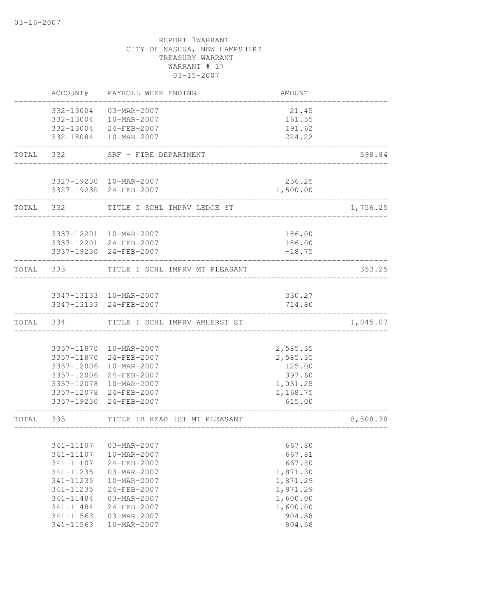|           | ACCOUNT#  | PAYROLL WEEK ENDING                              | AMOUNT             |          |
|-----------|-----------|--------------------------------------------------|--------------------|----------|
|           |           | 332-13004 03-MAR-2007                            | 21.45              |          |
|           |           | 332-13004  10-MAR-2007                           | 161.55             |          |
|           |           | 332-13004 24-FEB-2007                            | 191.62             |          |
|           |           | 332-18084  10-MAR-2007                           | 224.22             |          |
| TOTAL 332 |           | SRF - FIRE DEPARTMENT                            |                    | 598.84   |
|           |           | 3327-19230 10-MAR-2007                           | 256.25             |          |
|           |           | 3327-19230 24-FEB-2007                           | 1,500.00           |          |
|           |           | TOTAL 332 TITLE I SCHL IMPRV LEDGE ST            |                    | 1,756.25 |
|           |           | 3337-12201 10-MAR-2007                           | 186.00             |          |
|           |           | 3337-12201 24-FEB-2007                           | 186.00             |          |
|           |           | 3337-19230 24-FEB-2007                           | $-18.75$           |          |
|           |           | TOTAL 333 TITLE I SCHL IMPRV MT PLEASANT         |                    | 353.25   |
|           |           | 3347-13133 10-MAR-2007                           | 330.27             |          |
|           |           | 3347-13133 24-FEB-2007                           | 714.80             |          |
|           |           | TOTAL 334 TITLE I SCHL IMPRV AMHERST ST          |                    | 1,045.07 |
|           |           |                                                  |                    |          |
|           |           | 3357-11870  10-MAR-2007                          | 2,585.35           |          |
|           |           | 3357-11870 24-FEB-2007                           | 2,585.35           |          |
|           |           | 3357-12006 10-MAR-2007                           | 125.00             |          |
|           |           | 3357-12006 24-FEB-2007<br>3357-12078 10-MAR-2007 | 397.60<br>1,031.25 |          |
|           |           | 3357-12078 24-FEB-2007                           | 1,168.75           |          |
|           |           | 3357-19230 24-FEB-2007                           | 615.00             |          |
| TOTAL 335 |           | TITLE IB READ 1ST MT PLEASANT                    |                    | 8,508.30 |
|           |           |                                                  |                    |          |
|           | 341-11107 | 03-MAR-2007                                      | 667.80             |          |
|           | 341-11107 | $10 - MAR - 2007$                                | 667.81             |          |
|           | 341-11107 | 24-FEB-2007                                      | 667.80             |          |
|           | 341-11235 | 03-MAR-2007                                      | 1,871.30           |          |
|           | 341-11235 | 10-MAR-2007                                      | 1,871.29           |          |
|           | 341-11235 | 24-FEB-2007                                      | 1,871.29           |          |
|           | 341-11484 | 03-MAR-2007                                      | 1,600.00           |          |
|           | 341-11484 | 24-FEB-2007                                      | 1,600.00           |          |
|           | 341-11563 | 03-MAR-2007                                      | 904.58             |          |
|           | 341-11563 | 10-MAR-2007                                      | 904.58             |          |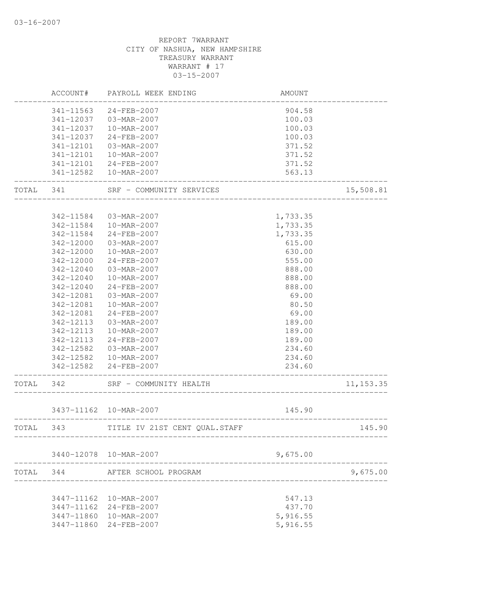|           |            | ACCOUNT# PAYROLL WEEK ENDING       | <b>AMOUNT</b>                   |            |
|-----------|------------|------------------------------------|---------------------------------|------------|
|           |            | 341-11563 24-FEB-2007              | 904.58                          |            |
|           |            | 341-12037 03-MAR-2007              | 100.03                          |            |
|           |            | 341-12037  10-MAR-2007             | 100.03                          |            |
|           | 341-12037  | 24-FEB-2007                        | 100.03                          |            |
|           | 341-12101  | 03-MAR-2007                        | 371.52                          |            |
|           |            | 341-12101  10-MAR-2007             | 371.52                          |            |
|           |            | 341-12101 24-FEB-2007              | 371.52                          |            |
|           |            | 341-12582  10-MAR-2007             | 563.13                          |            |
|           |            | TOTAL 341 SRF - COMMUNITY SERVICES |                                 | 15,508.81  |
|           |            |                                    |                                 |            |
|           |            | 342-11584 03-MAR-2007              | 1,733.35                        |            |
|           |            | 342-11584  10-MAR-2007             | 1,733.35                        |            |
|           | 342-11584  | 24-FEB-2007                        | 1,733.35                        |            |
|           | 342-12000  | 03-MAR-2007                        | 615.00                          |            |
|           | 342-12000  | 10-MAR-2007                        | 630.00                          |            |
|           | 342-12000  | 24-FEB-2007                        | 555.00                          |            |
|           | 342-12040  | 03-MAR-2007                        | 888.00                          |            |
|           | 342-12040  | 10-MAR-2007                        | 888.00                          |            |
|           | 342-12040  | 24-FEB-2007                        | 888.00                          |            |
|           | 342-12081  | 03-MAR-2007                        | 69.00                           |            |
|           | 342-12081  | 10-MAR-2007                        | 80.50                           |            |
|           | 342-12081  | 24-FEB-2007                        | 69.00                           |            |
|           | 342-12113  | 03-MAR-2007                        | 189.00                          |            |
|           | 342-12113  | 10-MAR-2007                        | 189.00                          |            |
|           | 342-12113  | 24-FEB-2007                        | 189.00                          |            |
|           |            | 342-12582  03-MAR-2007             | 234.60                          |            |
|           |            | 342-12582  10-MAR-2007             | 234.60                          |            |
|           |            | 342-12582 24-FEB-2007              | 234.60<br>_____________________ |            |
| TOTAL 342 |            | SRF - COMMUNITY HEALTH             |                                 | 11, 153.35 |
|           |            | 3437-11162  10-MAR-2007            | 145.90                          |            |
| TOTAL 343 |            | TITLE IV 21ST CENT QUAL. STAFF     | ------------                    | 145.90     |
|           |            |                                    |                                 |            |
|           |            | 3440-12078 10-MAR-2007             | 9,675.00                        |            |
| TOTAL     | 344        | AFTER SCHOOL PROGRAM               |                                 | 9,675.00   |
|           |            |                                    |                                 |            |
|           | 3447-11162 | 10-MAR-2007                        | 547.13                          |            |
|           | 3447-11162 | $24 - FEB - 2007$                  | 437.70                          |            |
|           | 3447-11860 | 10-MAR-2007                        | 5,916.55                        |            |
|           | 3447-11860 | 24-FEB-2007                        | 5,916.55                        |            |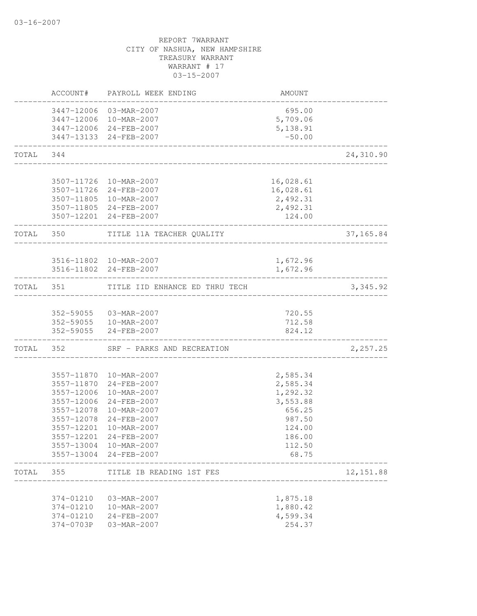|           | ACCOUNT#                 | PAYROLL WEEK ENDING                              | AMOUNT               |            |
|-----------|--------------------------|--------------------------------------------------|----------------------|------------|
|           |                          | 3447-12006 03-MAR-2007<br>3447-12006 10-MAR-2007 | 695.00<br>5,709.06   |            |
|           |                          | 3447-12006 24-FEB-2007<br>3447-13133 24-FEB-2007 | 5,138.91<br>$-50.00$ |            |
| TOTAL     | 344                      | ______________________________                   |                      | 24,310.90  |
|           |                          | 3507-11726 10-MAR-2007                           | 16,028.61            |            |
|           |                          | 3507-11726 24-FEB-2007                           | 16,028.61            |            |
|           |                          | 3507-11805 10-MAR-2007<br>3507-11805 24-FEB-2007 | 2,492.31<br>2,492.31 |            |
|           |                          | 3507-12201 24-FEB-2007                           | 124.00               |            |
|           | TOTAL 350                | TITLE 11A TEACHER QUALITY                        |                      | 37,165.84  |
|           |                          | 3516-11802 10-MAR-2007                           | 1,672.96             |            |
|           |                          | 3516-11802 24-FEB-2007                           | 1,672.96             |            |
| TOTAL 351 |                          | TITLE IID ENHANCE ED THRU TECH                   |                      | 3, 345.92  |
|           |                          |                                                  |                      |            |
|           |                          | 352-59055 03-MAR-2007                            | 720.55               |            |
|           | 352-59055                | 352-59055   10-MAR-2007<br>24-FEB-2007           | 712.58<br>824.12     |            |
|           |                          | TOTAL 352 SRF - PARKS AND RECREATION             |                      | 2,257.25   |
|           |                          | 3557-11870 10-MAR-2007                           | 2,585.34             |            |
|           |                          | 3557-11870 24-FEB-2007                           | 2,585.34             |            |
|           | 3557-12006               | 10-MAR-2007                                      | 1,292.32             |            |
|           | 3557-12006               | 24-FEB-2007                                      | 3,553.88             |            |
|           | 3557-12078               | 10-MAR-2007                                      | 656.25               |            |
|           | 3557-12078<br>3557-12201 | 24-FEB-2007<br>10-MAR-2007                       | 987.50               |            |
|           |                          | 3557-12201 24-FEB-2007                           | 124.00<br>186.00     |            |
|           | 3557-13004               | 10-MAR-2007                                      | 112.50               |            |
|           |                          | 3557-13004 24-FEB-2007                           | 68.75                |            |
| TOTAL     | 355                      | TITLE IB READING 1ST FES                         |                      | 12, 151.88 |
|           | 374-01210                | 03-MAR-2007                                      | 1,875.18             |            |
|           | 374-01210                | 10-MAR-2007                                      | 1,880.42             |            |
|           | 374-01210                | 24-FEB-2007                                      | 4,599.34             |            |
|           | 374-0703P                | 03-MAR-2007                                      | 254.37               |            |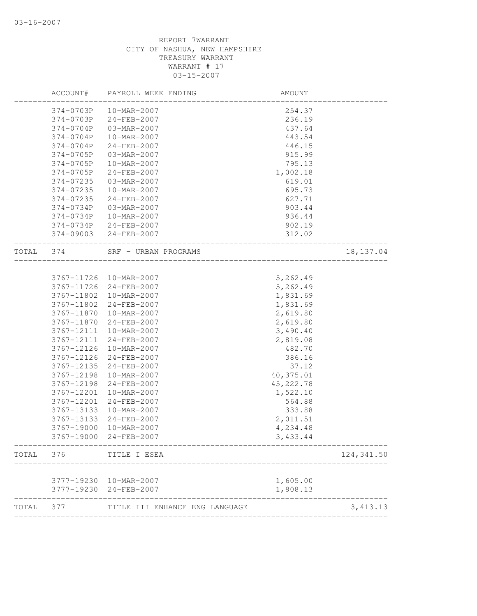|       | ACCOUNT#   | PAYROLL WEEK ENDING                           | AMOUNT     |                           |
|-------|------------|-----------------------------------------------|------------|---------------------------|
|       | 374-0703P  | 10-MAR-2007                                   | 254.37     |                           |
|       | 374-0703P  | $24 - FEB - 2007$                             | 236.19     |                           |
|       | 374-0704P  | 03-MAR-2007                                   | 437.64     |                           |
|       | 374-0704P  | 10-MAR-2007                                   | 443.54     |                           |
|       | 374-0704P  | 24-FEB-2007                                   | 446.15     |                           |
|       | 374-0705P  | 03-MAR-2007                                   | 915.99     |                           |
|       | 374-0705P  | 10-MAR-2007                                   | 795.13     |                           |
|       | 374-0705P  | 24-FEB-2007                                   | 1,002.18   |                           |
|       | 374-07235  | 03-MAR-2007                                   | 619.01     |                           |
|       | 374-07235  | 10-MAR-2007                                   | 695.73     |                           |
|       | 374-07235  | $24 - FEB - 2007$                             | 627.71     |                           |
|       | 374-0734P  | 03-MAR-2007                                   | 903.44     |                           |
|       | 374-0734P  | 10-MAR-2007                                   | 936.44     |                           |
|       | 374-0734P  | 24-FEB-2007                                   | 902.19     |                           |
|       | 374-09003  | 24-FEB-2007                                   | 312.02     |                           |
| TOTAL | 374        | SRF - URBAN PROGRAMS<br>_____________________ |            | 18, 137.04                |
|       |            |                                               |            |                           |
|       |            | 3767-11726 10-MAR-2007                        | 5,262.49   |                           |
|       | 3767-11726 | 24-FEB-2007                                   | 5,262.49   |                           |
|       | 3767-11802 | 10-MAR-2007                                   | 1,831.69   |                           |
|       | 3767-11802 | 24-FEB-2007                                   | 1,831.69   |                           |
|       | 3767-11870 | 10-MAR-2007                                   | 2,619.80   |                           |
|       | 3767-11870 | 24-FEB-2007                                   | 2,619.80   |                           |
|       | 3767-12111 | 10-MAR-2007                                   | 3,490.40   |                           |
|       | 3767-12111 | 24-FEB-2007                                   | 2,819.08   |                           |
|       | 3767-12126 | 10-MAR-2007                                   | 482.70     |                           |
|       | 3767-12126 | 24-FEB-2007                                   | 386.16     |                           |
|       | 3767-12135 | 24-FEB-2007                                   | 37.12      |                           |
|       | 3767-12198 | 10-MAR-2007                                   | 40,375.01  |                           |
|       | 3767-12198 | 24-FEB-2007                                   | 45, 222.78 |                           |
|       | 3767-12201 | 10-MAR-2007                                   | 1,522.10   |                           |
|       | 3767-12201 | 24-FEB-2007                                   | 564.88     |                           |
|       | 3767-13133 | 10-MAR-2007                                   | 333.88     |                           |
|       | 3767-13133 | 24-FEB-2007                                   | 2,011.51   |                           |
|       | 3767-19000 | 10-MAR-2007                                   | 4,234.48   |                           |
|       | 3767-19000 | 24-FEB-2007                                   | 3,433.44   |                           |
| TOTAL | 376        | TITLE I ESEA                                  |            | 124, 341.50               |
|       |            | 3777-19230 10-MAR-2007                        | 1,605.00   |                           |
|       |            | 3777-19230 24-FEB-2007                        | 1,808.13   |                           |
| TOTAL | 377        | TITLE III ENHANCE ENG LANGUAGE                |            | ------------<br>3, 413.13 |
|       |            |                                               |            |                           |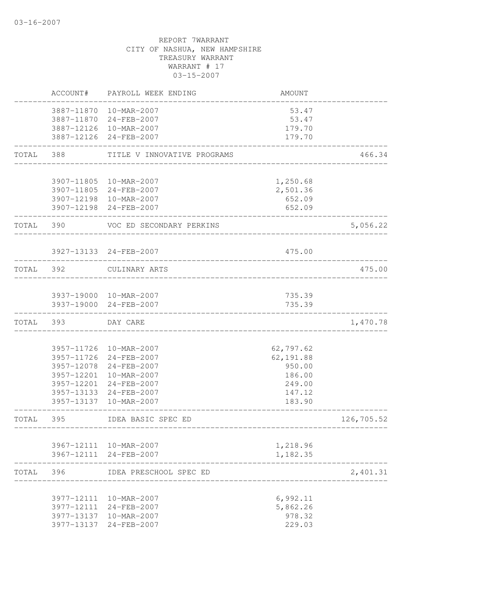|           | ACCOUNT#   | PAYROLL WEEK ENDING         | AMOUNT                 |            |
|-----------|------------|-----------------------------|------------------------|------------|
|           |            | 3887-11870 10-MAR-2007      | 53.47                  |            |
|           |            | 3887-11870 24-FEB-2007      | 53.47                  |            |
|           |            | 3887-12126 10-MAR-2007      | 179.70                 |            |
|           |            | 3887-12126 24-FEB-2007      | 179.70                 |            |
| TOTAL     | 388        | TITLE V INNOVATIVE PROGRAMS |                        | 466.34     |
|           |            | 3907-11805 10-MAR-2007      | 1,250.68               |            |
|           |            | 3907-11805 24-FEB-2007      | 2,501.36               |            |
|           |            | 3907-12198 10-MAR-2007      | 652.09                 |            |
|           |            | 3907-12198 24-FEB-2007      | 652.09                 |            |
| TOTAL     | 390        | VOC ED SECONDARY PERKINS    |                        | 5,056.22   |
|           |            | 3927-13133 24-FEB-2007      | 475.00                 |            |
| TOTAL 392 |            | CULINARY ARTS               |                        | 475.00     |
|           |            | 3937-19000 10-MAR-2007      | 735.39                 |            |
|           |            | 3937-19000 24-FEB-2007      | 735.39                 |            |
| TOTAL     | 393        | DAY CARE                    |                        | 1,470.78   |
|           |            | 3957-11726 10-MAR-2007      |                        |            |
|           |            | 3957-11726 24-FEB-2007      | 62,797.62<br>62,191.88 |            |
|           |            | 3957-12078 24-FEB-2007      | 950.00                 |            |
|           |            | 3957-12201 10-MAR-2007      | 186.00                 |            |
|           |            | 3957-12201 24-FEB-2007      | 249.00                 |            |
|           |            | 3957-13133 24-FEB-2007      | 147.12                 |            |
|           |            | 3957-13137 10-MAR-2007      | 183.90                 |            |
| TOTAL     | 395        | IDEA BASIC SPEC ED          |                        | 126,705.52 |
|           | 3967-12111 | 10-MAR-2007                 | 1,218.96               |            |
|           |            | 3967-12111 24-FEB-2007      | 1,182.35               |            |
| TOTAL     | 396        | IDEA PRESCHOOL SPEC ED      |                        | 2,401.31   |
|           | 3977-12111 | 10-MAR-2007                 | 6,992.11               |            |
|           | 3977-12111 | 24-FEB-2007                 | 5,862.26               |            |
|           | 3977-13137 | 10-MAR-2007                 | 978.32                 |            |
|           | 3977-13137 | 24-FEB-2007                 | 229.03                 |            |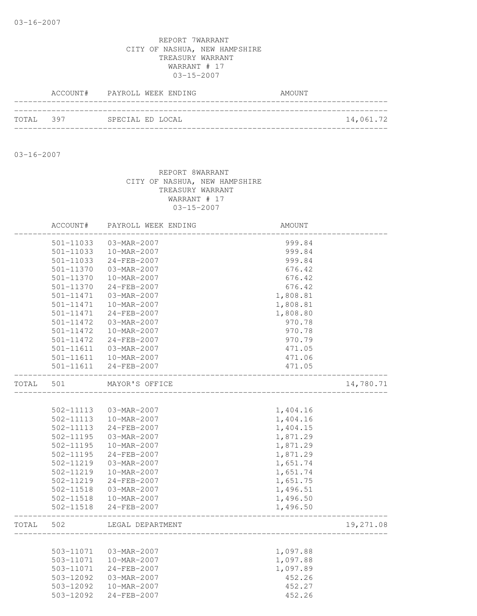|           | ACCOUNT# PAYROLL WEEK ENDING | AMOUNT |           |
|-----------|------------------------------|--------|-----------|
| TOTAL 397 | SPECIAL ED LOCAL             |        | 14,061.72 |
|           |                              |        |           |

03-16-2007

|       | ACCOUNT#      | PAYROLL WEEK ENDING | AMOUNT   |           |
|-------|---------------|---------------------|----------|-----------|
|       | 501-11033     | 03-MAR-2007         | 999.84   |           |
|       | $501 - 11033$ | 10-MAR-2007         | 999.84   |           |
|       | 501-11033     | 24-FEB-2007         | 999.84   |           |
|       | 501-11370     | 03-MAR-2007         | 676.42   |           |
|       | 501-11370     | 10-MAR-2007         | 676.42   |           |
|       | 501-11370     | $24 - FEB - 2007$   | 676.42   |           |
|       | 501-11471     | 03-MAR-2007         | 1,808.81 |           |
|       | 501-11471     | 10-MAR-2007         | 1,808.81 |           |
|       | 501-11471     | $24 - FEB - 2007$   | 1,808.80 |           |
|       | 501-11472     | 03-MAR-2007         | 970.78   |           |
|       | 501-11472     | 10-MAR-2007         | 970.78   |           |
|       | 501-11472     | $24 - FEB - 2007$   | 970.79   |           |
|       | 501-11611     | 03-MAR-2007         | 471.05   |           |
|       | 501-11611     | 10-MAR-2007         | 471.06   |           |
|       | 501-11611     | 24-FEB-2007         | 471.05   |           |
| TOTAL | 501           | MAYOR'S OFFICE      |          | 14,780.71 |
|       |               |                     |          |           |
|       | 502-11113     | 03-MAR-2007         | 1,404.16 |           |
|       | 502-11113     | 10-MAR-2007         | 1,404.16 |           |
|       | 502-11113     | 24-FEB-2007         | 1,404.15 |           |
|       | 502-11195     | 03-MAR-2007         | 1,871.29 |           |
|       | $502 - 11195$ | 10-MAR-2007         | 1,871.29 |           |
|       | 502-11195     | 24-FEB-2007         | 1,871.29 |           |
|       | 502-11219     | 03-MAR-2007         | 1,651.74 |           |
|       | 502-11219     | 10-MAR-2007         | 1,651.74 |           |
|       | 502-11219     | 24-FEB-2007         | 1,651.75 |           |
|       | 502-11518     | 03-MAR-2007         | 1,496.51 |           |
|       | 502-11518     | 10-MAR-2007         | 1,496.50 |           |
|       | $502 - 11518$ | 24-FEB-2007         | 1,496.50 |           |
| TOTAL | 502           | LEGAL DEPARTMENT    |          | 19,271.08 |
|       |               |                     |          |           |
|       | 503-11071     | 03-MAR-2007         | 1,097.88 |           |
|       | 503-11071     | 10-MAR-2007         | 1,097.88 |           |
|       | 503-11071     | $24 - FEB - 2007$   | 1,097.89 |           |
|       | 503-12092     | 03-MAR-2007         | 452.26   |           |
|       | 503-12092     | 10-MAR-2007         | 452.27   |           |
|       | 503-12092     | 24-FEB-2007         | 452.26   |           |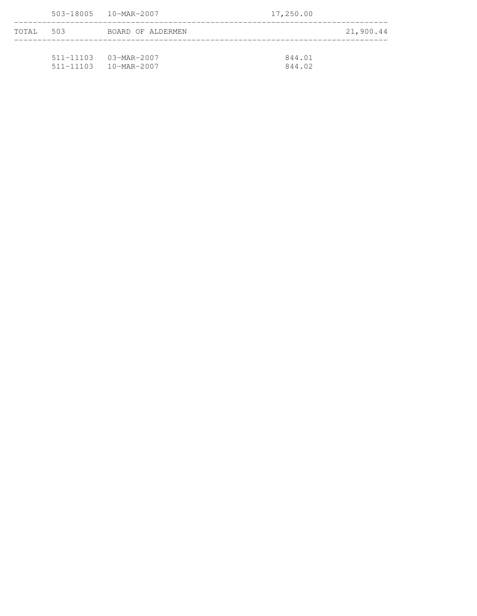|       |     | 503-18005  10-MAR-2007    | 17,250.00 |           |
|-------|-----|---------------------------|-----------|-----------|
| TOTAL | 503 | BOARD OF ALDERMEN         |           | 21,900.44 |
|       |     | $511 - 11103$ 03-MAR-2007 | 844.01    |           |

511-11103 10-MAR-2007 844.02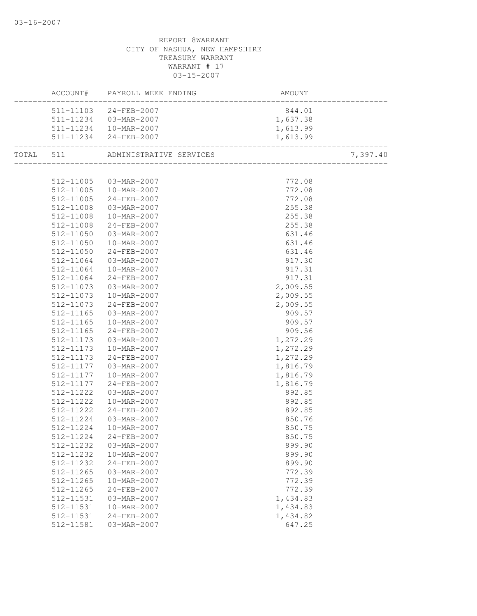|           | ACCOUNT# PAYROLL WEEK ENDING      | AMOUNT               |                               |
|-----------|-----------------------------------|----------------------|-------------------------------|
|           | 511-11103 24-FEB-2007             | 844.01               |                               |
|           | 511-11234 03-MAR-2007             | 1,637.38             |                               |
|           | 511-11234  10-MAR-2007            | 1,613.99             |                               |
|           | 511-11234 24-FEB-2007             | 1,613.99             | -------------<br>------------ |
|           | TOTAL 511 ADMINISTRATIVE SERVICES |                      | 7,397.40                      |
|           |                                   |                      |                               |
|           | 512-11005 03-MAR-2007             | 772.08               |                               |
|           | 512-11005  10-MAR-2007            | 772.08               |                               |
| 512-11005 | 24-FEB-2007                       | 772.08               |                               |
| 512-11008 | $03 - MAR - 2007$                 | 255.38               |                               |
|           | 512-11008  10-MAR-2007            | 255.38               |                               |
|           | 512-11008 24-FEB-2007             | 255.38               |                               |
| 512-11050 | 03-MAR-2007                       | 631.46               |                               |
| 512-11050 | $10 - \text{MAR} - 2007$          | 631.46               |                               |
| 512-11050 | 24-FEB-2007                       | $631.46$<br>$917.30$ |                               |
| 512-11064 | 03-MAR-2007                       | 917.30               |                               |
| 512-11064 | 10-MAR-2007                       | 917.31               |                               |
| 512-11064 | 24-FEB-2007                       | 917.31               |                               |
| 512-11073 | $03 - \text{MAR} - 2007$          | 2,009.55             |                               |
| 512-11073 | 10-MAR-2007                       | 2,009.55             |                               |
| 512-11073 | 24-FEB-2007                       | 2,009.55             |                               |
| 512-11165 | $03 - \text{MAR} - 2007$          | 909.57               |                               |
| 512-11165 | 10-MAR-2007                       | 909.57               |                               |
| 512-11165 | 24-FEB-2007                       | 909.56               |                               |
| 512-11173 | 03-MAR-2007                       | 1,272.29             |                               |
| 512-11173 | 10-MAR-2007                       | 1,272.29             |                               |
| 512-11173 | 24-FEB-2007                       | 1,272.29             |                               |
|           | 512-11177  03-MAR-2007            | 1,816.79             |                               |
| 512-11177 | $10 - \text{MAR} - 2007$          | 1,816.79             |                               |
| 512-11177 | 24-FEB-2007                       | 1,816.79             |                               |
| 512-11222 | 03-MAR-2007                       | 892.85               |                               |
| 512-11222 | $10 - \text{MAR} - 2007$          | 892.85               |                               |
| 512-11222 | $24 - FEB - 2007$                 | 892.85               |                               |
| 512-11224 | 03-MAR-2007                       | 850.76               |                               |
| 512-11224 | $10 - MAR - 2007$                 | 850.75               |                               |
| 512-11224 | 24-FEB-2007                       | 850.75               |                               |
| 512-11232 | 03-MAR-2007                       | 899.90               |                               |
| 512-11232 | 10-MAR-2007                       | 899.90               |                               |
| 512-11232 | 24-FEB-2007                       | 899.90               |                               |
| 512-11265 | 03-MAR-2007                       | 772.39               |                               |
| 512-11265 | 10-MAR-2007                       | 772.39               |                               |
| 512-11265 | 24-FEB-2007                       | 772.39               |                               |
| 512-11531 | 03-MAR-2007                       | 1,434.83             |                               |
| 512-11531 | 10-MAR-2007                       | 1,434.83             |                               |
| 512-11531 | 24-FEB-2007                       | 1,434.82             |                               |
| 512-11581 | 03-MAR-2007                       | 647.25               |                               |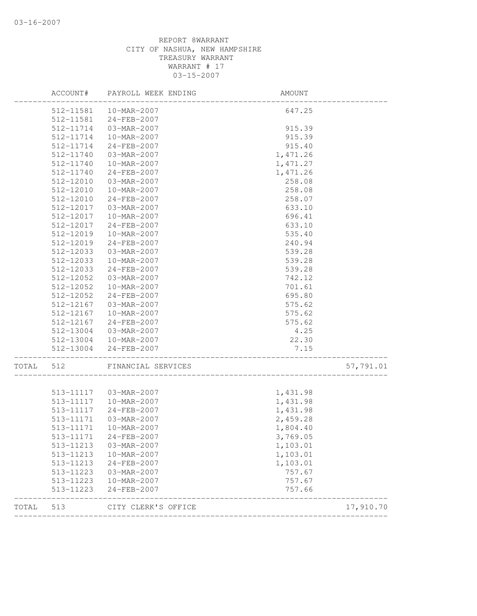| 57,791.01 |
|-----------|
|           |
|           |
|           |
|           |
|           |
|           |
|           |
|           |
|           |
|           |
|           |
|           |
|           |
|           |
|           |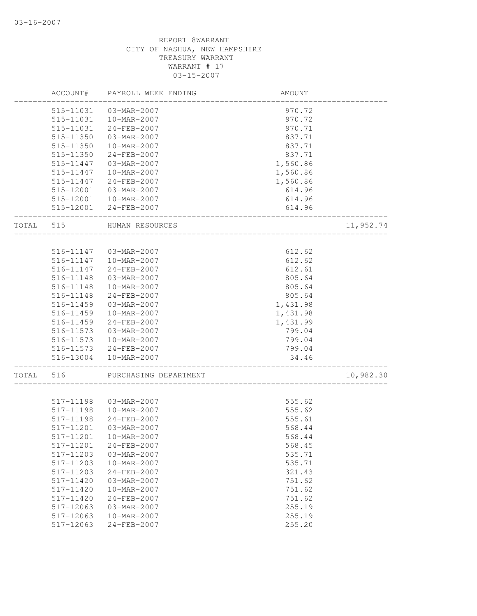|       | ACCOUNT#  | PAYROLL WEEK ENDING     | AMOUNT   |           |
|-------|-----------|-------------------------|----------|-----------|
|       | 515-11031 | 03-MAR-2007             | 970.72   |           |
|       | 515-11031 | 10-MAR-2007             | 970.72   |           |
|       | 515-11031 | 24-FEB-2007             | 970.71   |           |
|       | 515-11350 | 03-MAR-2007             | 837.71   |           |
|       | 515-11350 | 10-MAR-2007             | 837.71   |           |
|       | 515-11350 | 24-FEB-2007             | 837.71   |           |
|       | 515-11447 | 03-MAR-2007             | 1,560.86 |           |
|       | 515-11447 | 10-MAR-2007             | 1,560.86 |           |
|       | 515-11447 | $24 - FEB - 2007$       | 1,560.86 |           |
|       | 515-12001 | 03-MAR-2007             | 614.96   |           |
|       | 515-12001 | 10-MAR-2007             | 614.96   |           |
|       | 515-12001 | 24-FEB-2007             | 614.96   |           |
| TOTAL | 515       | HUMAN RESOURCES         |          | 11,952.74 |
|       |           |                         |          |           |
|       | 516-11147 | 03-MAR-2007             | 612.62   |           |
|       | 516-11147 | 10-MAR-2007             | 612.62   |           |
|       | 516-11147 | 24-FEB-2007             | 612.61   |           |
|       | 516-11148 | 03-MAR-2007             | 805.64   |           |
|       | 516-11148 | 10-MAR-2007             | 805.64   |           |
|       | 516-11148 | 24-FEB-2007             | 805.64   |           |
|       | 516-11459 | 03-MAR-2007             | 1,431.98 |           |
|       | 516-11459 | 10-MAR-2007             | 1,431.98 |           |
|       | 516-11459 | 24-FEB-2007             | 1,431.99 |           |
|       | 516-11573 | 03-MAR-2007             | 799.04   |           |
|       | 516-11573 | 10-MAR-2007             | 799.04   |           |
|       | 516-11573 | 24-FEB-2007             | 799.04   |           |
|       | 516-13004 | 10-MAR-2007             | 34.46    |           |
| TOTAL | 516       | PURCHASING DEPARTMENT   |          | 10,982.30 |
|       | 517-11198 | 03-MAR-2007             | 555.62   |           |
|       | 517-11198 | 10-MAR-2007             | 555.62   |           |
|       | 517-11198 | 24-FEB-2007             | 555.61   |           |
|       | 517-11201 | 03-MAR-2007             | 568.44   |           |
|       |           |                         |          |           |
|       |           | 517-11201   10-MAR-2007 | 568.44   |           |
|       | 517-11201 | $24 - FEB - 2007$       | 568.45   |           |
|       | 517-11203 | 03-MAR-2007             | 535.71   |           |
|       | 517-11203 | 10-MAR-2007             | 535.71   |           |
|       | 517-11203 | 24-FEB-2007             | 321.43   |           |
|       | 517-11420 | 03-MAR-2007             | 751.62   |           |
|       | 517-11420 | 10-MAR-2007             | 751.62   |           |
|       | 517-11420 | $24 - FEB - 2007$       | 751.62   |           |
|       | 517-12063 | 03-MAR-2007             | 255.19   |           |
|       | 517-12063 | 10-MAR-2007             | 255.19   |           |
|       | 517-12063 | 24-FEB-2007             | 255.20   |           |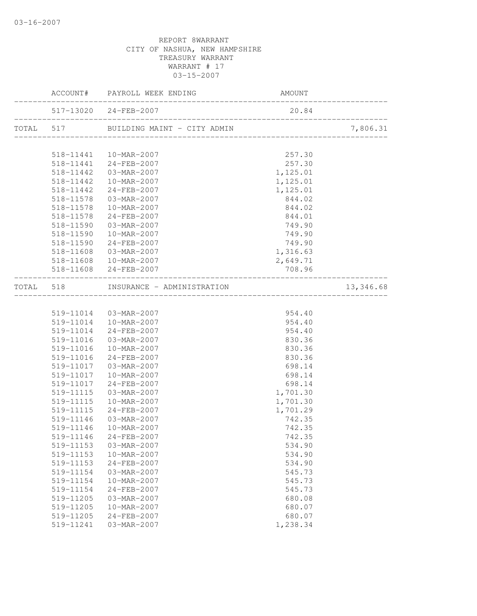|           |           | ACCOUNT# PAYROLL WEEK ENDING          | AMOUNT   |                    |
|-----------|-----------|---------------------------------------|----------|--------------------|
|           |           | 517-13020 24-FEB-2007                 | 20.84    | ------------------ |
|           |           | TOTAL 517 BUILDING MAINT - CITY ADMIN |          | 7,806.31           |
|           |           |                                       |          |                    |
|           |           | 518-11441  10-MAR-2007                | 257.30   |                    |
|           |           | 518-11441 24-FEB-2007                 | 257.30   |                    |
|           | 518-11442 | 03-MAR-2007                           | 1,125.01 |                    |
|           | 518-11442 | 10-MAR-2007                           | 1,125.01 |                    |
|           | 518-11442 | 24-FEB-2007                           | 1,125.01 |                    |
|           | 518-11578 | $03 - \text{MAR} - 2007$              | 844.02   |                    |
|           | 518-11578 | 10-MAR-2007                           | 844.02   |                    |
|           | 518-11578 | 24-FEB-2007                           | 844.01   |                    |
|           | 518-11590 | 03-MAR-2007                           | 749.90   |                    |
|           | 518-11590 | $10 - \text{MAR} - 2007$              | 749.90   |                    |
|           | 518-11590 | $24 - FEB - 2007$                     | 749.90   |                    |
|           | 518-11608 | 03-MAR-2007                           | 1,316.63 |                    |
|           | 518-11608 | $10 - \text{MAR} - 2007$              | 2,649.71 |                    |
|           |           | 518-11608 24-FEB-2007                 | 708.96   |                    |
| TOTAL 518 |           | INSURANCE - ADMINISTRATION            |          | 13,346.68          |
|           |           |                                       |          |                    |
|           |           | 519-11014  03-MAR-2007                | 954.40   |                    |
|           |           | 519-11014  10-MAR-2007                | 954.40   |                    |
|           | 519-11014 | 24-FEB-2007                           | 954.40   |                    |
|           | 519-11016 | 03-MAR-2007                           | 830.36   |                    |
|           | 519-11016 | 10-MAR-2007                           | 830.36   |                    |
|           | 519-11016 | 24-FEB-2007                           | 830.36   |                    |
|           | 519-11017 | 03-MAR-2007                           | 698.14   |                    |
|           | 519-11017 | 10-MAR-2007                           | 698.14   |                    |
|           | 519-11017 | 24-FEB-2007                           | 698.14   |                    |
|           | 519-11115 | 03-MAR-2007                           | 1,701.30 |                    |
|           | 519-11115 | 10-MAR-2007                           | 1,701.30 |                    |
|           | 519-11115 | 24-FEB-2007                           | 1,701.29 |                    |
|           | 519-11146 | 03-MAR-2007                           | 742.35   |                    |
|           | 519-11146 | 10-MAR-2007                           | 742.35   |                    |
|           | 519-11146 | $24 - FEB - 2007$                     | 742.35   |                    |
|           | 519-11153 | 03-MAR-2007                           | 534.90   |                    |
|           | 519-11153 | 10-MAR-2007                           | 534.90   |                    |
|           | 519-11153 | 24-FEB-2007                           | 534.90   |                    |
|           | 519-11154 | $03 - MAR - 2007$                     | 545.73   |                    |
|           | 519-11154 | 10-MAR-2007                           | 545.73   |                    |
|           | 519-11154 | 24-FEB-2007                           | 545.73   |                    |
|           | 519-11205 | 03-MAR-2007                           | 680.08   |                    |
|           | 519-11205 | 10-MAR-2007                           | 680.07   |                    |
|           | 519-11205 | 24-FEB-2007                           | 680.07   |                    |
|           | 519-11241 | 03-MAR-2007                           | 1,238.34 |                    |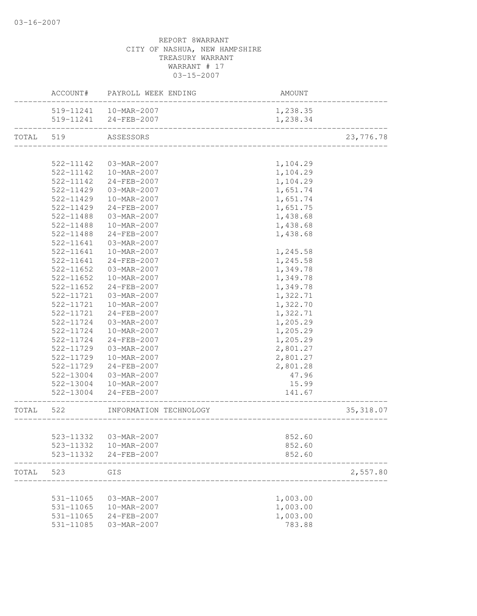|           | ACCOUNT#      | PAYROLL WEEK ENDING    | AMOUNT                  |            |
|-----------|---------------|------------------------|-------------------------|------------|
|           |               | 519-11241  10-MAR-2007 | 1,238.35                |            |
|           |               | 519-11241 24-FEB-2007  | 1,238.34                |            |
| TOTAL 519 |               | ASSESSORS              |                         | 23,776.78  |
|           |               |                        |                         |            |
|           | 522-11142     | 03-MAR-2007            | 1,104.29                |            |
|           | 522-11142     | 10-MAR-2007            | 1,104.29                |            |
|           | 522-11142     | 24-FEB-2007            | 1,104.29                |            |
|           | 522-11429     | 03-MAR-2007            | 1,651.74                |            |
|           | 522-11429     | 10-MAR-2007            | 1,651.74                |            |
|           | 522-11429     | 24-FEB-2007            | 1,651.75                |            |
|           | 522-11488     | 03-MAR-2007            | 1,438.68                |            |
|           | 522-11488     | 10-MAR-2007            | 1,438.68                |            |
|           | 522-11488     | 24-FEB-2007            | 1,438.68                |            |
|           | 522-11641     | 03-MAR-2007            |                         |            |
|           | 522-11641     | 10-MAR-2007            | 1,245.58                |            |
|           | 522-11641     | 24-FEB-2007            | 1,245.58                |            |
|           | 522-11652     | 03-MAR-2007            | 1,349.78                |            |
|           | $522 - 11652$ | 10-MAR-2007            | 1,349.78                |            |
|           | 522-11652     | 24-FEB-2007            | 1,349.78                |            |
|           | 522-11721     | 03-MAR-2007            | 1,322.71                |            |
|           | 522-11721     | 10-MAR-2007            | 1,322.70                |            |
|           | 522-11721     | $24 - FEB - 2007$      | 1,322.71                |            |
|           | 522-11724     | 03-MAR-2007            | 1,205.29                |            |
|           | 522-11724     | 10-MAR-2007            | 1,205.29                |            |
|           | 522-11724     | 24-FEB-2007            | 1,205.29                |            |
|           | 522-11729     | 03-MAR-2007            | 2,801.27                |            |
|           | 522-11729     | 10-MAR-2007            | 2,801.27                |            |
|           | 522-11729     | 24-FEB-2007            | 2,801.28                |            |
|           | 522-13004     | 03-MAR-2007            | 47.96                   |            |
|           | 522-13004     | 10-MAR-2007            | 15.99                   |            |
|           | 522-13004     | 24-FEB-2007            | 141.67                  |            |
| TOTAL     | 522           | INFORMATION TECHNOLOGY | _______________________ | 35, 318.07 |
|           |               |                        |                         |            |
|           | 523-11332     | 03-MAR-2007            | 852.60                  |            |
|           | 523-11332     | 10-MAR-2007            | 852.60                  |            |
|           | 523-11332     | 24-FEB-2007            | 852.60                  |            |
| TOTAL     | 523           | GIS                    |                         | 2,557.80   |
|           |               |                        |                         |            |
|           | 531-11065     | 03-MAR-2007            | 1,003.00                |            |
|           | 531-11065     | 10-MAR-2007            | 1,003.00                |            |
|           | 531-11065     | 24-FEB-2007            | 1,003.00                |            |
|           | 531-11085     | 03-MAR-2007            | 783.88                  |            |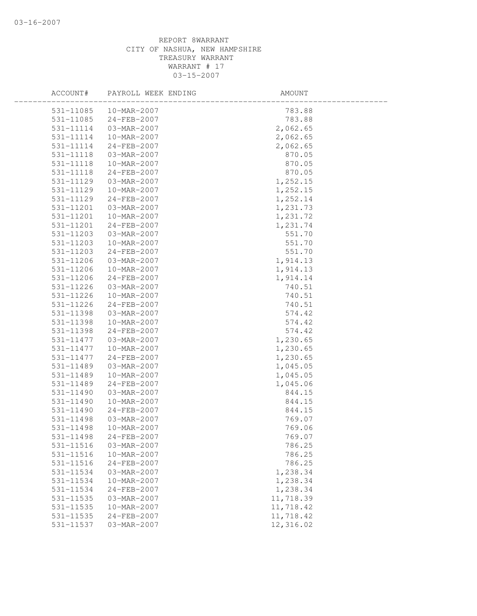| ACCOUNT#      | PAYROLL WEEK ENDING | AMOUNT    |
|---------------|---------------------|-----------|
| 531-11085     | 10-MAR-2007         | 783.88    |
| 531-11085     | 24-FEB-2007         | 783.88    |
| 531-11114     | 03-MAR-2007         | 2,062.65  |
| 531-11114     | 10-MAR-2007         | 2,062.65  |
| 531-11114     | 24-FEB-2007         | 2,062.65  |
| 531-11118     | 03-MAR-2007         | 870.05    |
| 531-11118     | 10-MAR-2007         | 870.05    |
| 531-11118     | 24-FEB-2007         | 870.05    |
| 531-11129     | 03-MAR-2007         | 1,252.15  |
| 531-11129     | 10-MAR-2007         | 1,252.15  |
| 531-11129     | 24-FEB-2007         | 1,252.14  |
| 531-11201     | 03-MAR-2007         | 1,231.73  |
| 531-11201     | 10-MAR-2007         | 1,231.72  |
| 531-11201     | 24-FEB-2007         | 1,231.74  |
| 531-11203     | 03-MAR-2007         | 551.70    |
| 531-11203     | 10-MAR-2007         | 551.70    |
| 531-11203     | 24-FEB-2007         | 551.70    |
| 531-11206     | 03-MAR-2007         | 1,914.13  |
| 531-11206     | 10-MAR-2007         | 1,914.13  |
| 531-11206     | 24-FEB-2007         | 1,914.14  |
| 531-11226     | 03-MAR-2007         | 740.51    |
| 531-11226     | 10-MAR-2007         | 740.51    |
| 531-11226     | 24-FEB-2007         | 740.51    |
| 531-11398     | 03-MAR-2007         | 574.42    |
| 531-11398     | 10-MAR-2007         | 574.42    |
| 531-11398     | 24-FEB-2007         | 574.42    |
| 531-11477     | 03-MAR-2007         | 1,230.65  |
| 531-11477     | 10-MAR-2007         | 1,230.65  |
| 531-11477     | 24-FEB-2007         | 1,230.65  |
| 531-11489     | 03-MAR-2007         | 1,045.05  |
| 531-11489     | 10-MAR-2007         | 1,045.05  |
| 531-11489     | 24-FEB-2007         | 1,045.06  |
| 531-11490     | 03-MAR-2007         | 844.15    |
| 531-11490     | 10-MAR-2007         | 844.15    |
| 531-11490     | $24 - FEB - 2007$   | 844.15    |
| 531-11498     | 03-MAR-2007         | 769.07    |
| 531-11498     | 10-MAR-2007         | 769.06    |
| 531-11498     | 24-FEB-2007         | 769.07    |
| 531-11516     | 03-MAR-2007         | 786.25    |
| 531-11516     | 10-MAR-2007         | 786.25    |
| 531-11516     | 24-FEB-2007         | 786.25    |
| 531-11534     | 03-MAR-2007         | 1,238.34  |
| 531-11534     | 10-MAR-2007         | 1,238.34  |
| 531-11534     | 24-FEB-2007         | 1,238.34  |
| 531-11535     | 03-MAR-2007         | 11,718.39 |
| $531 - 11535$ | 10-MAR-2007         | 11,718.42 |
| 531-11535     | 24-FEB-2007         | 11,718.42 |
| 531-11537     | 03-MAR-2007         | 12,316.02 |
|               |                     |           |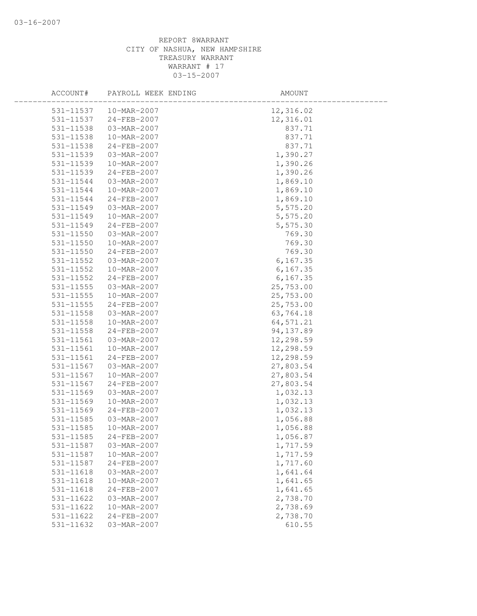| ACCOUNT#      | PAYROLL WEEK ENDING | AMOUNT     |  |
|---------------|---------------------|------------|--|
| 531-11537     | 10-MAR-2007         | 12,316.02  |  |
| 531-11537     | 24-FEB-2007         | 12,316.01  |  |
| 531-11538     | 03-MAR-2007         | 837.71     |  |
| 531-11538     | 10-MAR-2007         | 837.71     |  |
| 531-11538     | 24-FEB-2007         | 837.71     |  |
| 531-11539     | 03-MAR-2007         | 1,390.27   |  |
| 531-11539     | 10-MAR-2007         | 1,390.26   |  |
| 531-11539     | 24-FEB-2007         | 1,390.26   |  |
| 531-11544     | 03-MAR-2007         | 1,869.10   |  |
| 531-11544     | 10-MAR-2007         | 1,869.10   |  |
| 531-11544     | 24-FEB-2007         | 1,869.10   |  |
| 531-11549     | 03-MAR-2007         | 5,575.20   |  |
| 531-11549     | 10-MAR-2007         | 5,575.20   |  |
| 531-11549     | 24-FEB-2007         | 5,575.30   |  |
| 531-11550     | 03-MAR-2007         | 769.30     |  |
| 531-11550     | 10-MAR-2007         | 769.30     |  |
| 531-11550     | 24-FEB-2007         | 769.30     |  |
| 531-11552     | 03-MAR-2007         | 6, 167.35  |  |
| 531-11552     | 10-MAR-2007         | 6, 167.35  |  |
| 531-11552     | $24 - FEB - 2007$   | 6, 167.35  |  |
| 531-11555     | 03-MAR-2007         | 25,753.00  |  |
| 531-11555     | 10-MAR-2007         | 25,753.00  |  |
| $531 - 11555$ | 24-FEB-2007         | 25,753.00  |  |
| 531-11558     | 03-MAR-2007         | 63,764.18  |  |
| 531-11558     | 10-MAR-2007         | 64, 571.21 |  |
| 531-11558     | 24-FEB-2007         | 94, 137.89 |  |
| 531-11561     | 03-MAR-2007         | 12,298.59  |  |
| 531-11561     | 10-MAR-2007         | 12,298.59  |  |
| 531-11561     | 24-FEB-2007         | 12,298.59  |  |
| 531-11567     | 03-MAR-2007         | 27,803.54  |  |
| 531-11567     | 10-MAR-2007         | 27,803.54  |  |
| 531-11567     | 24-FEB-2007         | 27,803.54  |  |
| 531-11569     | 03-MAR-2007         | 1,032.13   |  |
| 531-11569     | 10-MAR-2007         | 1,032.13   |  |
| 531-11569     | 24-FEB-2007         | 1,032.13   |  |
| 531-11585     | 03-MAR-2007         | 1,056.88   |  |
| 531-11585     | 10-MAR-2007         | 1,056.88   |  |
| 531-11585     | 24-FEB-2007         | 1,056.87   |  |
| 531-11587     | 03-MAR-2007         | 1,717.59   |  |
| 531-11587     | 10-MAR-2007         | 1,717.59   |  |
| 531-11587     | 24-FEB-2007         | 1,717.60   |  |
| 531-11618     | 03-MAR-2007         | 1,641.64   |  |
| 531-11618     | 10-MAR-2007         | 1,641.65   |  |
| 531-11618     | 24-FEB-2007         | 1,641.65   |  |
| 531-11622     | 03-MAR-2007         | 2,738.70   |  |
| 531-11622     | 10-MAR-2007         | 2,738.69   |  |
| 531-11622     | 24-FEB-2007         | 2,738.70   |  |
| 531-11632     | 03-MAR-2007         | 610.55     |  |
|               |                     |            |  |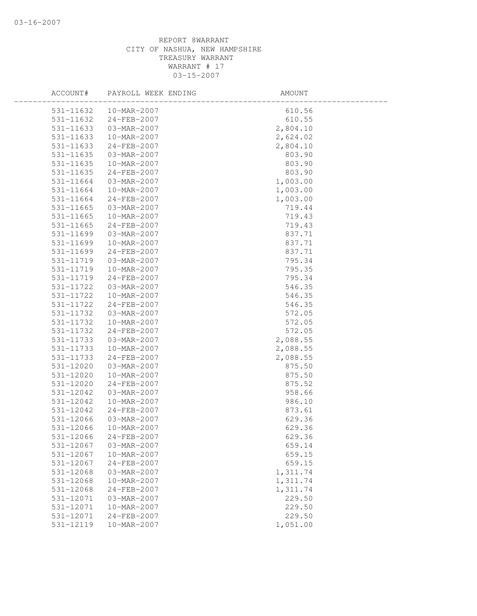| ACCOUNT#  | PAYROLL WEEK ENDING | AMOUNT   |  |
|-----------|---------------------|----------|--|
| 531-11632 | 10-MAR-2007         | 610.56   |  |
| 531-11632 | 24-FEB-2007         | 610.55   |  |
| 531-11633 | 03-MAR-2007         | 2,804.10 |  |
| 531-11633 | 10-MAR-2007         | 2,624.02 |  |
| 531-11633 | 24-FEB-2007         | 2,804.10 |  |
| 531-11635 | 03-MAR-2007         | 803.90   |  |
| 531-11635 | 10-MAR-2007         | 803.90   |  |
| 531-11635 | 24-FEB-2007         | 803.90   |  |
| 531-11664 | 03-MAR-2007         | 1,003.00 |  |
| 531-11664 | 10-MAR-2007         | 1,003.00 |  |
| 531-11664 | 24-FEB-2007         | 1,003.00 |  |
| 531-11665 | 03-MAR-2007         | 719.44   |  |
| 531-11665 | 10-MAR-2007         | 719.43   |  |
| 531-11665 | 24-FEB-2007         | 719.43   |  |
| 531-11699 | 03-MAR-2007         | 837.71   |  |
| 531-11699 | 10-MAR-2007         | 837.71   |  |
| 531-11699 | 24-FEB-2007         | 837.71   |  |
| 531-11719 | 03-MAR-2007         | 795.34   |  |
| 531-11719 | 10-MAR-2007         | 795.35   |  |
| 531-11719 | 24-FEB-2007         | 795.34   |  |
| 531-11722 | 03-MAR-2007         | 546.35   |  |
| 531-11722 | 10-MAR-2007         | 546.35   |  |
| 531-11722 | 24-FEB-2007         | 546.35   |  |
| 531-11732 | 03-MAR-2007         | 572.05   |  |
| 531-11732 | 10-MAR-2007         | 572.05   |  |
| 531-11732 | 24-FEB-2007         | 572.05   |  |
| 531-11733 | 03-MAR-2007         | 2,088.55 |  |
| 531-11733 | 10-MAR-2007         | 2,088.55 |  |
| 531-11733 | 24-FEB-2007         | 2,088.55 |  |
| 531-12020 | 03-MAR-2007         | 875.50   |  |
| 531-12020 | 10-MAR-2007         | 875.50   |  |
| 531-12020 | 24-FEB-2007         | 875.52   |  |
| 531-12042 | 03-MAR-2007         | 958.66   |  |
| 531-12042 | 10-MAR-2007         | 986.10   |  |
| 531-12042 | 24-FEB-2007         | 873.61   |  |
| 531-12066 | 03-MAR-2007         | 629.36   |  |
| 531-12066 | 10-MAR-2007         | 629.36   |  |
| 531-12066 | 24-FEB-2007         | 629.36   |  |
| 531-12067 | 03-MAR-2007         | 659.14   |  |
| 531-12067 | 10-MAR-2007         | 659.15   |  |
| 531-12067 | 24-FEB-2007         | 659.15   |  |
| 531-12068 | 03-MAR-2007         | 1,311.74 |  |
| 531-12068 | 10-MAR-2007         | 1,311.74 |  |
| 531-12068 | 24-FEB-2007         | 1,311.74 |  |
| 531-12071 | 03-MAR-2007         | 229.50   |  |
| 531-12071 | 10-MAR-2007         | 229.50   |  |
| 531-12071 | 24-FEB-2007         | 229.50   |  |
| 531-12119 | 10-MAR-2007         | 1,051.00 |  |
|           |                     |          |  |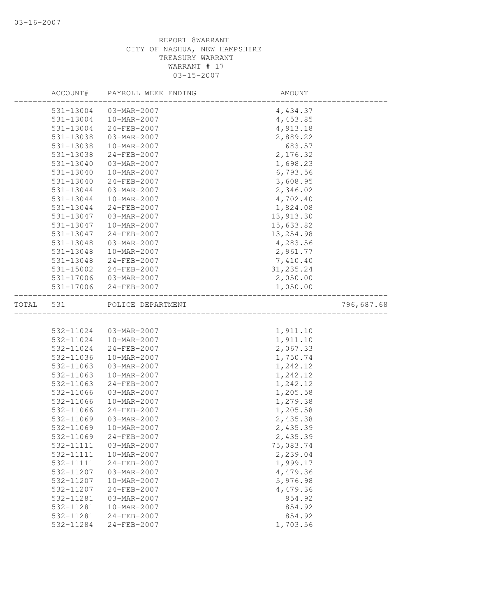|       | ACCOUNT#  | PAYROLL WEEK ENDING | AMOUNT     |            |
|-------|-----------|---------------------|------------|------------|
|       | 531-13004 | 03-MAR-2007         | 4,434.37   |            |
|       | 531-13004 | 10-MAR-2007         | 4,453.85   |            |
|       | 531-13004 | 24-FEB-2007         | 4,913.18   |            |
|       | 531-13038 | 03-MAR-2007         | 2,889.22   |            |
|       | 531-13038 | 10-MAR-2007         | 683.57     |            |
|       | 531-13038 | 24-FEB-2007         | 2,176.32   |            |
|       | 531-13040 | 03-MAR-2007         | 1,698.23   |            |
|       | 531-13040 | 10-MAR-2007         | 6,793.56   |            |
|       | 531-13040 | 24-FEB-2007         | 3,608.95   |            |
|       | 531-13044 | 03-MAR-2007         | 2,346.02   |            |
|       | 531-13044 | 10-MAR-2007         | 4,702.40   |            |
|       | 531-13044 | 24-FEB-2007         | 1,824.08   |            |
|       | 531-13047 | 03-MAR-2007         | 13, 913.30 |            |
|       | 531-13047 | 10-MAR-2007         | 15,633.82  |            |
|       | 531-13047 | 24-FEB-2007         | 13, 254.98 |            |
|       | 531-13048 | 03-MAR-2007         | 4,283.56   |            |
|       | 531-13048 | 10-MAR-2007         | 2,961.77   |            |
|       | 531-13048 | 24-FEB-2007         | 7,410.40   |            |
|       | 531-15002 | 24-FEB-2007         | 31, 235.24 |            |
|       | 531-17006 | 03-MAR-2007         | 2,050.00   |            |
|       | 531-17006 | 24-FEB-2007         | 1,050.00   |            |
| TOTAL | 531       | POLICE DEPARTMENT   |            | 796,687.68 |
|       |           |                     |            |            |
|       | 532-11024 | 03-MAR-2007         | 1,911.10   |            |
|       | 532-11024 | 10-MAR-2007         | 1,911.10   |            |
|       | 532-11024 | 24-FEB-2007         | 2,067.33   |            |
|       | 532-11036 | 10-MAR-2007         | 1,750.74   |            |
|       | 532-11063 | 03-MAR-2007         | 1,242.12   |            |
|       | 532-11063 | 10-MAR-2007         | 1,242.12   |            |
|       | 532-11063 | 24-FEB-2007         | 1,242.12   |            |
|       | 532-11066 | 03-MAR-2007         | 1,205.58   |            |
|       | 532-11066 | 10-MAR-2007         | 1,279.38   |            |
|       | 532-11066 | 24-FEB-2007         | 1,205.58   |            |
|       | 532-11069 | 03-MAR-2007         | 2,435.38   |            |
|       | 532-11069 | 10-MAR-2007         | 2,435.39   |            |
|       | 532-11069 | $24 - FEB - 2007$   | 2,435.39   |            |
|       | 532-11111 | 03-MAR-2007         | 75,083.74  |            |
|       | 532-11111 | 10-MAR-2007         | 2,239.04   |            |
|       | 532-11111 | 24-FEB-2007         | 1,999.17   |            |
|       | 532-11207 | 03-MAR-2007         | 4,479.36   |            |
|       | 532-11207 | 10-MAR-2007         | 5,976.98   |            |
|       | 532-11207 | 24-FEB-2007         | 4,479.36   |            |
|       | 532-11281 | 03-MAR-2007         | 854.92     |            |
|       | 532-11281 | 10-MAR-2007         | 854.92     |            |
|       | 532-11281 | $24 - FEB - 2007$   | 854.92     |            |
|       | 532-11284 | 24-FEB-2007         | 1,703.56   |            |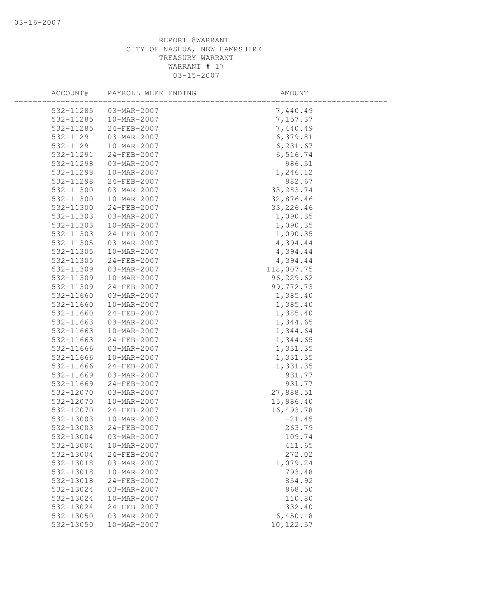| ACCOUNT#  | PAYROLL WEEK ENDING | AMOUNT      |  |
|-----------|---------------------|-------------|--|
| 532-11285 | 03-MAR-2007         | 7,440.49    |  |
| 532-11285 | 10-MAR-2007         | 7,157.37    |  |
| 532-11285 | 24-FEB-2007         | 7,440.49    |  |
| 532-11291 | 03-MAR-2007         | 6,379.81    |  |
| 532-11291 | 10-MAR-2007         | 6, 231.67   |  |
| 532-11291 | 24-FEB-2007         | 6,516.74    |  |
| 532-11298 | 03-MAR-2007         | 986.51      |  |
| 532-11298 | 10-MAR-2007         | 1,246.12    |  |
| 532-11298 | 24-FEB-2007         | 882.67      |  |
| 532-11300 | 03-MAR-2007         | 33, 283. 74 |  |
| 532-11300 | 10-MAR-2007         | 32,876.46   |  |
| 532-11300 | 24-FEB-2007         | 33, 226.46  |  |
| 532-11303 | 03-MAR-2007         | 1,090.35    |  |
| 532-11303 | 10-MAR-2007         | 1,090.35    |  |
| 532-11303 | 24-FEB-2007         | 1,090.35    |  |
| 532-11305 | 03-MAR-2007         | 4,394.44    |  |
| 532-11305 | 10-MAR-2007         | 4,394.44    |  |
| 532-11305 | 24-FEB-2007         | 4,394.44    |  |
| 532-11309 | 03-MAR-2007         | 118,007.75  |  |
| 532-11309 | 10-MAR-2007         | 96,229.62   |  |
| 532-11309 | 24-FEB-2007         | 99, 772.73  |  |
| 532-11660 | 03-MAR-2007         | 1,385.40    |  |
| 532-11660 | 10-MAR-2007         | 1,385.40    |  |
| 532-11660 | 24-FEB-2007         | 1,385.40    |  |
| 532-11663 | 03-MAR-2007         | 1,344.65    |  |
| 532-11663 | 10-MAR-2007         | 1,344.64    |  |
| 532-11663 | 24-FEB-2007         | 1,344.65    |  |
| 532-11666 | 03-MAR-2007         | 1,331.35    |  |
| 532-11666 | 10-MAR-2007         | 1,331.35    |  |
| 532-11666 | 24-FEB-2007         | 1,331.35    |  |
| 532-11669 | 03-MAR-2007         | 931.77      |  |
| 532-11669 | 24-FEB-2007         | 931.77      |  |
| 532-12070 | 03-MAR-2007         | 27,888.51   |  |
| 532-12070 | 10-MAR-2007         | 15,986.40   |  |
| 532-12070 | $24 - FEB - 2007$   | 16,493.78   |  |
| 532-13003 | 10-MAR-2007         | $-21.45$    |  |
| 532-13003 | 24-FEB-2007         | 263.79      |  |
| 532-13004 | 03-MAR-2007         | 109.74      |  |
| 532-13004 | 10-MAR-2007         | 411.65      |  |
| 532-13004 | 24-FEB-2007         | 272.02      |  |
| 532-13018 | 03-MAR-2007         | 1,079.24    |  |
| 532-13018 | 10-MAR-2007         | 793.48      |  |
| 532-13018 | 24-FEB-2007         | 854.92      |  |
| 532-13024 | 03-MAR-2007         | 868.50      |  |
| 532-13024 | 10-MAR-2007         | 110.80      |  |
| 532-13024 | $24 - FEB - 2007$   | 332.40      |  |
| 532-13050 | 03-MAR-2007         | 6,450.18    |  |
| 532-13050 | 10-MAR-2007         | 10,122.57   |  |
|           |                     |             |  |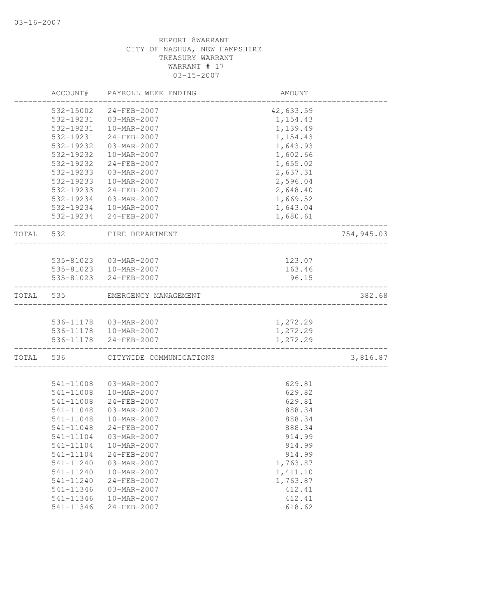| 532-15002<br>24-FEB-2007<br>42,633.59<br>532-19231<br>03-MAR-2007<br>1,154.43<br>532-19231<br>10-MAR-2007<br>1,139.49<br>532-19231<br>24-FEB-2007<br>1,154.43<br>532-19232<br>1,643.93<br>03-MAR-2007<br>1,602.66<br>532-19232<br>10-MAR-2007<br>1,655.02<br>532-19232<br>24-FEB-2007<br>532-19233<br>03-MAR-2007<br>2,637.31<br>2,596.04<br>532-19233<br>10-MAR-2007<br>532-19233<br>24-FEB-2007<br>2,648.40<br>532-19234<br>03-MAR-2007<br>1,669.52<br>532-19234 10-MAR-2007<br>1,643.04<br>532-19234 24-FEB-2007<br>1,680.61<br>TOTAL<br>532<br>FIRE DEPARTMENT<br>535-81023  03-MAR-2007<br>123.07<br>535-81023  10-MAR-2007<br>163.46<br>535-81023 24-FEB-2007<br>96.15<br>382.68<br>535<br>EMERGENCY MANAGEMENT<br>1,272.29<br>536-11178  03-MAR-2007<br>536-11178  10-MAR-2007<br>1,272.29<br>536-11178 24-FEB-2007<br>1,272.29<br>TOTAL<br>536<br>CITYWIDE COMMUNICATIONS<br>541-11008<br>03-MAR-2007<br>629.81<br>541-11008<br>10-MAR-2007<br>629.82<br>629.81<br>541-11008<br>24-FEB-2007<br>541-11048<br>03-MAR-2007<br>888.34<br>541-11048<br>10-MAR-2007<br>888.34<br>541-11048<br>$24 - FEB - 2007$<br>888.34<br>541-11104<br>03-MAR-2007<br>914.99<br>541-11104<br>10-MAR-2007<br>914.99<br>914.99<br>541-11104<br>24-FEB-2007<br>03-MAR-2007<br>541-11240<br>1,763.87<br>541-11240<br>10-MAR-2007<br>1,411.10<br>24-FEB-2007<br>1,763.87<br>541-11240<br>541-11346<br>03-MAR-2007<br>412.41<br>412.41<br>541-11346<br>10-MAR-2007<br>24-FEB-2007<br>618.62<br>541-11346 |       | ACCOUNT# | PAYROLL WEEK ENDING | AMOUNT |            |
|-----------------------------------------------------------------------------------------------------------------------------------------------------------------------------------------------------------------------------------------------------------------------------------------------------------------------------------------------------------------------------------------------------------------------------------------------------------------------------------------------------------------------------------------------------------------------------------------------------------------------------------------------------------------------------------------------------------------------------------------------------------------------------------------------------------------------------------------------------------------------------------------------------------------------------------------------------------------------------------------------------------------------------------------------------------------------------------------------------------------------------------------------------------------------------------------------------------------------------------------------------------------------------------------------------------------------------------------------------------------------------------------------------------------------------------------------------------------------------------------|-------|----------|---------------------|--------|------------|
|                                                                                                                                                                                                                                                                                                                                                                                                                                                                                                                                                                                                                                                                                                                                                                                                                                                                                                                                                                                                                                                                                                                                                                                                                                                                                                                                                                                                                                                                                         |       |          |                     |        |            |
|                                                                                                                                                                                                                                                                                                                                                                                                                                                                                                                                                                                                                                                                                                                                                                                                                                                                                                                                                                                                                                                                                                                                                                                                                                                                                                                                                                                                                                                                                         |       |          |                     |        |            |
|                                                                                                                                                                                                                                                                                                                                                                                                                                                                                                                                                                                                                                                                                                                                                                                                                                                                                                                                                                                                                                                                                                                                                                                                                                                                                                                                                                                                                                                                                         |       |          |                     |        |            |
|                                                                                                                                                                                                                                                                                                                                                                                                                                                                                                                                                                                                                                                                                                                                                                                                                                                                                                                                                                                                                                                                                                                                                                                                                                                                                                                                                                                                                                                                                         |       |          |                     |        |            |
|                                                                                                                                                                                                                                                                                                                                                                                                                                                                                                                                                                                                                                                                                                                                                                                                                                                                                                                                                                                                                                                                                                                                                                                                                                                                                                                                                                                                                                                                                         |       |          |                     |        |            |
|                                                                                                                                                                                                                                                                                                                                                                                                                                                                                                                                                                                                                                                                                                                                                                                                                                                                                                                                                                                                                                                                                                                                                                                                                                                                                                                                                                                                                                                                                         |       |          |                     |        |            |
|                                                                                                                                                                                                                                                                                                                                                                                                                                                                                                                                                                                                                                                                                                                                                                                                                                                                                                                                                                                                                                                                                                                                                                                                                                                                                                                                                                                                                                                                                         |       |          |                     |        |            |
|                                                                                                                                                                                                                                                                                                                                                                                                                                                                                                                                                                                                                                                                                                                                                                                                                                                                                                                                                                                                                                                                                                                                                                                                                                                                                                                                                                                                                                                                                         |       |          |                     |        |            |
|                                                                                                                                                                                                                                                                                                                                                                                                                                                                                                                                                                                                                                                                                                                                                                                                                                                                                                                                                                                                                                                                                                                                                                                                                                                                                                                                                                                                                                                                                         |       |          |                     |        |            |
|                                                                                                                                                                                                                                                                                                                                                                                                                                                                                                                                                                                                                                                                                                                                                                                                                                                                                                                                                                                                                                                                                                                                                                                                                                                                                                                                                                                                                                                                                         |       |          |                     |        |            |
|                                                                                                                                                                                                                                                                                                                                                                                                                                                                                                                                                                                                                                                                                                                                                                                                                                                                                                                                                                                                                                                                                                                                                                                                                                                                                                                                                                                                                                                                                         |       |          |                     |        |            |
|                                                                                                                                                                                                                                                                                                                                                                                                                                                                                                                                                                                                                                                                                                                                                                                                                                                                                                                                                                                                                                                                                                                                                                                                                                                                                                                                                                                                                                                                                         |       |          |                     |        |            |
|                                                                                                                                                                                                                                                                                                                                                                                                                                                                                                                                                                                                                                                                                                                                                                                                                                                                                                                                                                                                                                                                                                                                                                                                                                                                                                                                                                                                                                                                                         |       |          |                     |        |            |
|                                                                                                                                                                                                                                                                                                                                                                                                                                                                                                                                                                                                                                                                                                                                                                                                                                                                                                                                                                                                                                                                                                                                                                                                                                                                                                                                                                                                                                                                                         |       |          |                     |        | 754,945.03 |
|                                                                                                                                                                                                                                                                                                                                                                                                                                                                                                                                                                                                                                                                                                                                                                                                                                                                                                                                                                                                                                                                                                                                                                                                                                                                                                                                                                                                                                                                                         |       |          |                     |        |            |
|                                                                                                                                                                                                                                                                                                                                                                                                                                                                                                                                                                                                                                                                                                                                                                                                                                                                                                                                                                                                                                                                                                                                                                                                                                                                                                                                                                                                                                                                                         |       |          |                     |        |            |
|                                                                                                                                                                                                                                                                                                                                                                                                                                                                                                                                                                                                                                                                                                                                                                                                                                                                                                                                                                                                                                                                                                                                                                                                                                                                                                                                                                                                                                                                                         |       |          |                     |        |            |
|                                                                                                                                                                                                                                                                                                                                                                                                                                                                                                                                                                                                                                                                                                                                                                                                                                                                                                                                                                                                                                                                                                                                                                                                                                                                                                                                                                                                                                                                                         |       |          |                     |        |            |
|                                                                                                                                                                                                                                                                                                                                                                                                                                                                                                                                                                                                                                                                                                                                                                                                                                                                                                                                                                                                                                                                                                                                                                                                                                                                                                                                                                                                                                                                                         | TOTAL |          |                     |        |            |
|                                                                                                                                                                                                                                                                                                                                                                                                                                                                                                                                                                                                                                                                                                                                                                                                                                                                                                                                                                                                                                                                                                                                                                                                                                                                                                                                                                                                                                                                                         |       |          |                     |        |            |
|                                                                                                                                                                                                                                                                                                                                                                                                                                                                                                                                                                                                                                                                                                                                                                                                                                                                                                                                                                                                                                                                                                                                                                                                                                                                                                                                                                                                                                                                                         |       |          |                     |        |            |
|                                                                                                                                                                                                                                                                                                                                                                                                                                                                                                                                                                                                                                                                                                                                                                                                                                                                                                                                                                                                                                                                                                                                                                                                                                                                                                                                                                                                                                                                                         |       |          |                     |        |            |
|                                                                                                                                                                                                                                                                                                                                                                                                                                                                                                                                                                                                                                                                                                                                                                                                                                                                                                                                                                                                                                                                                                                                                                                                                                                                                                                                                                                                                                                                                         |       |          |                     |        | 3,816.87   |
|                                                                                                                                                                                                                                                                                                                                                                                                                                                                                                                                                                                                                                                                                                                                                                                                                                                                                                                                                                                                                                                                                                                                                                                                                                                                                                                                                                                                                                                                                         |       |          |                     |        |            |
|                                                                                                                                                                                                                                                                                                                                                                                                                                                                                                                                                                                                                                                                                                                                                                                                                                                                                                                                                                                                                                                                                                                                                                                                                                                                                                                                                                                                                                                                                         |       |          |                     |        |            |
|                                                                                                                                                                                                                                                                                                                                                                                                                                                                                                                                                                                                                                                                                                                                                                                                                                                                                                                                                                                                                                                                                                                                                                                                                                                                                                                                                                                                                                                                                         |       |          |                     |        |            |
|                                                                                                                                                                                                                                                                                                                                                                                                                                                                                                                                                                                                                                                                                                                                                                                                                                                                                                                                                                                                                                                                                                                                                                                                                                                                                                                                                                                                                                                                                         |       |          |                     |        |            |
|                                                                                                                                                                                                                                                                                                                                                                                                                                                                                                                                                                                                                                                                                                                                                                                                                                                                                                                                                                                                                                                                                                                                                                                                                                                                                                                                                                                                                                                                                         |       |          |                     |        |            |
|                                                                                                                                                                                                                                                                                                                                                                                                                                                                                                                                                                                                                                                                                                                                                                                                                                                                                                                                                                                                                                                                                                                                                                                                                                                                                                                                                                                                                                                                                         |       |          |                     |        |            |
|                                                                                                                                                                                                                                                                                                                                                                                                                                                                                                                                                                                                                                                                                                                                                                                                                                                                                                                                                                                                                                                                                                                                                                                                                                                                                                                                                                                                                                                                                         |       |          |                     |        |            |
|                                                                                                                                                                                                                                                                                                                                                                                                                                                                                                                                                                                                                                                                                                                                                                                                                                                                                                                                                                                                                                                                                                                                                                                                                                                                                                                                                                                                                                                                                         |       |          |                     |        |            |
|                                                                                                                                                                                                                                                                                                                                                                                                                                                                                                                                                                                                                                                                                                                                                                                                                                                                                                                                                                                                                                                                                                                                                                                                                                                                                                                                                                                                                                                                                         |       |          |                     |        |            |
|                                                                                                                                                                                                                                                                                                                                                                                                                                                                                                                                                                                                                                                                                                                                                                                                                                                                                                                                                                                                                                                                                                                                                                                                                                                                                                                                                                                                                                                                                         |       |          |                     |        |            |
|                                                                                                                                                                                                                                                                                                                                                                                                                                                                                                                                                                                                                                                                                                                                                                                                                                                                                                                                                                                                                                                                                                                                                                                                                                                                                                                                                                                                                                                                                         |       |          |                     |        |            |
|                                                                                                                                                                                                                                                                                                                                                                                                                                                                                                                                                                                                                                                                                                                                                                                                                                                                                                                                                                                                                                                                                                                                                                                                                                                                                                                                                                                                                                                                                         |       |          |                     |        |            |
|                                                                                                                                                                                                                                                                                                                                                                                                                                                                                                                                                                                                                                                                                                                                                                                                                                                                                                                                                                                                                                                                                                                                                                                                                                                                                                                                                                                                                                                                                         |       |          |                     |        |            |
|                                                                                                                                                                                                                                                                                                                                                                                                                                                                                                                                                                                                                                                                                                                                                                                                                                                                                                                                                                                                                                                                                                                                                                                                                                                                                                                                                                                                                                                                                         |       |          |                     |        |            |
|                                                                                                                                                                                                                                                                                                                                                                                                                                                                                                                                                                                                                                                                                                                                                                                                                                                                                                                                                                                                                                                                                                                                                                                                                                                                                                                                                                                                                                                                                         |       |          |                     |        |            |
|                                                                                                                                                                                                                                                                                                                                                                                                                                                                                                                                                                                                                                                                                                                                                                                                                                                                                                                                                                                                                                                                                                                                                                                                                                                                                                                                                                                                                                                                                         |       |          |                     |        |            |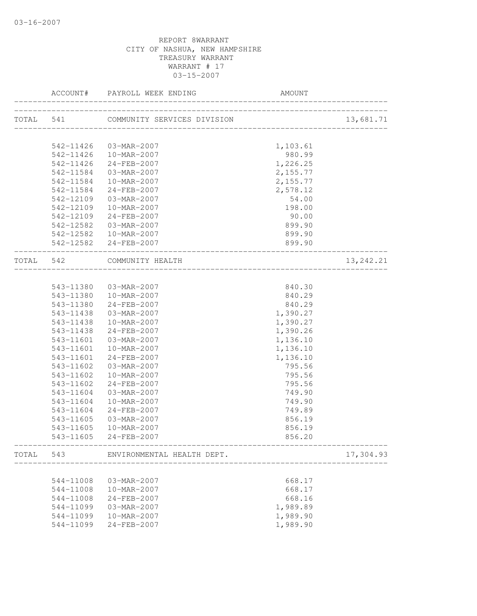|           |           | ACCOUNT# PAYROLL WEEK ENDING                 | AMOUNT                                                       |           |
|-----------|-----------|----------------------------------------------|--------------------------------------------------------------|-----------|
| TOTAL 541 |           | COMMUNITY SERVICES DIVISION                  | ______________________________<br>__________________________ | 13,681.71 |
|           |           |                                              |                                                              |           |
|           | 542-11426 | 03-MAR-2007                                  | 1,103.61                                                     |           |
|           | 542-11426 | 10-MAR-2007                                  | 980.99                                                       |           |
|           | 542-11426 | 24-FEB-2007                                  | 1,226.25                                                     |           |
|           | 542-11584 | 03-MAR-2007                                  | 2,155.77                                                     |           |
|           | 542-11584 | 10-MAR-2007                                  | 2,155.77                                                     |           |
|           | 542-11584 | 24-FEB-2007                                  | 2,578.12                                                     |           |
|           | 542-12109 | 03-MAR-2007                                  | 54.00                                                        |           |
|           | 542-12109 | 10-MAR-2007                                  | 198.00                                                       |           |
|           | 542-12109 | 24-FEB-2007                                  | 90.00                                                        |           |
|           | 542-12582 | 03-MAR-2007                                  | 899.90                                                       |           |
|           |           | 542-12582  10-MAR-2007                       | 899.90                                                       |           |
|           |           | 542-12582 24-FEB-2007                        | 899.90                                                       |           |
| TOTAL 542 |           | COMMUNITY HEALTH<br>________________________ |                                                              | 13,242.21 |
|           |           |                                              |                                                              |           |
|           | 543-11380 | 03-MAR-2007                                  | 840.30                                                       |           |
|           |           | 543-11380  10-MAR-2007                       | 840.29                                                       |           |
|           | 543-11380 | 24-FEB-2007                                  | 840.29                                                       |           |
|           | 543-11438 | 03-MAR-2007                                  | 1,390.27                                                     |           |
|           | 543-11438 | 10-MAR-2007                                  | 1,390.27                                                     |           |
|           | 543-11438 | 24-FEB-2007                                  | 1,390.26                                                     |           |
|           | 543-11601 | 03-MAR-2007                                  | 1,136.10                                                     |           |
|           | 543-11601 | 10-MAR-2007                                  | 1,136.10                                                     |           |
|           | 543-11601 | 24-FEB-2007                                  | 1,136.10                                                     |           |
|           | 543-11602 | 03-MAR-2007                                  | 795.56                                                       |           |
|           | 543-11602 | 10-MAR-2007                                  | 795.56                                                       |           |
|           | 543-11602 | 24-FEB-2007                                  | 795.56                                                       |           |
|           | 543-11604 | 03-MAR-2007                                  | 749.90                                                       |           |
|           | 543-11604 | 10-MAR-2007                                  | 749.90                                                       |           |
|           | 543-11604 | $24 - FEB - 2007$                            | 749.89                                                       |           |
|           | 543-11605 | 03-MAR-2007                                  | 856.19                                                       |           |
|           | 543-11605 | 10-MAR-2007                                  | 856.19                                                       |           |
|           | 543-11605 | 24-FEB-2007                                  | 856.20                                                       |           |
|           |           | TOTAL 543 ENVIRONMENTAL HEALTH DEPT.         |                                                              | 17,304.93 |
|           |           |                                              |                                                              |           |
|           | 544-11008 | 03-MAR-2007                                  | 668.17                                                       |           |
|           | 544-11008 | 10-MAR-2007                                  | 668.17                                                       |           |
|           | 544-11008 | 24-FEB-2007                                  | 668.16                                                       |           |
|           | 544-11099 | 03-MAR-2007                                  | 1,989.89                                                     |           |
|           | 544-11099 | 10-MAR-2007                                  | 1,989.90                                                     |           |
|           | 544-11099 | 24-FEB-2007                                  | 1,989.90                                                     |           |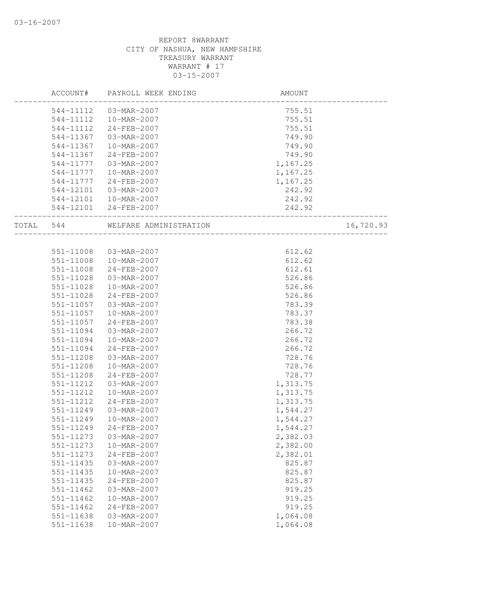|           | ACCOUNT#  | PAYROLL WEEK ENDING                            | AMOUNT   |           |
|-----------|-----------|------------------------------------------------|----------|-----------|
|           | 544-11112 | 03-MAR-2007                                    | 755.51   |           |
|           | 544-11112 | 10-MAR-2007                                    | 755.51   |           |
|           | 544-11112 | 24-FEB-2007                                    | 755.51   |           |
|           | 544-11367 | 03-MAR-2007                                    | 749.90   |           |
|           | 544-11367 | 10-MAR-2007                                    | 749.90   |           |
|           | 544-11367 | 24-FEB-2007                                    | 749.90   |           |
|           | 544-11777 | 03-MAR-2007                                    | 1,167.25 |           |
|           | 544-11777 | 10-MAR-2007                                    | 1,167.25 |           |
|           | 544-11777 | 24-FEB-2007                                    | 1,167.25 |           |
|           | 544-12101 | 03-MAR-2007                                    | 242.92   |           |
|           |           | 544-12101  10-MAR-2007                         | 242.92   |           |
|           |           | 544-12101 24-FEB-2007                          | 242.92   |           |
| TOTAL 544 |           | WELFARE ADMINISTRATION<br>____________________ |          | 16,720.93 |
|           |           |                                                |          |           |
|           | 551-11008 | 03-MAR-2007                                    | 612.62   |           |
|           | 551-11008 | 10-MAR-2007                                    | 612.62   |           |
|           | 551-11008 | 24-FEB-2007                                    | 612.61   |           |
|           | 551-11028 | 03-MAR-2007                                    | 526.86   |           |
|           | 551-11028 | 10-MAR-2007                                    | 526.86   |           |
|           | 551-11028 | 24-FEB-2007                                    | 526.86   |           |
|           | 551-11057 | 03-MAR-2007                                    | 783.39   |           |
|           | 551-11057 | 10-MAR-2007                                    | 783.37   |           |
|           | 551-11057 | 24-FEB-2007                                    | 783.38   |           |
|           | 551-11094 | 03-MAR-2007                                    | 266.72   |           |
|           | 551-11094 | 10-MAR-2007                                    | 266.72   |           |
|           | 551-11094 | 24-FEB-2007                                    | 266.72   |           |
|           | 551-11208 | 03-MAR-2007                                    | 728.76   |           |
|           | 551-11208 | 10-MAR-2007                                    | 728.76   |           |
|           | 551-11208 | 24-FEB-2007                                    | 728.77   |           |
|           | 551-11212 | 03-MAR-2007                                    | 1,313.75 |           |
|           | 551-11212 | 10-MAR-2007                                    | 1,313.75 |           |
|           | 551-11212 | $24 - FEB - 2007$                              | 1,313.75 |           |
|           | 551-11249 | 03-MAR-2007                                    | 1,544.27 |           |
|           | 551-11249 | 10-MAR-2007                                    | 1,544.27 |           |
|           | 551-11249 | 24-FEB-2007                                    | 1,544.27 |           |
|           | 551-11273 | 03-MAR-2007                                    | 2,382.03 |           |
|           | 551-11273 | 10-MAR-2007                                    | 2,382.00 |           |
|           | 551-11273 | 24-FEB-2007                                    | 2,382.01 |           |
|           | 551-11435 | 03-MAR-2007                                    | 825.87   |           |
|           | 551-11435 | 10-MAR-2007                                    | 825.87   |           |
|           | 551-11435 | 24-FEB-2007                                    | 825.87   |           |
|           | 551-11462 | 03-MAR-2007                                    | 919.25   |           |
|           | 551-11462 | 10-MAR-2007                                    | 919.25   |           |
|           | 551-11462 | 24-FEB-2007                                    | 919.25   |           |
|           | 551-11638 | 03-MAR-2007                                    | 1,064.08 |           |
|           | 551-11638 | 10-MAR-2007                                    | 1,064.08 |           |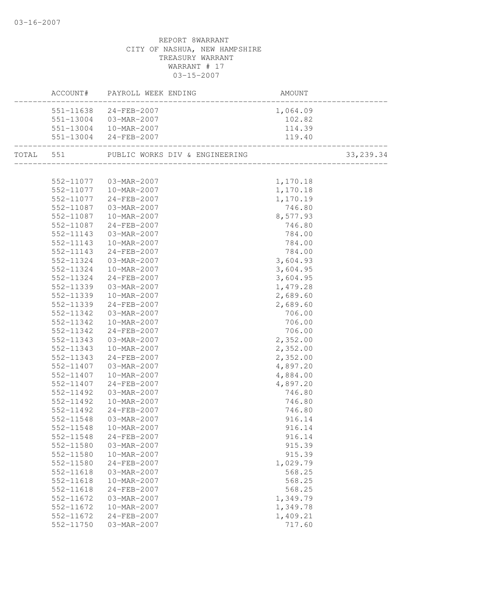| 551-11638 24-FEB-2007<br>1,064.09<br>551-13004 03-MAR-2007<br>102.82<br>551-13004  10-MAR-2007<br>114.39<br>551-13004 24-FEB-2007<br>119.40<br>TOTAL 551 PUBLIC WORKS DIV & ENGINEERING<br>33, 239.34<br>552-11077  03-MAR-2007<br>1,170.18<br>1,170.18<br>552-11077 10-MAR-2007<br>552-11077 24-FEB-2007<br>1,170.19<br>552-11077<br>24-FEB-2007<br>$03 - MAR - 2007$<br>746.80<br>552-11087<br>$10 - MAR - 2007$<br>552-11087<br>8,577.93<br>552-11087 24-FEB-2007<br>746.80<br>552-11143  03-MAR-2007<br>784.00<br>552-11143<br>10-MAR-2007<br>784.00<br>784.00<br>552-11143<br>24-FEB-2007<br>3,604.93<br>552-11324<br>03-MAR-2007<br>3,604.95<br>552-11324<br>10-MAR-2007<br>3,604.95<br>552-11324<br>24-FEB-2007<br>552-11339<br>$03 - \text{MAR} - 2007$<br>1,479.28<br>2,689.60<br>552-11339<br>10-MAR-2007<br>2,689.60<br>552-11339 24-FEB-2007<br>552-11342<br>03-MAR-2007<br>706.00<br>552-11342<br>10-MAR-2007<br>706.00<br>552-11342<br>24-FEB-2007<br>706.00<br>2,352.00<br>552-11343<br>03-MAR-2007<br>2,352.00<br>552-11343<br>10-MAR-2007<br>2,352.00<br>552-11343<br>24-FEB-2007<br>03-MAR-2007<br>4,897.20<br>552-11407<br>10-MAR-2007<br>4,884.00<br>552-11407<br>552-11407<br>24-FEB-2007<br>4,897.20<br>552-11492<br>746.80<br>03-MAR-2007<br>552-11492<br>10-MAR-2007<br>746.80<br>552-11492<br>24-FEB-2007<br>746.80<br>552-11548<br>916.14<br>03-MAR-2007 |
|------------------------------------------------------------------------------------------------------------------------------------------------------------------------------------------------------------------------------------------------------------------------------------------------------------------------------------------------------------------------------------------------------------------------------------------------------------------------------------------------------------------------------------------------------------------------------------------------------------------------------------------------------------------------------------------------------------------------------------------------------------------------------------------------------------------------------------------------------------------------------------------------------------------------------------------------------------------------------------------------------------------------------------------------------------------------------------------------------------------------------------------------------------------------------------------------------------------------------------------------------------------------------------------------------------------------------------------------------------------------------------|
|                                                                                                                                                                                                                                                                                                                                                                                                                                                                                                                                                                                                                                                                                                                                                                                                                                                                                                                                                                                                                                                                                                                                                                                                                                                                                                                                                                                    |
|                                                                                                                                                                                                                                                                                                                                                                                                                                                                                                                                                                                                                                                                                                                                                                                                                                                                                                                                                                                                                                                                                                                                                                                                                                                                                                                                                                                    |
|                                                                                                                                                                                                                                                                                                                                                                                                                                                                                                                                                                                                                                                                                                                                                                                                                                                                                                                                                                                                                                                                                                                                                                                                                                                                                                                                                                                    |
|                                                                                                                                                                                                                                                                                                                                                                                                                                                                                                                                                                                                                                                                                                                                                                                                                                                                                                                                                                                                                                                                                                                                                                                                                                                                                                                                                                                    |
|                                                                                                                                                                                                                                                                                                                                                                                                                                                                                                                                                                                                                                                                                                                                                                                                                                                                                                                                                                                                                                                                                                                                                                                                                                                                                                                                                                                    |
|                                                                                                                                                                                                                                                                                                                                                                                                                                                                                                                                                                                                                                                                                                                                                                                                                                                                                                                                                                                                                                                                                                                                                                                                                                                                                                                                                                                    |
|                                                                                                                                                                                                                                                                                                                                                                                                                                                                                                                                                                                                                                                                                                                                                                                                                                                                                                                                                                                                                                                                                                                                                                                                                                                                                                                                                                                    |
|                                                                                                                                                                                                                                                                                                                                                                                                                                                                                                                                                                                                                                                                                                                                                                                                                                                                                                                                                                                                                                                                                                                                                                                                                                                                                                                                                                                    |
|                                                                                                                                                                                                                                                                                                                                                                                                                                                                                                                                                                                                                                                                                                                                                                                                                                                                                                                                                                                                                                                                                                                                                                                                                                                                                                                                                                                    |
|                                                                                                                                                                                                                                                                                                                                                                                                                                                                                                                                                                                                                                                                                                                                                                                                                                                                                                                                                                                                                                                                                                                                                                                                                                                                                                                                                                                    |
|                                                                                                                                                                                                                                                                                                                                                                                                                                                                                                                                                                                                                                                                                                                                                                                                                                                                                                                                                                                                                                                                                                                                                                                                                                                                                                                                                                                    |
|                                                                                                                                                                                                                                                                                                                                                                                                                                                                                                                                                                                                                                                                                                                                                                                                                                                                                                                                                                                                                                                                                                                                                                                                                                                                                                                                                                                    |
|                                                                                                                                                                                                                                                                                                                                                                                                                                                                                                                                                                                                                                                                                                                                                                                                                                                                                                                                                                                                                                                                                                                                                                                                                                                                                                                                                                                    |
|                                                                                                                                                                                                                                                                                                                                                                                                                                                                                                                                                                                                                                                                                                                                                                                                                                                                                                                                                                                                                                                                                                                                                                                                                                                                                                                                                                                    |
|                                                                                                                                                                                                                                                                                                                                                                                                                                                                                                                                                                                                                                                                                                                                                                                                                                                                                                                                                                                                                                                                                                                                                                                                                                                                                                                                                                                    |
|                                                                                                                                                                                                                                                                                                                                                                                                                                                                                                                                                                                                                                                                                                                                                                                                                                                                                                                                                                                                                                                                                                                                                                                                                                                                                                                                                                                    |
|                                                                                                                                                                                                                                                                                                                                                                                                                                                                                                                                                                                                                                                                                                                                                                                                                                                                                                                                                                                                                                                                                                                                                                                                                                                                                                                                                                                    |
|                                                                                                                                                                                                                                                                                                                                                                                                                                                                                                                                                                                                                                                                                                                                                                                                                                                                                                                                                                                                                                                                                                                                                                                                                                                                                                                                                                                    |
|                                                                                                                                                                                                                                                                                                                                                                                                                                                                                                                                                                                                                                                                                                                                                                                                                                                                                                                                                                                                                                                                                                                                                                                                                                                                                                                                                                                    |
|                                                                                                                                                                                                                                                                                                                                                                                                                                                                                                                                                                                                                                                                                                                                                                                                                                                                                                                                                                                                                                                                                                                                                                                                                                                                                                                                                                                    |
|                                                                                                                                                                                                                                                                                                                                                                                                                                                                                                                                                                                                                                                                                                                                                                                                                                                                                                                                                                                                                                                                                                                                                                                                                                                                                                                                                                                    |
|                                                                                                                                                                                                                                                                                                                                                                                                                                                                                                                                                                                                                                                                                                                                                                                                                                                                                                                                                                                                                                                                                                                                                                                                                                                                                                                                                                                    |
|                                                                                                                                                                                                                                                                                                                                                                                                                                                                                                                                                                                                                                                                                                                                                                                                                                                                                                                                                                                                                                                                                                                                                                                                                                                                                                                                                                                    |
|                                                                                                                                                                                                                                                                                                                                                                                                                                                                                                                                                                                                                                                                                                                                                                                                                                                                                                                                                                                                                                                                                                                                                                                                                                                                                                                                                                                    |
|                                                                                                                                                                                                                                                                                                                                                                                                                                                                                                                                                                                                                                                                                                                                                                                                                                                                                                                                                                                                                                                                                                                                                                                                                                                                                                                                                                                    |
|                                                                                                                                                                                                                                                                                                                                                                                                                                                                                                                                                                                                                                                                                                                                                                                                                                                                                                                                                                                                                                                                                                                                                                                                                                                                                                                                                                                    |
|                                                                                                                                                                                                                                                                                                                                                                                                                                                                                                                                                                                                                                                                                                                                                                                                                                                                                                                                                                                                                                                                                                                                                                                                                                                                                                                                                                                    |
|                                                                                                                                                                                                                                                                                                                                                                                                                                                                                                                                                                                                                                                                                                                                                                                                                                                                                                                                                                                                                                                                                                                                                                                                                                                                                                                                                                                    |
|                                                                                                                                                                                                                                                                                                                                                                                                                                                                                                                                                                                                                                                                                                                                                                                                                                                                                                                                                                                                                                                                                                                                                                                                                                                                                                                                                                                    |
|                                                                                                                                                                                                                                                                                                                                                                                                                                                                                                                                                                                                                                                                                                                                                                                                                                                                                                                                                                                                                                                                                                                                                                                                                                                                                                                                                                                    |
|                                                                                                                                                                                                                                                                                                                                                                                                                                                                                                                                                                                                                                                                                                                                                                                                                                                                                                                                                                                                                                                                                                                                                                                                                                                                                                                                                                                    |
|                                                                                                                                                                                                                                                                                                                                                                                                                                                                                                                                                                                                                                                                                                                                                                                                                                                                                                                                                                                                                                                                                                                                                                                                                                                                                                                                                                                    |
|                                                                                                                                                                                                                                                                                                                                                                                                                                                                                                                                                                                                                                                                                                                                                                                                                                                                                                                                                                                                                                                                                                                                                                                                                                                                                                                                                                                    |
|                                                                                                                                                                                                                                                                                                                                                                                                                                                                                                                                                                                                                                                                                                                                                                                                                                                                                                                                                                                                                                                                                                                                                                                                                                                                                                                                                                                    |
| 552-11548<br>10-MAR-2007<br>916.14                                                                                                                                                                                                                                                                                                                                                                                                                                                                                                                                                                                                                                                                                                                                                                                                                                                                                                                                                                                                                                                                                                                                                                                                                                                                                                                                                 |
| 24-FEB-2007<br>552-11548<br>916.14                                                                                                                                                                                                                                                                                                                                                                                                                                                                                                                                                                                                                                                                                                                                                                                                                                                                                                                                                                                                                                                                                                                                                                                                                                                                                                                                                 |
| 552-11580<br>03-MAR-2007<br>915.39                                                                                                                                                                                                                                                                                                                                                                                                                                                                                                                                                                                                                                                                                                                                                                                                                                                                                                                                                                                                                                                                                                                                                                                                                                                                                                                                                 |
| 552-11580<br>10-MAR-2007<br>915.39                                                                                                                                                                                                                                                                                                                                                                                                                                                                                                                                                                                                                                                                                                                                                                                                                                                                                                                                                                                                                                                                                                                                                                                                                                                                                                                                                 |
| 24-FEB-2007<br>1,029.79<br>552-11580                                                                                                                                                                                                                                                                                                                                                                                                                                                                                                                                                                                                                                                                                                                                                                                                                                                                                                                                                                                                                                                                                                                                                                                                                                                                                                                                               |
| 552-11618<br>03-MAR-2007<br>568.25                                                                                                                                                                                                                                                                                                                                                                                                                                                                                                                                                                                                                                                                                                                                                                                                                                                                                                                                                                                                                                                                                                                                                                                                                                                                                                                                                 |
| 552-11618<br>10-MAR-2007<br>568.25                                                                                                                                                                                                                                                                                                                                                                                                                                                                                                                                                                                                                                                                                                                                                                                                                                                                                                                                                                                                                                                                                                                                                                                                                                                                                                                                                 |
| 552-11618<br>24-FEB-2007<br>568.25                                                                                                                                                                                                                                                                                                                                                                                                                                                                                                                                                                                                                                                                                                                                                                                                                                                                                                                                                                                                                                                                                                                                                                                                                                                                                                                                                 |
| 552-11672<br>03-MAR-2007<br>1,349.79                                                                                                                                                                                                                                                                                                                                                                                                                                                                                                                                                                                                                                                                                                                                                                                                                                                                                                                                                                                                                                                                                                                                                                                                                                                                                                                                               |
| 552-11672<br>10-MAR-2007<br>1,349.78                                                                                                                                                                                                                                                                                                                                                                                                                                                                                                                                                                                                                                                                                                                                                                                                                                                                                                                                                                                                                                                                                                                                                                                                                                                                                                                                               |
| 552-11672<br>24-FEB-2007<br>1,409.21                                                                                                                                                                                                                                                                                                                                                                                                                                                                                                                                                                                                                                                                                                                                                                                                                                                                                                                                                                                                                                                                                                                                                                                                                                                                                                                                               |
| 717.60<br>552-11750<br>03-MAR-2007                                                                                                                                                                                                                                                                                                                                                                                                                                                                                                                                                                                                                                                                                                                                                                                                                                                                                                                                                                                                                                                                                                                                                                                                                                                                                                                                                 |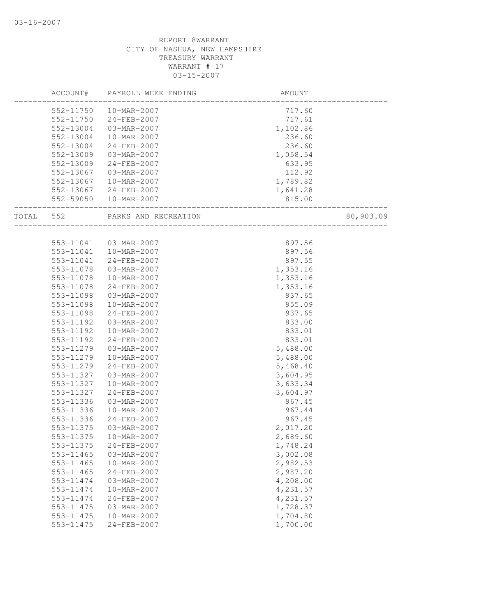|       | ACCOUNT#  | PAYROLL WEEK ENDING    | AMOUNT   |           |
|-------|-----------|------------------------|----------|-----------|
|       | 552-11750 | 10-MAR-2007            | 717.60   |           |
|       | 552-11750 | 24-FEB-2007            | 717.61   |           |
|       | 552-13004 | 03-MAR-2007            | 1,102.86 |           |
|       | 552-13004 | 10-MAR-2007            | 236.60   |           |
|       | 552-13004 | 24-FEB-2007            | 236.60   |           |
|       | 552-13009 | 03-MAR-2007            | 1,058.54 |           |
|       | 552-13009 | 24-FEB-2007            | 633.95   |           |
|       | 552-13067 | 03-MAR-2007            | 112.92   |           |
|       | 552-13067 | 10-MAR-2007            | 1,789.82 |           |
|       |           | 552-13067 24-FEB-2007  | 1,641.28 |           |
|       |           | 552-59050  10-MAR-2007 | 815.00   |           |
| TOTAL | 552       | PARKS AND RECREATION   |          | 80,903.09 |
|       |           |                        |          |           |
|       | 553-11041 | 03-MAR-2007            | 897.56   |           |
|       | 553-11041 | 10-MAR-2007            | 897.56   |           |
|       | 553-11041 | 24-FEB-2007            | 897.55   |           |
|       | 553-11078 | 03-MAR-2007            | 1,353.16 |           |
|       | 553-11078 | 10-MAR-2007            | 1,353.16 |           |
|       | 553-11078 | 24-FEB-2007            | 1,353.16 |           |
|       | 553-11098 | 03-MAR-2007            | 937.65   |           |
|       | 553-11098 | 10-MAR-2007            | 955.09   |           |
|       | 553-11098 | 24-FEB-2007            | 937.65   |           |
|       | 553-11192 | 03-MAR-2007            | 833.00   |           |
|       | 553-11192 | 10-MAR-2007            | 833.01   |           |
|       | 553-11192 | 24-FEB-2007            | 833.01   |           |
|       | 553-11279 | 03-MAR-2007            | 5,488.00 |           |
|       | 553-11279 | 10-MAR-2007            | 5,488.00 |           |
|       | 553-11279 | 24-FEB-2007            | 5,468.40 |           |
|       | 553-11327 | 03-MAR-2007            | 3,604.95 |           |
|       | 553-11327 | 10-MAR-2007            | 3,633.34 |           |
|       | 553-11327 | $24 - FEB - 2007$      | 3,604.97 |           |
|       | 553-11336 | 03-MAR-2007            | 967.45   |           |
|       | 553-11336 | 10-MAR-2007            | 967.44   |           |
|       | 553-11336 | 24-FEB-2007            | 967.45   |           |
|       | 553-11375 | 03-MAR-2007            | 2,017.20 |           |
|       | 553-11375 | 10-MAR-2007            | 2,689.60 |           |
|       | 553-11375 | 24-FEB-2007            | 1,748.24 |           |
|       | 553-11465 | 03-MAR-2007            | 3,002.08 |           |
|       | 553-11465 | 10-MAR-2007            | 2,982.53 |           |
|       | 553-11465 | 24-FEB-2007            | 2,987.20 |           |
|       | 553-11474 | 03-MAR-2007            | 4,208.00 |           |
|       | 553-11474 | 10-MAR-2007            | 4,231.57 |           |
|       | 553-11474 | 24-FEB-2007            | 4,231.57 |           |
|       | 553-11475 | 03-MAR-2007            | 1,728.37 |           |
|       | 553-11475 | 10-MAR-2007            | 1,704.80 |           |
|       | 553-11475 | 24-FEB-2007            | 1,700.00 |           |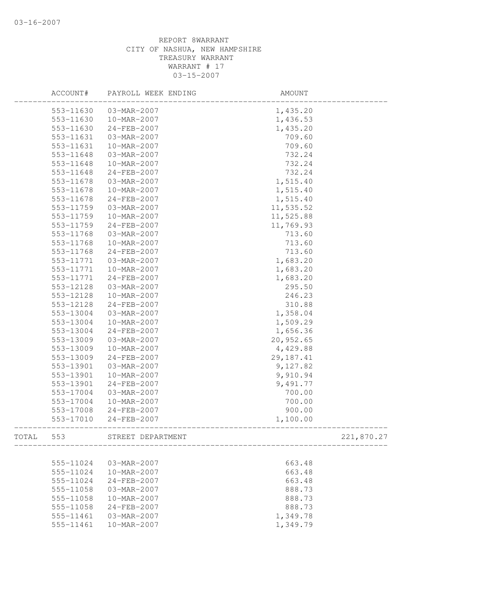|       | ACCOUNT#  | PAYROLL WEEK ENDING | AMOUNT     |            |
|-------|-----------|---------------------|------------|------------|
|       | 553-11630 | 03-MAR-2007         | 1,435.20   |            |
|       | 553-11630 | 10-MAR-2007         | 1,436.53   |            |
|       | 553-11630 | 24-FEB-2007         | 1,435.20   |            |
|       | 553-11631 | 03-MAR-2007         | 709.60     |            |
|       | 553-11631 | 10-MAR-2007         | 709.60     |            |
|       | 553-11648 | 03-MAR-2007         | 732.24     |            |
|       | 553-11648 | 10-MAR-2007         | 732.24     |            |
|       | 553-11648 | $24 - FEB - 2007$   | 732.24     |            |
|       | 553-11678 | 03-MAR-2007         | 1,515.40   |            |
|       | 553-11678 | 10-MAR-2007         | 1,515.40   |            |
|       | 553-11678 | 24-FEB-2007         | 1,515.40   |            |
|       | 553-11759 | 03-MAR-2007         | 11,535.52  |            |
|       | 553-11759 | 10-MAR-2007         | 11,525.88  |            |
|       | 553-11759 | 24-FEB-2007         | 11,769.93  |            |
|       | 553-11768 | 03-MAR-2007         | 713.60     |            |
|       | 553-11768 | 10-MAR-2007         | 713.60     |            |
|       | 553-11768 | 24-FEB-2007         | 713.60     |            |
|       | 553-11771 | 03-MAR-2007         | 1,683.20   |            |
|       | 553-11771 | 10-MAR-2007         | 1,683.20   |            |
|       | 553-11771 | 24-FEB-2007         | 1,683.20   |            |
|       | 553-12128 | 03-MAR-2007         | 295.50     |            |
|       | 553-12128 | 10-MAR-2007         | 246.23     |            |
|       | 553-12128 | 24-FEB-2007         | 310.88     |            |
|       | 553-13004 | 03-MAR-2007         | 1,358.04   |            |
|       | 553-13004 | 10-MAR-2007         | 1,509.29   |            |
|       | 553-13004 | 24-FEB-2007         | 1,656.36   |            |
|       | 553-13009 | 03-MAR-2007         | 20,952.65  |            |
|       | 553-13009 | 10-MAR-2007         | 4,429.88   |            |
|       | 553-13009 | 24-FEB-2007         | 29, 187.41 |            |
|       | 553-13901 | 03-MAR-2007         | 9,127.82   |            |
|       | 553-13901 | 10-MAR-2007         | 9,910.94   |            |
|       | 553-13901 | 24-FEB-2007         | 9,491.77   |            |
|       | 553-17004 | 03-MAR-2007         | 700.00     |            |
|       | 553-17004 | 10-MAR-2007         | 700.00     |            |
|       | 553-17008 | 24-FEB-2007         | 900.00     |            |
|       | 553-17010 | 24-FEB-2007         | 1,100.00   |            |
| TOTAL | 553       | STREET DEPARTMENT   |            | 221,870.27 |
|       |           |                     |            |            |
|       | 555-11024 | 03-MAR-2007         | 663.48     |            |
|       | 555-11024 | 10-MAR-2007         | 663.48     |            |
|       | 555-11024 | 24-FEB-2007         | 663.48     |            |
|       | 555-11058 | 03-MAR-2007         | 888.73     |            |
|       | 555-11058 | 10-MAR-2007         | 888.73     |            |
|       | 555-11058 | 24-FEB-2007         | 888.73     |            |
|       | 555-11461 | 03-MAR-2007         | 1,349.78   |            |
|       | 555-11461 | 10-MAR-2007         | 1,349.79   |            |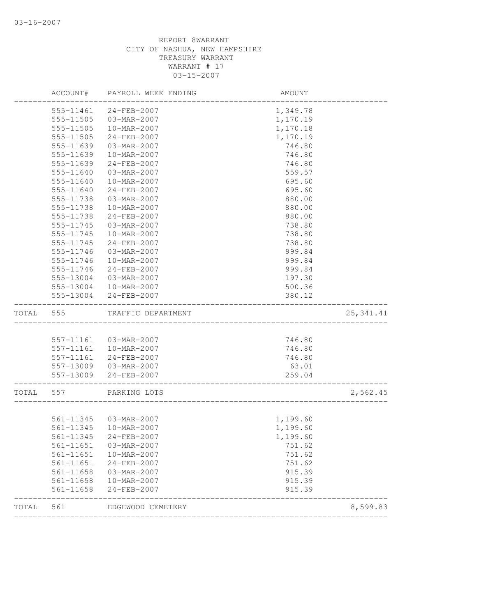|       | ACCOUNT#      | PAYROLL WEEK ENDING                   | AMOUNT           |            |
|-------|---------------|---------------------------------------|------------------|------------|
|       | 555-11461     | 24-FEB-2007                           | 1,349.78         |            |
|       | 555-11505     | 03-MAR-2007                           | 1,170.19         |            |
|       | 555-11505     | 10-MAR-2007                           | 1,170.18         |            |
|       | 555-11505     | 24-FEB-2007                           | 1,170.19         |            |
|       | 555-11639     | 03-MAR-2007                           | 746.80           |            |
|       | 555-11639     | 10-MAR-2007                           | 746.80           |            |
|       | 555-11639     | 24-FEB-2007                           | 746.80           |            |
|       | 555-11640     | 03-MAR-2007                           | 559.57           |            |
|       | 555-11640     | 10-MAR-2007                           | 695.60           |            |
|       | 555-11640     | 24-FEB-2007                           | 695.60           |            |
|       | 555-11738     | 03-MAR-2007                           | 880.00           |            |
|       | 555-11738     | 10-MAR-2007                           | 880.00           |            |
|       | 555-11738     | 24-FEB-2007                           | 880.00           |            |
|       | 555-11745     | 03-MAR-2007                           | 738.80           |            |
|       | 555-11745     | 10-MAR-2007                           | 738.80           |            |
|       | 555-11745     | 24-FEB-2007                           | 738.80           |            |
|       | 555-11746     | 03-MAR-2007                           | 999.84           |            |
|       | 555-11746     | 10-MAR-2007                           | 999.84           |            |
|       | 555-11746     | $24 - FEB - 2007$                     | 999.84           |            |
|       | 555-13004     | 03-MAR-2007                           | 197.30           |            |
|       | 555-13004     | 10-MAR-2007                           | 500.36           |            |
|       | 555-13004     | 24-FEB-2007                           | 380.12           |            |
| TOTAL | 555           | TRAFFIC DEPARTMENT                    |                  | 25, 341.41 |
|       |               |                                       |                  |            |
|       | 557-11161     | 03-MAR-2007                           | 746.80           |            |
|       | 557-11161     | 10-MAR-2007                           | 746.80           |            |
|       | 557-11161     | 24-FEB-2007                           | 746.80           |            |
|       |               | 557-13009 03-MAR-2007                 | 63.01            |            |
|       | 557-13009     | 24-FEB-2007                           | 259.04           |            |
| TOTAL | 557           | PARKING LOTS                          |                  | 2,562.45   |
|       |               |                                       |                  |            |
|       |               | 561-11345  03-MAR-2007<br>10-MAR-2007 | 1,199.60         |            |
|       | 561-11345     |                                       | 1,199.60         |            |
|       | 561-11345     | 24-FEB-2007                           | 1,199.60         |            |
|       | 561-11651     | 03-MAR-2007                           | 751.62<br>751.62 |            |
|       | $561 - 11651$ | 10-MAR-2007                           |                  |            |
|       | 561-11651     | 24-FEB-2007                           | 751.62           |            |
|       | 561-11658     | 03-MAR-2007                           | 915.39           |            |
|       | 561-11658     | 10-MAR-2007                           | 915.39           |            |
|       | 561-11658     | 24-FEB-2007                           | 915.39           |            |
| TOTAL | 561           | EDGEWOOD CEMETERY                     |                  | 8,599.83   |
|       |               |                                       |                  |            |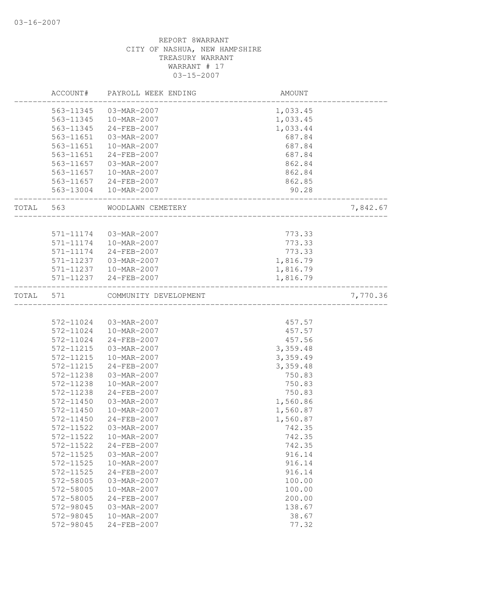|       | ACCOUNT#               | PAYROLL WEEK ENDING      | AMOUNT           |          |
|-------|------------------------|--------------------------|------------------|----------|
|       | 563-11345              | 03-MAR-2007              | 1,033.45         |          |
|       | 563-11345              | 10-MAR-2007              | 1,033.45         |          |
|       | 563-11345              | 24-FEB-2007              | 1,033.44         |          |
|       | 563-11651              | 03-MAR-2007              | 687.84           |          |
|       | 563-11651              | $10 - \text{MAR} - 2007$ | 687.84           |          |
|       | 563-11651              | 24-FEB-2007              | 687.84           |          |
|       | 563-11657              | 03-MAR-2007              | 862.84           |          |
|       | 563-11657              | 10-MAR-2007              | 862.84           |          |
|       |                        | 563-11657 24-FEB-2007    | 862.85           |          |
|       |                        | 563-13004  10-MAR-2007   | 90.28            |          |
| TOTAL | 563                    | WOODLAWN CEMETERY        |                  | 7,842.67 |
|       |                        |                          |                  |          |
|       | 571-11174<br>571-11174 | 03-MAR-2007              | 773.33           |          |
|       |                        | 10-MAR-2007              | 773.33<br>773.33 |          |
|       | 571-11174              | 24-FEB-2007              |                  |          |
|       | 571-11237              | 03-MAR-2007              | 1,816.79         |          |
|       |                        | 571-11237  10-MAR-2007   | 1,816.79         |          |
|       | 571-11237              | 24-FEB-2007              | 1,816.79         |          |
| TOTAL | 571                    | COMMUNITY DEVELOPMENT    |                  | 7,770.36 |
|       |                        |                          |                  |          |
|       | 572-11024              | 03-MAR-2007              | 457.57           |          |
|       | 572-11024              | 10-MAR-2007              | 457.57           |          |
|       | 572-11024              | 24-FEB-2007              | 457.56           |          |
|       | 572-11215              | 03-MAR-2007              | 3,359.48         |          |
|       | 572-11215              | 10-MAR-2007              | 3,359.49         |          |
|       | 572-11215              | 24-FEB-2007              | 3,359.48         |          |
|       | 572-11238              | 03-MAR-2007              | 750.83           |          |
|       | 572-11238              | 10-MAR-2007              | 750.83           |          |
|       | 572-11238              | 24-FEB-2007              | 750.83           |          |
|       | 572-11450              | 03-MAR-2007              | 1,560.86         |          |
|       | 572-11450              | 10-MAR-2007              | 1,560.87         |          |
|       | 572-11450              | $24 - FEB - 2007$        | 1,560.87         |          |
|       | 572-11522              | 03-MAR-2007              | 742.35           |          |
|       | 572-11522              | 10-MAR-2007              | 742.35           |          |
|       | 572-11522              | 24-FEB-2007              | 742.35           |          |
|       | 572-11525              | 03-MAR-2007              | 916.14           |          |
|       | 572-11525              | 10-MAR-2007              | 916.14           |          |
|       | 572-11525              | 24-FEB-2007              | 916.14           |          |
|       | 572-58005              | 03-MAR-2007              | 100.00           |          |
|       | 572-58005              | 10-MAR-2007              | 100.00           |          |
|       | 572-58005              | 24-FEB-2007              | 200.00           |          |
|       | 572-98045              | 03-MAR-2007              | 138.67           |          |
|       | 572-98045              | 10-MAR-2007              | 38.67            |          |
|       | 572-98045              | 24-FEB-2007              | 77.32            |          |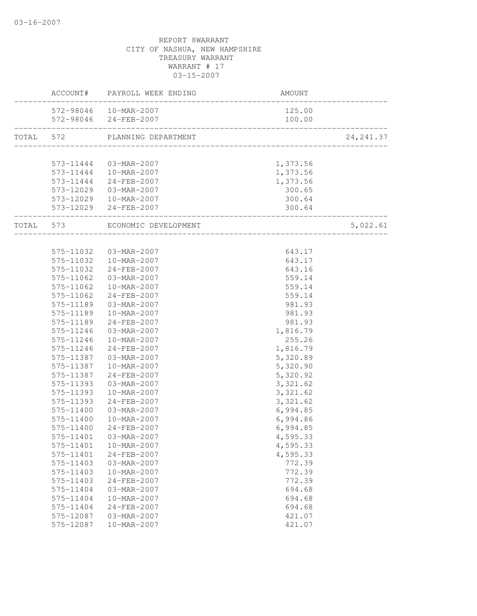|           |                           | ACCOUNT# PAYROLL WEEK ENDING                    | AMOUNT                   |            |
|-----------|---------------------------|-------------------------------------------------|--------------------------|------------|
|           |                           | 572-98046  10-MAR-2007<br>572-98046 24-FEB-2007 | 125.00<br>100.00         |            |
| TOTAL 572 |                           | PLANNING DEPARTMENT                             | ________________________ | 24, 241.37 |
|           |                           |                                                 |                          |            |
|           |                           | 573-11444  03-MAR-2007                          | 1,373.56                 |            |
|           |                           | 573-11444  10-MAR-2007                          | 1,373.56                 |            |
|           |                           | 573-11444 24-FEB-2007                           | 1,373.56                 |            |
|           |                           | 573-12029 03-MAR-2007                           | 300.65                   |            |
|           |                           | 573-12029  10-MAR-2007                          | 300.64                   |            |
|           |                           | 573-12029 24-FEB-2007                           | 300.64                   |            |
|           | _________________________ | TOTAL 573 ECONOMIC DEVELOPMENT                  | ________________________ | 5,022.61   |
|           |                           |                                                 | _____________________    |            |
|           |                           | 575-11032  03-MAR-2007                          | 643.17                   |            |
|           |                           | 575-11032  10-MAR-2007                          | 643.17                   |            |
|           |                           | 575-11032 24-FEB-2007                           | 643.16                   |            |
|           | 575-11062                 | 03-MAR-2007                                     | 559.14                   |            |
|           |                           | 575-11062  10-MAR-2007                          | 559.14                   |            |
|           | 575-11062                 | 24-FEB-2007                                     | 559.14                   |            |
|           | 575-11189                 | 03-MAR-2007                                     | 981.93                   |            |
|           | 575-11189                 | 10-MAR-2007                                     | 981.93                   |            |
|           | 575-11189                 | 24-FEB-2007                                     | 981.93                   |            |
|           | 575-11246                 | 03-MAR-2007                                     | 1,816.79                 |            |
|           | 575-11246                 | 10-MAR-2007                                     | 255.26                   |            |
|           | 575-11246                 | 24-FEB-2007                                     | 1,816.79                 |            |
|           | 575-11387                 | 03-MAR-2007                                     | 5,320.89                 |            |
|           | 575-11387                 | 10-MAR-2007                                     | 5,320.90                 |            |
|           | 575-11387                 | 24-FEB-2007                                     | 5,320.92                 |            |
|           | 575-11393                 | 03-MAR-2007                                     | 3,321.62                 |            |
|           | 575-11393                 | 10-MAR-2007                                     | 3,321.62                 |            |
|           | 575-11393                 | 24-FEB-2007                                     | 3,321.62                 |            |
|           | 575-11400                 | 03-MAR-2007                                     | 6,994.85                 |            |
|           | 575-11400                 | 10-MAR-2007                                     | 6,994.86                 |            |
|           | 575-11400                 | 24-FEB-2007                                     | 6,994.85                 |            |
|           | 575-11401                 | 03-MAR-2007                                     | 4,595.33                 |            |
|           | 575-11401                 | 10-MAR-2007                                     | 4,595.33                 |            |
|           | 575-11401                 | 24-FEB-2007                                     | 4,595.33                 |            |
|           | 575-11403                 | 03-MAR-2007                                     | 772.39                   |            |
|           | 575-11403                 | 10-MAR-2007                                     | 772.39                   |            |
|           | 575-11403                 | 24-FEB-2007                                     | 772.39                   |            |
|           | 575-11404                 | 03-MAR-2007                                     | 694.68                   |            |
|           | 575-11404                 | 10-MAR-2007                                     | 694.68                   |            |
|           | 575-11404                 | 24-FEB-2007                                     | 694.68                   |            |
|           | 575-12087                 | 03-MAR-2007                                     | 421.07                   |            |
|           | 575-12087                 | 10-MAR-2007                                     | 421.07                   |            |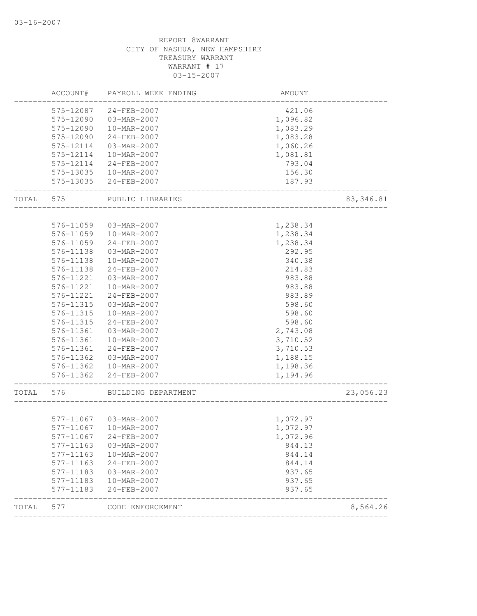|           | ACCOUNT#               | PAYROLL WEEK ENDING                  | AMOUNT           |           |
|-----------|------------------------|--------------------------------------|------------------|-----------|
|           | 575-12087              | 24-FEB-2007                          | 421.06           |           |
|           | 575-12090              | 03-MAR-2007                          | 1,096.82         |           |
|           | 575-12090              | 10-MAR-2007                          | 1,083.29         |           |
|           | 575-12090              | 24-FEB-2007                          | 1,083.28         |           |
|           | 575-12114              | 03-MAR-2007                          | 1,060.26         |           |
|           | 575-12114              | 10-MAR-2007                          | 1,081.81         |           |
|           | 575-12114              | 24-FEB-2007                          | 793.04           |           |
|           |                        | 575-13035  10-MAR-2007               | 156.30           |           |
|           |                        | 575-13035 24-FEB-2007                | 187.93           |           |
| TOTAL     | 575                    | PUBLIC LIBRARIES                     |                  | 83,346.81 |
|           |                        |                                      |                  |           |
|           | 576-11059              | 03-MAR-2007                          | 1,238.34         |           |
|           | 576-11059              | 10-MAR-2007                          | 1,238.34         |           |
|           | 576-11059              | 24-FEB-2007                          | 1,238.34         |           |
|           | 576-11138              | 03-MAR-2007                          | 292.95           |           |
|           | 576-11138              | 10-MAR-2007                          | 340.38           |           |
|           | 576-11138              | 24-FEB-2007                          | 214.83           |           |
|           | 576-11221              | 03-MAR-2007                          | 983.88           |           |
|           | 576-11221              | 10-MAR-2007                          | 983.88           |           |
|           | 576-11221              | 24-FEB-2007                          | 983.89           |           |
|           | 576-11315              | 03-MAR-2007                          | 598.60           |           |
|           | 576-11315              | 10-MAR-2007                          | 598.60           |           |
|           | 576-11315              | 24-FEB-2007                          | 598.60           |           |
|           | 576-11361              | 03-MAR-2007                          | 2,743.08         |           |
|           | 576-11361              | 10-MAR-2007                          | 3,710.52         |           |
|           | 576-11361              | 24-FEB-2007                          | 3,710.53         |           |
|           |                        | 576-11362 03-MAR-2007                | 1,188.15         |           |
|           |                        | 576-11362  10-MAR-2007               | 1,198.36         |           |
|           | 576-11362              | 24-FEB-2007                          | 1,194.96         |           |
| TOTAL 576 |                        | BUILDING DEPARTMENT                  |                  | 23,056.23 |
|           |                        |                                      |                  |           |
|           | 577-11067              | 577-11067 03-MAR-2007<br>10-MAR-2007 | 1,072.97         |           |
|           |                        |                                      | 1,072.97         |           |
|           | 577-11067              | 24-FEB-2007                          | 1,072.96         |           |
|           | 577-11163              | 03-MAR-2007                          | 844.13           |           |
|           | 577-11163              | 10-MAR-2007                          | 844.14           |           |
|           | 577-11163              | 24-FEB-2007                          | 844.14           |           |
|           | 577-11183              | 03-MAR-2007                          | 937.65           |           |
|           | 577-11183<br>577-11183 | 10-MAR-2007<br>$24 - FEB - 2007$     | 937.65<br>937.65 |           |
|           |                        |                                      |                  |           |
| TOTAL     | 577                    | CODE ENFORCEMENT                     |                  | 8,564.26  |
|           |                        |                                      |                  |           |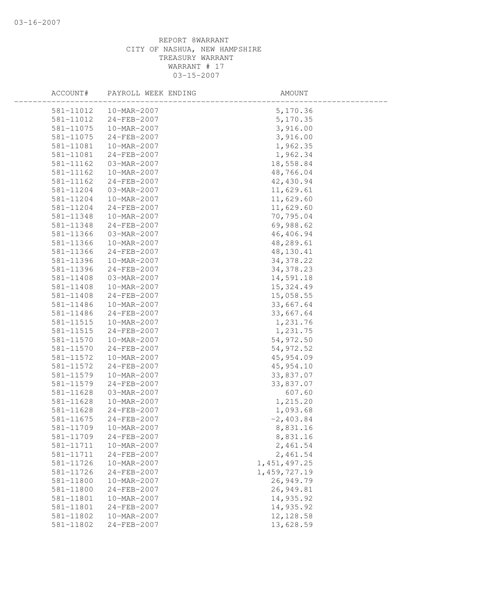| ACCOUNT#      | PAYROLL WEEK ENDING | AMOUNT         |
|---------------|---------------------|----------------|
| 581-11012     | 10-MAR-2007         | 5,170.36       |
| 581-11012     | 24-FEB-2007         | 5,170.35       |
| 581-11075     | 10-MAR-2007         | 3,916.00       |
| 581-11075     | 24-FEB-2007         | 3,916.00       |
| 581-11081     | 10-MAR-2007         | 1,962.35       |
| 581-11081     | 24-FEB-2007         | 1,962.34       |
| 581-11162     | 03-MAR-2007         | 18,558.84      |
| 581-11162     | 10-MAR-2007         | 48,766.04      |
| 581-11162     | 24-FEB-2007         | 42,430.94      |
| 581-11204     | 03-MAR-2007         | 11,629.61      |
| 581-11204     | 10-MAR-2007         | 11,629.60      |
| 581-11204     | 24-FEB-2007         | 11,629.60      |
| 581-11348     | 10-MAR-2007         | 70,795.04      |
| 581-11348     | 24-FEB-2007         | 69,988.62      |
| 581-11366     | 03-MAR-2007         | 46,406.94      |
| 581-11366     | 10-MAR-2007         | 48,289.61      |
| 581-11366     | 24-FEB-2007         | 48, 130.41     |
| 581-11396     | 10-MAR-2007         | 34, 378.22     |
| 581-11396     | 24-FEB-2007         | 34, 378.23     |
| 581-11408     | 03-MAR-2007         | 14,591.18      |
| 581-11408     | 10-MAR-2007         | 15,324.49      |
| 581-11408     | 24-FEB-2007         | 15,058.55      |
| 581-11486     | 10-MAR-2007         | 33,667.64      |
| 581-11486     | $24 - FEB - 2007$   | 33,667.64      |
| 581-11515     | 10-MAR-2007         | 1,231.76       |
| 581-11515     | 24-FEB-2007         | 1,231.75       |
| 581-11570     | 10-MAR-2007         | 54,972.50      |
| 581-11570     | 24-FEB-2007         | 54,972.52      |
| 581-11572     | 10-MAR-2007         | 45,954.09      |
| 581-11572     | 24-FEB-2007         | 45,954.10      |
| 581-11579     | 10-MAR-2007         | 33,837.07      |
| 581-11579     | 24-FEB-2007         | 33,837.07      |
| 581-11628     | 03-MAR-2007         | 607.60         |
| $581 - 11628$ | 10-MAR-2007         | 1,215.20       |
| 581-11628     | 24-FEB-2007         | 1,093.68       |
| 581-11675     | 24-FEB-2007         | $-2,403.84$    |
| 581-11709     | 10-MAR-2007         | 8,831.16       |
| 581-11709     | 24-FEB-2007         | 8,831.16       |
| 581-11711     | 10-MAR-2007         | 2,461.54       |
| 581-11711     | 24-FEB-2007         | 2,461.54       |
| 581-11726     | 10-MAR-2007         | 1, 451, 497.25 |
| 581-11726     | 24-FEB-2007         | 1, 459, 727.19 |
| 581-11800     | 10-MAR-2007         | 26,949.79      |
| 581-11800     | 24-FEB-2007         | 26,949.81      |
| 581-11801     | 10-MAR-2007         | 14,935.92      |
| 581-11801     | 24-FEB-2007         | 14,935.92      |
| 581-11802     | 10-MAR-2007         | 12, 128.58     |
| 581-11802     | 24-FEB-2007         | 13,628.59      |
|               |                     |                |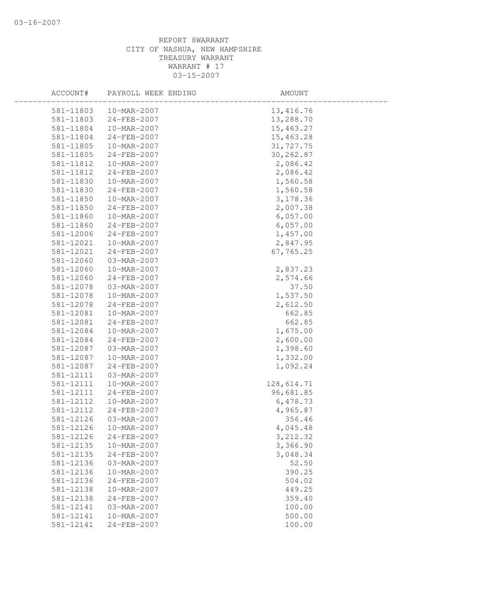| ACCOUNT#      | PAYROLL WEEK ENDING | AMOUNT     |  |
|---------------|---------------------|------------|--|
| 581-11803     | 10-MAR-2007         | 13,416.76  |  |
| 581-11803     | 24-FEB-2007         | 13,288.70  |  |
| 581-11804     | 10-MAR-2007         | 15,463.27  |  |
| 581-11804     | 24-FEB-2007         | 15,463.28  |  |
| 581-11805     | 10-MAR-2007         | 31,727.75  |  |
| 581-11805     | 24-FEB-2007         | 30,262.87  |  |
| 581-11812     | 10-MAR-2007         | 2,086.42   |  |
| 581-11812     | 24-FEB-2007         | 2,086.42   |  |
| 581-11830     | 10-MAR-2007         | 1,560.58   |  |
| 581-11830     | $24 - FEB - 2007$   | 1,560.58   |  |
| $581 - 11850$ | 10-MAR-2007         | 3, 178.36  |  |
| 581-11850     | 24-FEB-2007         | 2,007.38   |  |
| 581-11860     | 10-MAR-2007         | 6,057.00   |  |
| 581-11860     | 24-FEB-2007         | 6,057.00   |  |
| 581-12006     | 24-FEB-2007         | 1,457.00   |  |
| 581-12021     | 10-MAR-2007         | 2,847.95   |  |
| 581-12021     | 24-FEB-2007         | 67,765.25  |  |
| 581-12060     | 03-MAR-2007         |            |  |
| 581-12060     | 10-MAR-2007         | 2,837.23   |  |
| 581-12060     | $24 - FEB - 2007$   | 2,574.66   |  |
| 581-12078     | 03-MAR-2007         | 37.50      |  |
| 581-12078     | 10-MAR-2007         | 1,537.50   |  |
| 581-12078     | 24-FEB-2007         | 2,612.50   |  |
| 581-12081     | 10-MAR-2007         | 662.85     |  |
| 581-12081     | 24-FEB-2007         | 662.85     |  |
| 581-12084     | 10-MAR-2007         | 1,675.00   |  |
| 581-12084     | 24-FEB-2007         | 2,600.00   |  |
| 581-12087     | 03-MAR-2007         | 1,398.60   |  |
| 581-12087     | 10-MAR-2007         | 1,332.00   |  |
| 581-12087     | 24-FEB-2007         | 1,092.24   |  |
| 581-12111     | 03-MAR-2007         |            |  |
| 581-12111     | 10-MAR-2007         | 128,614.71 |  |
| 581-12111     | 24-FEB-2007         | 96,681.85  |  |
| 581-12112     | 10-MAR-2007         | 6,478.73   |  |
| 581-12112     | 24-FEB-2007         | 4,965.87   |  |
| 581-12126     | 03-MAR-2007         | 356.46     |  |
| 581-12126     | 10-MAR-2007         | 4,045.48   |  |
| 581-12126     | 24-FEB-2007         | 3, 212.32  |  |
| 581-12135     | 10-MAR-2007         | 3,366.90   |  |
| 581-12135     | $24 - FEB - 2007$   | 3,048.34   |  |
| 581-12136     | 03-MAR-2007         | 52.50      |  |
| $581 - 12136$ | 10-MAR-2007         | 390.25     |  |
| 581-12136     | 24-FEB-2007         | 504.02     |  |
| 581-12138     | 10-MAR-2007         | 449.25     |  |
| 581-12138     | $24 - FEB - 2007$   | 359.40     |  |
| 581-12141     | 03-MAR-2007         | 100.00     |  |
| 581-12141     | 10-MAR-2007         | 500.00     |  |
| 581-12141     | 24-FEB-2007         | 100.00     |  |
|               |                     |            |  |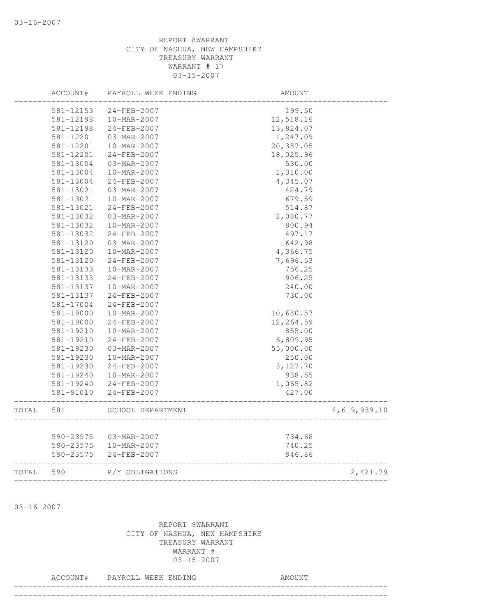|       | ACCOUNT#  | PAYROLL WEEK ENDING | <b>AMOUNT</b>                   |              |
|-------|-----------|---------------------|---------------------------------|--------------|
|       | 581-12153 | 24-FEB-2007         | 199.50                          |              |
|       | 581-12198 | 10-MAR-2007         | 12,518.16                       |              |
|       | 581-12198 | 24-FEB-2007         | 13,824.07                       |              |
|       | 581-12201 | 03-MAR-2007         | 1,247.09                        |              |
|       | 581-12201 | 10-MAR-2007         | 20,387.05                       |              |
|       | 581-12201 | 24-FEB-2007         | 18,025.96                       |              |
|       | 581-13004 | 03-MAR-2007         | 530.00                          |              |
|       | 581-13004 | 10-MAR-2007         | 1,310.00                        |              |
|       | 581-13004 | 24-FEB-2007         | 4,345.07                        |              |
|       | 581-13021 | 03-MAR-2007         | 424.79                          |              |
|       | 581-13021 | 10-MAR-2007         | 679.59                          |              |
|       | 581-13021 | 24-FEB-2007         | 514.87                          |              |
|       | 581-13032 | 03-MAR-2007         | 2,080.77                        |              |
|       | 581-13032 | 10-MAR-2007         | 800.94                          |              |
|       | 581-13032 | 24-FEB-2007         | 497.17                          |              |
|       | 581-13120 | 03-MAR-2007         | 642.98                          |              |
|       | 581-13120 | 10-MAR-2007         | 4,366.75                        |              |
|       | 581-13120 | 24-FEB-2007         | 7,696.53                        |              |
|       | 581-13133 | 10-MAR-2007         | 756.25                          |              |
|       | 581-13133 | 24-FEB-2007         | 906.25                          |              |
|       | 581-13137 | 10-MAR-2007         | 240.00                          |              |
|       | 581-13137 | 24-FEB-2007         | 730.00                          |              |
|       | 581-17004 | 24-FEB-2007         |                                 |              |
|       | 581-19000 | 10-MAR-2007         | 10,680.57                       |              |
|       | 581-19000 | 24-FEB-2007         | 12,264.59                       |              |
|       | 581-19210 | 10-MAR-2007         | 855.00                          |              |
|       | 581-19210 | 24-FEB-2007         | 6,809.95                        |              |
|       | 581-19230 | 03-MAR-2007         | 55,000.00                       |              |
|       | 581-19230 | 10-MAR-2007         | 250.00                          |              |
|       | 581-19230 | 24-FEB-2007         | 3,127.70                        |              |
|       | 581-19240 | 10-MAR-2007         | 938.55                          |              |
|       | 581-19240 | 24-FEB-2007         | 1,065.82                        |              |
|       | 581-91010 | 24-FEB-2007         | 427.00<br>_____________________ |              |
| TOTAL | 581       | SCHOOL DEPARTMENT   |                                 | 4,619,939.10 |
|       | 590-23575 | 03-MAR-2007         | 734.68                          |              |
|       | 590-23575 | 10-MAR-2007         | 740.25                          |              |
|       | 590-23575 | 24-FEB-2007         | 946.86                          |              |
| TOTAL | 590       | P/Y OBLIGATIONS     |                                 | 2,421.79     |
|       |           |                     |                                 |              |

03-16-2007

REPORT 9WARRANT CITY OF NASHUA, NEW HAMPSHIRE TREASURY WARRANT WARRANT # 03-15-2007

#### ACCOUNT# PAYROLL WEEK ENDING COUNT

--------------------------------------------------------------------------------

--------------------------------------------------------------------------------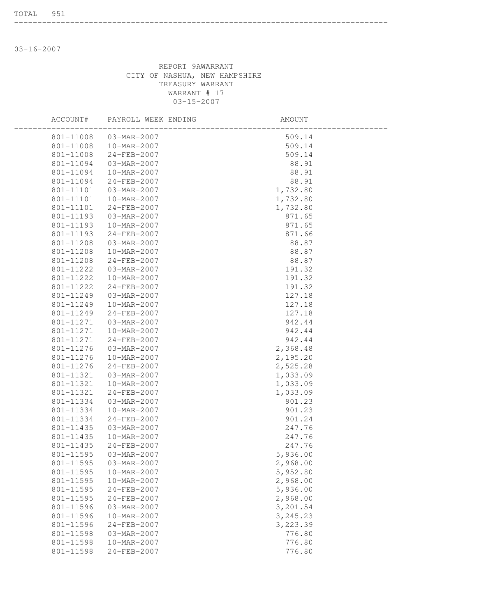03-16-2007

#### REPORT 9AWARRANT CITY OF NASHUA, NEW HAMPSHIRE TREASURY WARRANT WARRANT # 17 03-15-2007

--------------------------------------------------------------------------------

| ACCOUNT#  | PAYROLL WEEK ENDING | AMOUNT    |  |
|-----------|---------------------|-----------|--|
| 801-11008 | 03-MAR-2007         | 509.14    |  |
| 801-11008 | 10-MAR-2007         | 509.14    |  |
| 801-11008 | 24-FEB-2007         | 509.14    |  |
| 801-11094 | 03-MAR-2007         | 88.91     |  |
| 801-11094 | 10-MAR-2007         | 88.91     |  |
| 801-11094 | 24-FEB-2007         | 88.91     |  |
| 801-11101 | 03-MAR-2007         | 1,732.80  |  |
| 801-11101 | 10-MAR-2007         | 1,732.80  |  |
| 801-11101 | 24-FEB-2007         | 1,732.80  |  |
| 801-11193 | 03-MAR-2007         | 871.65    |  |
| 801-11193 | 10-MAR-2007         | 871.65    |  |
| 801-11193 | 24-FEB-2007         | 871.66    |  |
| 801-11208 | 03-MAR-2007         | 88.87     |  |
| 801-11208 | 10-MAR-2007         | 88.87     |  |
| 801-11208 | 24-FEB-2007         | 88.87     |  |
| 801-11222 | 03-MAR-2007         | 191.32    |  |
| 801-11222 | 10-MAR-2007         | 191.32    |  |
| 801-11222 | $24 - FEB - 2007$   | 191.32    |  |
| 801-11249 | 03-MAR-2007         | 127.18    |  |
| 801-11249 | 10-MAR-2007         | 127.18    |  |
| 801-11249 | 24-FEB-2007         | 127.18    |  |
| 801-11271 | 03-MAR-2007         | 942.44    |  |
| 801-11271 | 10-MAR-2007         | 942.44    |  |
| 801-11271 | 24-FEB-2007         | 942.44    |  |
| 801-11276 | 03-MAR-2007         | 2,368.48  |  |
| 801-11276 | 10-MAR-2007         | 2,195.20  |  |
| 801-11276 | 24-FEB-2007         | 2,525.28  |  |
| 801-11321 | 03-MAR-2007         | 1,033.09  |  |
| 801-11321 | 10-MAR-2007         | 1,033.09  |  |
| 801-11321 | 24-FEB-2007         | 1,033.09  |  |
| 801-11334 | 03-MAR-2007         | 901.23    |  |
| 801-11334 | 10-MAR-2007         | 901.23    |  |
| 801-11334 | $24 - FEB - 2007$   | 901.24    |  |
| 801-11435 | 03-MAR-2007         | 247.76    |  |
| 801-11435 | 10-MAR-2007         | 247.76    |  |
| 801-11435 | $24 - FEB - 2007$   | 247.76    |  |
| 801-11595 | 03-MAR-2007         | 5,936.00  |  |
| 801-11595 | 03-MAR-2007         | 2,968.00  |  |
| 801-11595 | 10-MAR-2007         | 5,952.80  |  |
| 801-11595 | 10-MAR-2007         | 2,968.00  |  |
| 801-11595 | 24-FEB-2007         | 5,936.00  |  |
| 801-11595 | 24-FEB-2007         | 2,968.00  |  |
| 801-11596 | 03-MAR-2007         | 3,201.54  |  |
| 801-11596 | 10-MAR-2007         | 3, 245.23 |  |
| 801-11596 | 24-FEB-2007         | 3,223.39  |  |
| 801-11598 | 03-MAR-2007         | 776.80    |  |
| 801-11598 | 10-MAR-2007         | 776.80    |  |
| 801-11598 | 24-FEB-2007         | 776.80    |  |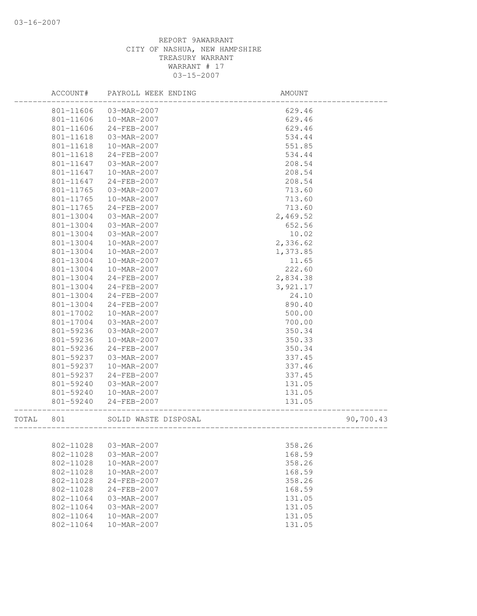|       | ACCOUNT#  | PAYROLL WEEK ENDING  | AMOUNT              |           |
|-------|-----------|----------------------|---------------------|-----------|
|       | 801-11606 | 03-MAR-2007          | 629.46              |           |
|       | 801-11606 | 10-MAR-2007          | 629.46              |           |
|       | 801-11606 | 24-FEB-2007          | 629.46              |           |
|       | 801-11618 | 03-MAR-2007          | 534.44              |           |
|       | 801-11618 | 10-MAR-2007          | 551.85              |           |
|       | 801-11618 | 24-FEB-2007          | 534.44              |           |
|       | 801-11647 | 03-MAR-2007          | 208.54              |           |
|       | 801-11647 | 10-MAR-2007          | 208.54              |           |
|       | 801-11647 | 24-FEB-2007          | 208.54              |           |
|       | 801-11765 | 03-MAR-2007          | 713.60              |           |
|       | 801-11765 | 10-MAR-2007          | 713.60              |           |
|       | 801-11765 | 24-FEB-2007          | 713.60              |           |
|       | 801-13004 | 03-MAR-2007          | 2,469.52            |           |
|       | 801-13004 | 03-MAR-2007          | 652.56              |           |
|       | 801-13004 | 03-MAR-2007          | 10.02               |           |
|       | 801-13004 | 10-MAR-2007          | 2,336.62            |           |
|       | 801-13004 | 10-MAR-2007          | 1,373.85            |           |
|       | 801-13004 | 10-MAR-2007          | 11.65               |           |
|       | 801-13004 | 10-MAR-2007          | 222.60              |           |
|       | 801-13004 | 24-FEB-2007          | 2,834.38            |           |
|       | 801-13004 | 24-FEB-2007          | 3,921.17            |           |
|       | 801-13004 | 24-FEB-2007          | 24.10               |           |
|       | 801-13004 | 24-FEB-2007          | 890.40              |           |
|       | 801-17002 | 10-MAR-2007          | 500.00              |           |
|       | 801-17004 | 03-MAR-2007          | 700.00              |           |
|       | 801-59236 | 03-MAR-2007          | 350.34              |           |
|       | 801-59236 | 10-MAR-2007          | 350.33              |           |
|       | 801-59236 | 24-FEB-2007          | 350.34              |           |
|       | 801-59237 | 03-MAR-2007          | 337.45              |           |
|       | 801-59237 | 10-MAR-2007          | 337.46              |           |
|       | 801-59237 | 24-FEB-2007          | 337.45              |           |
|       | 801-59240 | 03-MAR-2007          | 131.05              |           |
|       | 801-59240 | 10-MAR-2007          | 131.05              |           |
|       | 801-59240 | 24-FEB-2007          |                     |           |
|       |           |                      | 131.05              |           |
| TOTAL | 801       | SOLID WASTE DISPOSAL | ------------------- | 90,700.43 |
|       |           |                      |                     |           |
|       | 802-11028 | 03-MAR-2007          | 358.26              |           |
|       | 802-11028 | 03-MAR-2007          | 168.59              |           |
|       | 802-11028 | 10-MAR-2007          | 358.26              |           |
|       | 802-11028 | 10-MAR-2007          | 168.59              |           |
|       | 802-11028 | 24-FEB-2007          | 358.26              |           |
|       | 802-11028 | 24-FEB-2007          | 168.59              |           |
|       | 802-11064 | 03-MAR-2007          | 131.05              |           |
|       | 802-11064 | 03-MAR-2007          | 131.05              |           |
|       | 802-11064 | 10-MAR-2007          | 131.05              |           |
|       | 802-11064 | 10-MAR-2007          | 131.05              |           |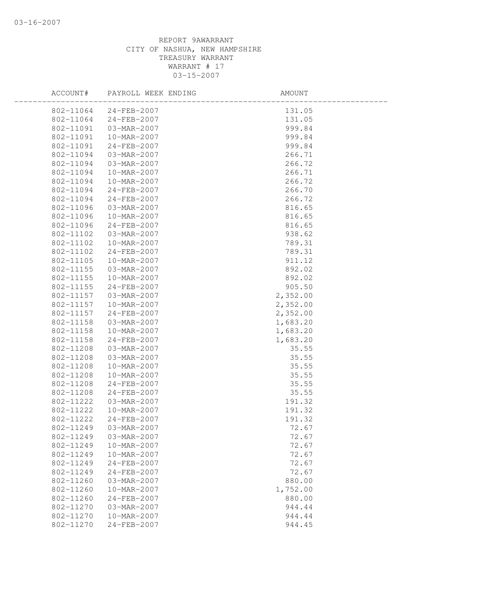| ACCOUNT#  | PAYROLL WEEK ENDING | AMOUNT   |
|-----------|---------------------|----------|
| 802-11064 | 24-FEB-2007         | 131.05   |
| 802-11064 | 24-FEB-2007         | 131.05   |
| 802-11091 | 03-MAR-2007         | 999.84   |
| 802-11091 | 10-MAR-2007         | 999.84   |
| 802-11091 | 24-FEB-2007         | 999.84   |
| 802-11094 | 03-MAR-2007         | 266.71   |
| 802-11094 | 03-MAR-2007         | 266.72   |
| 802-11094 | 10-MAR-2007         | 266.71   |
| 802-11094 | 10-MAR-2007         | 266.72   |
| 802-11094 | 24-FEB-2007         | 266.70   |
| 802-11094 | 24-FEB-2007         | 266.72   |
| 802-11096 | 03-MAR-2007         | 816.65   |
| 802-11096 | 10-MAR-2007         | 816.65   |
| 802-11096 | 24-FEB-2007         | 816.65   |
| 802-11102 | 03-MAR-2007         | 938.62   |
| 802-11102 | 10-MAR-2007         | 789.31   |
| 802-11102 | 24-FEB-2007         | 789.31   |
| 802-11105 | 10-MAR-2007         | 911.12   |
| 802-11155 | 03-MAR-2007         | 892.02   |
| 802-11155 | 10-MAR-2007         | 892.02   |
| 802-11155 | 24-FEB-2007         | 905.50   |
| 802-11157 | 03-MAR-2007         | 2,352.00 |
| 802-11157 | 10-MAR-2007         | 2,352.00 |
| 802-11157 | $24 - FEB - 2007$   | 2,352.00 |
| 802-11158 | 03-MAR-2007         | 1,683.20 |
| 802-11158 | 10-MAR-2007         | 1,683.20 |
| 802-11158 | 24-FEB-2007         | 1,683.20 |
| 802-11208 | 03-MAR-2007         | 35.55    |
| 802-11208 | 03-MAR-2007         | 35.55    |
| 802-11208 | 10-MAR-2007         | 35.55    |
| 802-11208 | 10-MAR-2007         | 35.55    |
| 802-11208 | 24-FEB-2007         | 35.55    |
| 802-11208 | 24-FEB-2007         | 35.55    |
| 802-11222 | 03-MAR-2007         | 191.32   |
| 802-11222 | 10-MAR-2007         | 191.32   |
| 802-11222 | 24-FEB-2007         | 191.32   |
| 802-11249 | 03-MAR-2007         | 72.67    |
| 802-11249 | 03-MAR-2007         | 72.67    |
| 802-11249 | 10-MAR-2007         | 72.67    |
| 802-11249 | 10-MAR-2007         | 72.67    |
| 802-11249 | 24-FEB-2007         | 72.67    |
| 802-11249 | 24-FEB-2007         | 72.67    |
| 802-11260 | 03-MAR-2007         | 880.00   |
| 802-11260 | 10-MAR-2007         | 1,752.00 |
| 802-11260 | 24-FEB-2007         | 880.00   |
| 802-11270 | 03-MAR-2007         | 944.44   |
| 802-11270 | 10-MAR-2007         | 944.44   |
| 802-11270 | 24-FEB-2007         | 944.45   |
|           |                     |          |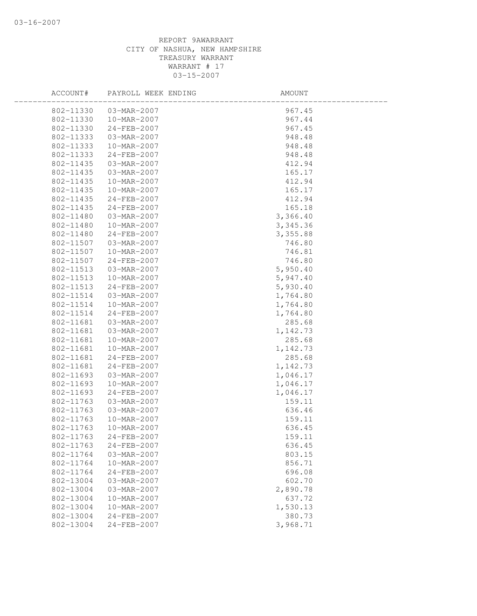| ACCOUNT#  | PAYROLL WEEK ENDING | AMOUNT   |
|-----------|---------------------|----------|
| 802-11330 | 03-MAR-2007         | 967.45   |
| 802-11330 | 10-MAR-2007         | 967.44   |
| 802-11330 | 24-FEB-2007         | 967.45   |
| 802-11333 | 03-MAR-2007         | 948.48   |
| 802-11333 | 10-MAR-2007         | 948.48   |
| 802-11333 | 24-FEB-2007         | 948.48   |
| 802-11435 | 03-MAR-2007         | 412.94   |
| 802-11435 | 03-MAR-2007         | 165.17   |
| 802-11435 | 10-MAR-2007         | 412.94   |
| 802-11435 | 10-MAR-2007         | 165.17   |
| 802-11435 | 24-FEB-2007         | 412.94   |
| 802-11435 | 24-FEB-2007         | 165.18   |
| 802-11480 | 03-MAR-2007         | 3,366.40 |
| 802-11480 | 10-MAR-2007         | 3,345.36 |
| 802-11480 | 24-FEB-2007         | 3,355.88 |
| 802-11507 | 03-MAR-2007         | 746.80   |
| 802-11507 | 10-MAR-2007         | 746.81   |
| 802-11507 | 24-FEB-2007         | 746.80   |
| 802-11513 | 03-MAR-2007         | 5,950.40 |
| 802-11513 | 10-MAR-2007         | 5,947.40 |
| 802-11513 | 24-FEB-2007         | 5,930.40 |
| 802-11514 | 03-MAR-2007         | 1,764.80 |
| 802-11514 | 10-MAR-2007         | 1,764.80 |
| 802-11514 | 24-FEB-2007         | 1,764.80 |
| 802-11681 | 03-MAR-2007         | 285.68   |
| 802-11681 | 03-MAR-2007         | 1,142.73 |
| 802-11681 | 10-MAR-2007         | 285.68   |
| 802-11681 | 10-MAR-2007         | 1,142.73 |
| 802-11681 | 24-FEB-2007         | 285.68   |
| 802-11681 | 24-FEB-2007         | 1,142.73 |
| 802-11693 | 03-MAR-2007         | 1,046.17 |
| 802-11693 | 10-MAR-2007         | 1,046.17 |
| 802-11693 | 24-FEB-2007         | 1,046.17 |
| 802-11763 | 03-MAR-2007         | 159.11   |
| 802-11763 | 03-MAR-2007         | 636.46   |
| 802-11763 | 10-MAR-2007         | 159.11   |
| 802-11763 | 10-MAR-2007         | 636.45   |
| 802-11763 | 24-FEB-2007         | 159.11   |
| 802-11763 | 24-FEB-2007         | 636.45   |
| 802-11764 | 03-MAR-2007         | 803.15   |
| 802-11764 | 10-MAR-2007         | 856.71   |
| 802-11764 | 24-FEB-2007         | 696.08   |
| 802-13004 | 03-MAR-2007         | 602.70   |
| 802-13004 | 03-MAR-2007         | 2,890.78 |
| 802-13004 | 10-MAR-2007         | 637.72   |
| 802-13004 | 10-MAR-2007         | 1,530.13 |
| 802-13004 | $24 - FEB - 2007$   | 380.73   |
| 802-13004 | 24-FEB-2007         | 3,968.71 |
|           |                     |          |